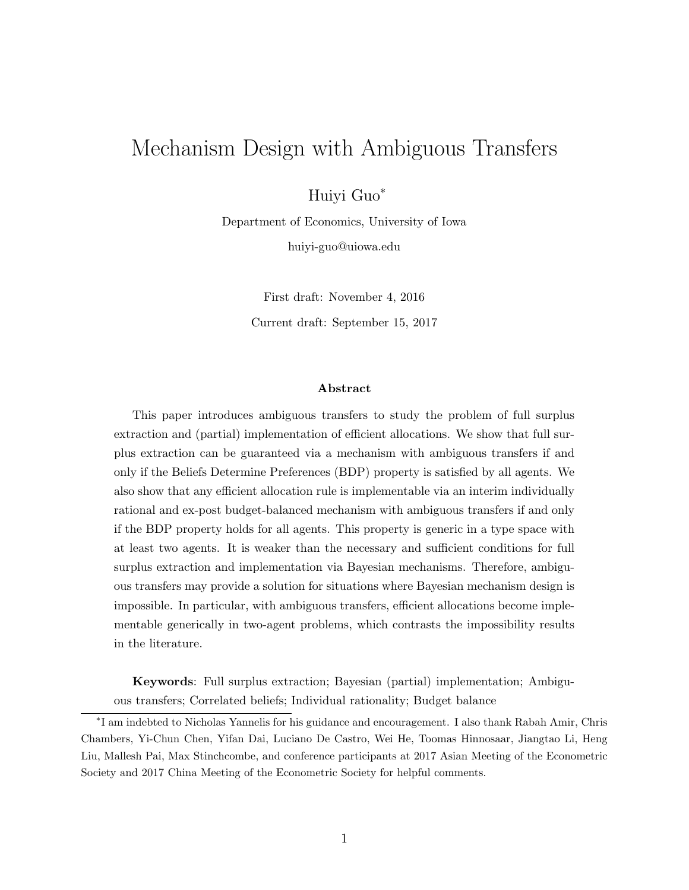# Mechanism Design with Ambiguous Transfers

Huiyi Guo<sup>∗</sup>

Department of Economics, University of Iowa huiyi-guo@uiowa.edu

> First draft: November 4, 2016 Current draft: September 15, 2017

#### Abstract

This paper introduces ambiguous transfers to study the problem of full surplus extraction and (partial) implementation of efficient allocations. We show that full surplus extraction can be guaranteed via a mechanism with ambiguous transfers if and only if the Beliefs Determine Preferences (BDP) property is satisfied by all agents. We also show that any efficient allocation rule is implementable via an interim individually rational and ex-post budget-balanced mechanism with ambiguous transfers if and only if the BDP property holds for all agents. This property is generic in a type space with at least two agents. It is weaker than the necessary and sufficient conditions for full surplus extraction and implementation via Bayesian mechanisms. Therefore, ambiguous transfers may provide a solution for situations where Bayesian mechanism design is impossible. In particular, with ambiguous transfers, efficient allocations become implementable generically in two-agent problems, which contrasts the impossibility results in the literature.

Keywords: Full surplus extraction; Bayesian (partial) implementation; Ambiguous transfers; Correlated beliefs; Individual rationality; Budget balance

<sup>∗</sup> I am indebted to Nicholas Yannelis for his guidance and encouragement. I also thank Rabah Amir, Chris Chambers, Yi-Chun Chen, Yifan Dai, Luciano De Castro, Wei He, Toomas Hinnosaar, Jiangtao Li, Heng Liu, Mallesh Pai, Max Stinchcombe, and conference participants at 2017 Asian Meeting of the Econometric Society and 2017 China Meeting of the Econometric Society for helpful comments.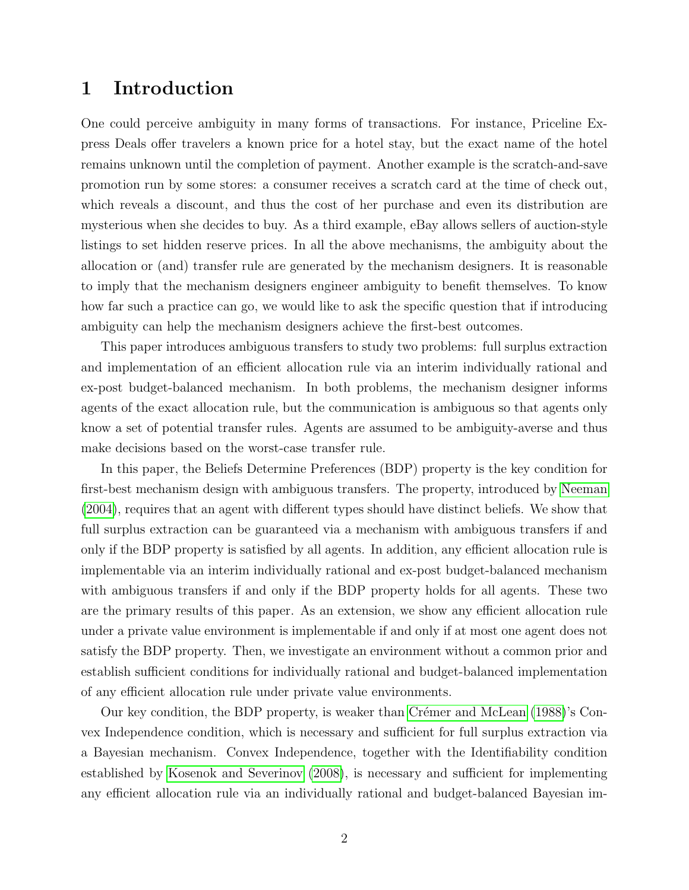## 1 Introduction

One could perceive ambiguity in many forms of transactions. For instance, Priceline Express Deals offer travelers a known price for a hotel stay, but the exact name of the hotel remains unknown until the completion of payment. Another example is the scratch-and-save promotion run by some stores: a consumer receives a scratch card at the time of check out, which reveals a discount, and thus the cost of her purchase and even its distribution are mysterious when she decides to buy. As a third example, eBay allows sellers of auction-style listings to set hidden reserve prices. In all the above mechanisms, the ambiguity about the allocation or (and) transfer rule are generated by the mechanism designers. It is reasonable to imply that the mechanism designers engineer ambiguity to benefit themselves. To know how far such a practice can go, we would like to ask the specific question that if introducing ambiguity can help the mechanism designers achieve the first-best outcomes.

This paper introduces ambiguous transfers to study two problems: full surplus extraction and implementation of an efficient allocation rule via an interim individually rational and ex-post budget-balanced mechanism. In both problems, the mechanism designer informs agents of the exact allocation rule, but the communication is ambiguous so that agents only know a set of potential transfer rules. Agents are assumed to be ambiguity-averse and thus make decisions based on the worst-case transfer rule.

In this paper, the Beliefs Determine Preferences (BDP) property is the key condition for first-best mechanism design with ambiguous transfers. The property, introduced by [Neeman](#page-42-0) [\(2004\)](#page-42-0), requires that an agent with different types should have distinct beliefs. We show that full surplus extraction can be guaranteed via a mechanism with ambiguous transfers if and only if the BDP property is satisfied by all agents. In addition, any efficient allocation rule is implementable via an interim individually rational and ex-post budget-balanced mechanism with ambiguous transfers if and only if the BDP property holds for all agents. These two are the primary results of this paper. As an extension, we show any efficient allocation rule under a private value environment is implementable if and only if at most one agent does not satisfy the BDP property. Then, we investigate an environment without a common prior and establish sufficient conditions for individually rational and budget-balanced implementation of any efficient allocation rule under private value environments.

Our key condition, the BDP property, is weaker than Crémer and McLean [\(1988\)](#page-40-0)'s Convex Independence condition, which is necessary and sufficient for full surplus extraction via a Bayesian mechanism. Convex Independence, together with the Identifiability condition established by [Kosenok and Severinov](#page-41-0) [\(2008\)](#page-41-0), is necessary and sufficient for implementing any efficient allocation rule via an individually rational and budget-balanced Bayesian im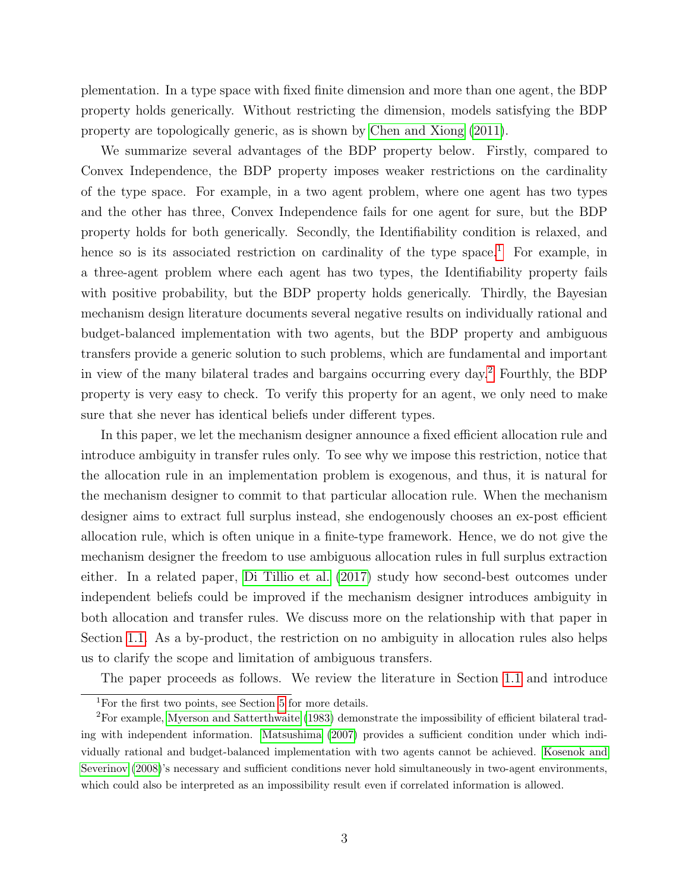plementation. In a type space with fixed finite dimension and more than one agent, the BDP property holds generically. Without restricting the dimension, models satisfying the BDP property are topologically generic, as is shown by [Chen and Xiong](#page-40-1) [\(2011\)](#page-40-1).

We summarize several advantages of the BDP property below. Firstly, compared to Convex Independence, the BDP property imposes weaker restrictions on the cardinality of the type space. For example, in a two agent problem, where one agent has two types and the other has three, Convex Independence fails for one agent for sure, but the BDP property holds for both generically. Secondly, the Identifiability condition is relaxed, and hence so is its associated restriction on cardinality of the type space.<sup>[1](#page-2-0)</sup> For example, in a three-agent problem where each agent has two types, the Identifiability property fails with positive probability, but the BDP property holds generically. Thirdly, the Bayesian mechanism design literature documents several negative results on individually rational and budget-balanced implementation with two agents, but the BDP property and ambiguous transfers provide a generic solution to such problems, which are fundamental and important in view of the many bilateral trades and bargains occurring every day.[2](#page-2-1) Fourthly, the BDP property is very easy to check. To verify this property for an agent, we only need to make sure that she never has identical beliefs under different types.

In this paper, we let the mechanism designer announce a fixed efficient allocation rule and introduce ambiguity in transfer rules only. To see why we impose this restriction, notice that the allocation rule in an implementation problem is exogenous, and thus, it is natural for the mechanism designer to commit to that particular allocation rule. When the mechanism designer aims to extract full surplus instead, she endogenously chooses an ex-post efficient allocation rule, which is often unique in a finite-type framework. Hence, we do not give the mechanism designer the freedom to use ambiguous allocation rules in full surplus extraction either. In a related paper, [Di Tillio et al.](#page-41-1) [\(2017\)](#page-41-1) study how second-best outcomes under independent beliefs could be improved if the mechanism designer introduces ambiguity in both allocation and transfer rules. We discuss more on the relationship with that paper in Section [1.1.](#page-3-0) As a by-product, the restriction on no ambiguity in allocation rules also helps us to clarify the scope and limitation of ambiguous transfers.

The paper proceeds as follows. We review the literature in Section [1.1](#page-3-0) and introduce

<span id="page-2-1"></span><span id="page-2-0"></span><sup>&</sup>lt;sup>1</sup>For the first two points, see Section [5](#page-13-0) for more details.

<sup>2</sup>For example, [Myerson and Satterthwaite](#page-42-1) [\(1983\)](#page-42-1) demonstrate the impossibility of efficient bilateral trading with independent information. [Matsushima](#page-41-2) [\(2007\)](#page-41-2) provides a sufficient condition under which individually rational and budget-balanced implementation with two agents cannot be achieved. [Kosenok and](#page-41-0) [Severinov](#page-41-0) [\(2008\)](#page-41-0)'s necessary and sufficient conditions never hold simultaneously in two-agent environments, which could also be interpreted as an impossibility result even if correlated information is allowed.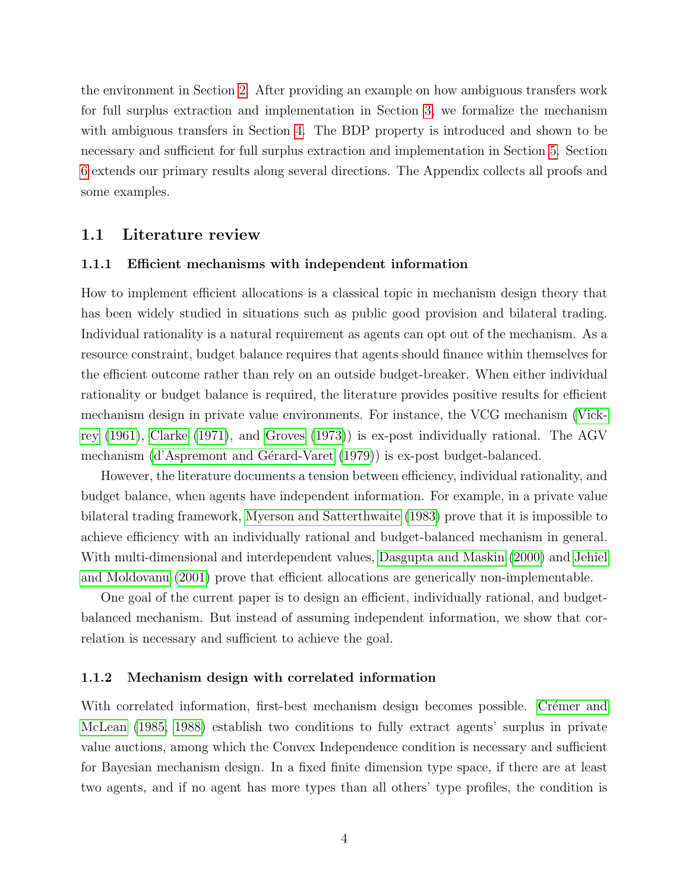the environment in Section [2.](#page-6-0) After providing an example on how ambiguous transfers work for full surplus extraction and implementation in Section [3,](#page-7-0) we formalize the mechanism with ambiguous transfers in Section [4.](#page-11-0) The BDP property is introduced and shown to be necessary and sufficient for full surplus extraction and implementation in Section [5.](#page-13-0) Section [6](#page-16-0) extends our primary results along several directions. The Appendix collects all proofs and some examples.

#### <span id="page-3-0"></span>1.1 Literature review

#### 1.1.1 Efficient mechanisms with independent information

How to implement efficient allocations is a classical topic in mechanism design theory that has been widely studied in situations such as public good provision and bilateral trading. Individual rationality is a natural requirement as agents can opt out of the mechanism. As a resource constraint, budget balance requires that agents should finance within themselves for the efficient outcome rather than rely on an outside budget-breaker. When either individual rationality or budget balance is required, the literature provides positive results for efficient mechanism design in private value environments. For instance, the VCG mechanism [\(Vick](#page-42-2)[rey](#page-42-2) [\(1961\)](#page-42-2), [Clarke](#page-40-2) [\(1971\)](#page-40-2), and [Groves](#page-41-3) [\(1973\)](#page-41-3)) is ex-post individually rational. The AGV mechanism (d'Aspremont and Gérard-Varet [\(1979\)](#page-40-3)) is ex-post budget-balanced.

However, the literature documents a tension between efficiency, individual rationality, and budget balance, when agents have independent information. For example, in a private value bilateral trading framework, [Myerson and Satterthwaite](#page-42-1) [\(1983\)](#page-42-1) prove that it is impossible to achieve efficiency with an individually rational and budget-balanced mechanism in general. With multi-dimensional and interdependent values, [Dasgupta and Maskin](#page-40-4) [\(2000\)](#page-40-4) and [Jehiel](#page-41-4) [and Moldovanu](#page-41-4) [\(2001\)](#page-41-4) prove that efficient allocations are generically non-implementable.

One goal of the current paper is to design an efficient, individually rational, and budgetbalanced mechanism. But instead of assuming independent information, we show that correlation is necessary and sufficient to achieve the goal.

#### 1.1.2 Mechanism design with correlated information

With correlated information, first-best mechanism design becomes possible. Crémer and [McLean](#page-40-5) [\(1985,](#page-40-5) [1988\)](#page-40-0) establish two conditions to fully extract agents' surplus in private value auctions, among which the Convex Independence condition is necessary and sufficient for Bayesian mechanism design. In a fixed finite dimension type space, if there are at least two agents, and if no agent has more types than all others' type profiles, the condition is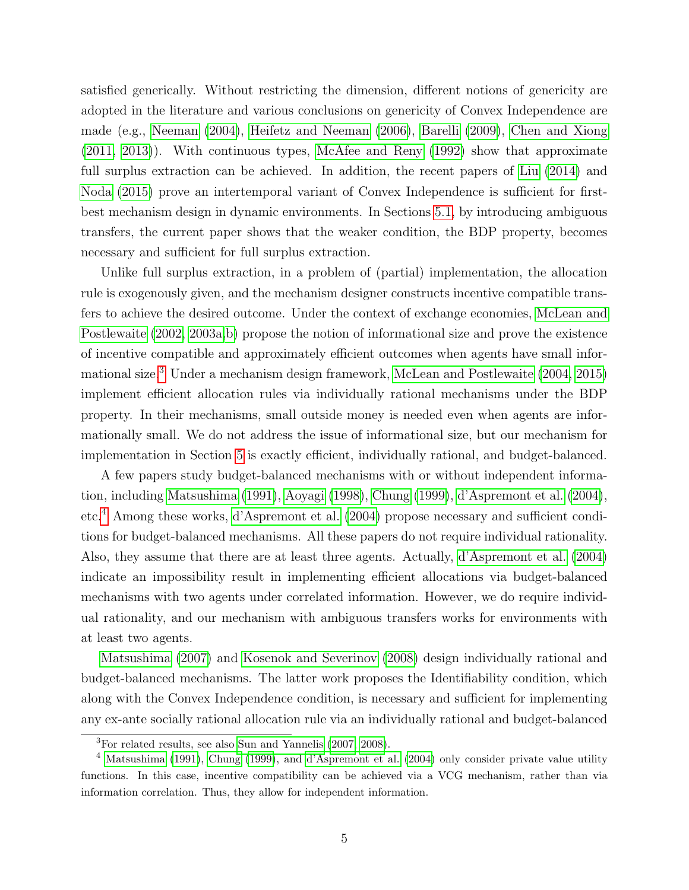satisfied generically. Without restricting the dimension, different notions of genericity are adopted in the literature and various conclusions on genericity of Convex Independence are made (e.g., [Neeman](#page-42-0) [\(2004\)](#page-42-0), [Heifetz and Neeman](#page-41-5) [\(2006\)](#page-41-5), [Barelli](#page-39-0) [\(2009\)](#page-39-0), [Chen and Xiong](#page-40-1) [\(2011,](#page-40-1) [2013\)](#page-40-6)). With continuous types, [McAfee and Reny](#page-41-6) [\(1992\)](#page-41-6) show that approximate full surplus extraction can be achieved. In addition, the recent papers of [Liu](#page-41-7) [\(2014\)](#page-41-7) and [Noda](#page-42-3) [\(2015\)](#page-42-3) prove an intertemporal variant of Convex Independence is sufficient for firstbest mechanism design in dynamic environments. In Sections [5.1,](#page-13-1) by introducing ambiguous transfers, the current paper shows that the weaker condition, the BDP property, becomes necessary and sufficient for full surplus extraction.

Unlike full surplus extraction, in a problem of (partial) implementation, the allocation rule is exogenously given, and the mechanism designer constructs incentive compatible transfers to achieve the desired outcome. Under the context of exchange economies, [McLean and](#page-41-8) [Postlewaite](#page-41-8) [\(2002,](#page-41-8) [2003a,](#page-42-4)[b\)](#page-42-5) propose the notion of informational size and prove the existence of incentive compatible and approximately efficient outcomes when agents have small informational size.[3](#page-4-0) Under a mechanism design framework, [McLean and Postlewaite](#page-41-9) [\(2004,](#page-41-9) [2015\)](#page-42-6) implement efficient allocation rules via individually rational mechanisms under the BDP property. In their mechanisms, small outside money is needed even when agents are informationally small. We do not address the issue of informational size, but our mechanism for implementation in Section [5](#page-13-0) is exactly efficient, individually rational, and budget-balanced.

A few papers study budget-balanced mechanisms with or without independent information, including [Matsushima](#page-41-10) [\(1991\)](#page-41-10), [Aoyagi](#page-39-1) [\(1998\)](#page-39-1), [Chung](#page-40-7) [\(1999\)](#page-40-7), [d'Aspremont et al.](#page-40-8) [\(2004\)](#page-40-8), etc.[4](#page-4-1) Among these works, [d'Aspremont et al.](#page-40-8) [\(2004\)](#page-40-8) propose necessary and sufficient conditions for budget-balanced mechanisms. All these papers do not require individual rationality. Also, they assume that there are at least three agents. Actually, [d'Aspremont et al.](#page-40-8) [\(2004\)](#page-40-8) indicate an impossibility result in implementing efficient allocations via budget-balanced mechanisms with two agents under correlated information. However, we do require individual rationality, and our mechanism with ambiguous transfers works for environments with at least two agents.

[Matsushima](#page-41-2) [\(2007\)](#page-41-2) and [Kosenok and Severinov](#page-41-0) [\(2008\)](#page-41-0) design individually rational and budget-balanced mechanisms. The latter work proposes the Identifiability condition, which along with the Convex Independence condition, is necessary and sufficient for implementing any ex-ante socially rational allocation rule via an individually rational and budget-balanced

<span id="page-4-1"></span><span id="page-4-0"></span><sup>3</sup>For related results, see also [Sun and Yannelis](#page-42-7) [\(2007,](#page-42-7) [2008\)](#page-42-8).

<sup>&</sup>lt;sup>4</sup> [Matsushima](#page-41-10) [\(1991\)](#page-41-10), [Chung](#page-40-7) [\(1999\)](#page-40-7), and [d'Aspremont et al.](#page-40-8) [\(2004\)](#page-40-8) only consider private value utility functions. In this case, incentive compatibility can be achieved via a VCG mechanism, rather than via information correlation. Thus, they allow for independent information.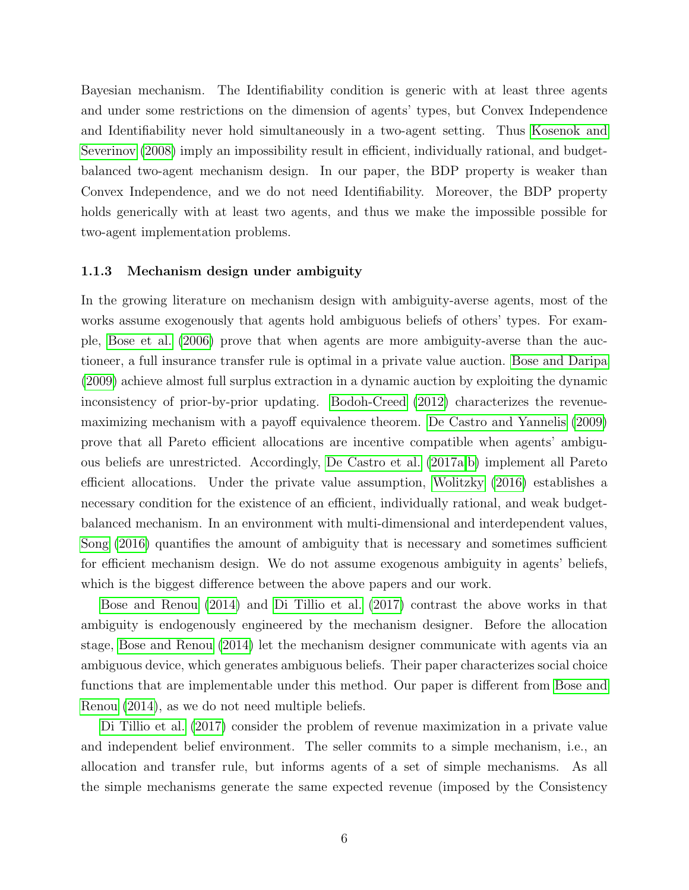Bayesian mechanism. The Identifiability condition is generic with at least three agents and under some restrictions on the dimension of agents' types, but Convex Independence and Identifiability never hold simultaneously in a two-agent setting. Thus [Kosenok and](#page-41-0) [Severinov](#page-41-0) [\(2008\)](#page-41-0) imply an impossibility result in efficient, individually rational, and budgetbalanced two-agent mechanism design. In our paper, the BDP property is weaker than Convex Independence, and we do not need Identifiability. Moreover, the BDP property holds generically with at least two agents, and thus we make the impossible possible for two-agent implementation problems.

#### 1.1.3 Mechanism design under ambiguity

In the growing literature on mechanism design with ambiguity-averse agents, most of the works assume exogenously that agents hold ambiguous beliefs of others' types. For example, [Bose et al.](#page-40-9) [\(2006\)](#page-40-9) prove that when agents are more ambiguity-averse than the auctioneer, a full insurance transfer rule is optimal in a private value auction. [Bose and Daripa](#page-40-10) [\(2009\)](#page-40-10) achieve almost full surplus extraction in a dynamic auction by exploiting the dynamic inconsistency of prior-by-prior updating. [Bodoh-Creed](#page-39-2) [\(2012\)](#page-39-2) characterizes the revenuemaximizing mechanism with a payoff equivalence theorem. [De Castro and Yannelis](#page-41-11) [\(2009\)](#page-41-11) prove that all Pareto efficient allocations are incentive compatible when agents' ambiguous beliefs are unrestricted. Accordingly, [De Castro et al.](#page-40-11) [\(2017a,](#page-40-11)[b\)](#page-40-12) implement all Pareto efficient allocations. Under the private value assumption, [Wolitzky](#page-42-9) [\(2016\)](#page-42-9) establishes a necessary condition for the existence of an efficient, individually rational, and weak budgetbalanced mechanism. In an environment with multi-dimensional and interdependent values, [Song](#page-42-10) [\(2016\)](#page-42-10) quantifies the amount of ambiguity that is necessary and sometimes sufficient for efficient mechanism design. We do not assume exogenous ambiguity in agents' beliefs, which is the biggest difference between the above papers and our work.

[Bose and Renou](#page-40-13) [\(2014\)](#page-40-13) and [Di Tillio et al.](#page-41-1) [\(2017\)](#page-41-1) contrast the above works in that ambiguity is endogenously engineered by the mechanism designer. Before the allocation stage, [Bose and Renou](#page-40-13) [\(2014\)](#page-40-13) let the mechanism designer communicate with agents via an ambiguous device, which generates ambiguous beliefs. Their paper characterizes social choice functions that are implementable under this method. Our paper is different from [Bose and](#page-40-13) [Renou](#page-40-13) [\(2014\)](#page-40-13), as we do not need multiple beliefs.

[Di Tillio et al.](#page-41-1) [\(2017\)](#page-41-1) consider the problem of revenue maximization in a private value and independent belief environment. The seller commits to a simple mechanism, i.e., an allocation and transfer rule, but informs agents of a set of simple mechanisms. As all the simple mechanisms generate the same expected revenue (imposed by the Consistency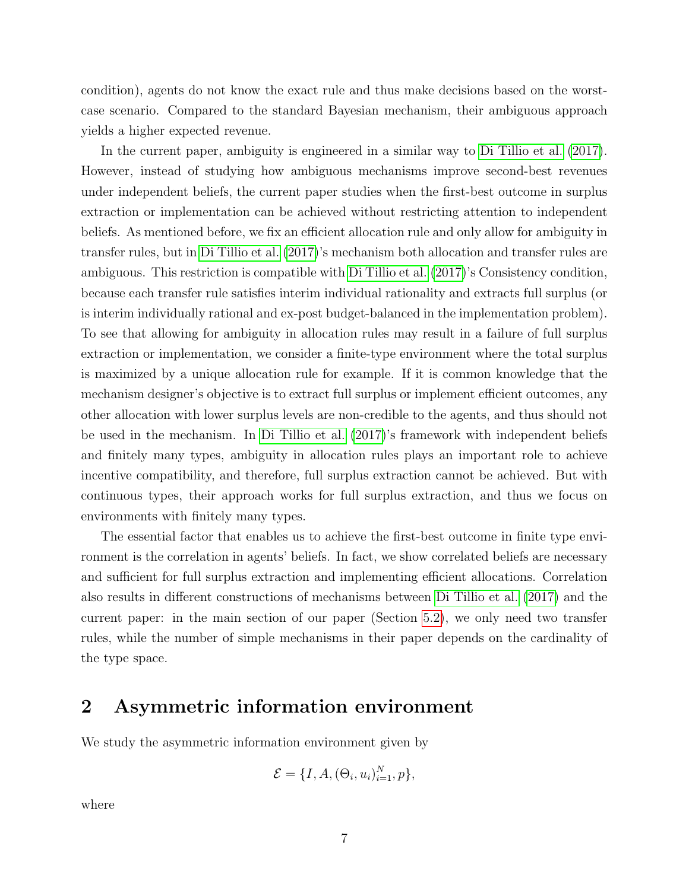condition), agents do not know the exact rule and thus make decisions based on the worstcase scenario. Compared to the standard Bayesian mechanism, their ambiguous approach yields a higher expected revenue.

In the current paper, ambiguity is engineered in a similar way to [Di Tillio et al.](#page-41-1) [\(2017\)](#page-41-1). However, instead of studying how ambiguous mechanisms improve second-best revenues under independent beliefs, the current paper studies when the first-best outcome in surplus extraction or implementation can be achieved without restricting attention to independent beliefs. As mentioned before, we fix an efficient allocation rule and only allow for ambiguity in transfer rules, but in [Di Tillio et al.](#page-41-1) [\(2017\)](#page-41-1)'s mechanism both allocation and transfer rules are ambiguous. This restriction is compatible with [Di Tillio et al.](#page-41-1) [\(2017\)](#page-41-1)'s Consistency condition, because each transfer rule satisfies interim individual rationality and extracts full surplus (or is interim individually rational and ex-post budget-balanced in the implementation problem). To see that allowing for ambiguity in allocation rules may result in a failure of full surplus extraction or implementation, we consider a finite-type environment where the total surplus is maximized by a unique allocation rule for example. If it is common knowledge that the mechanism designer's objective is to extract full surplus or implement efficient outcomes, any other allocation with lower surplus levels are non-credible to the agents, and thus should not be used in the mechanism. In [Di Tillio et al.](#page-41-1) [\(2017\)](#page-41-1)'s framework with independent beliefs and finitely many types, ambiguity in allocation rules plays an important role to achieve incentive compatibility, and therefore, full surplus extraction cannot be achieved. But with continuous types, their approach works for full surplus extraction, and thus we focus on environments with finitely many types.

The essential factor that enables us to achieve the first-best outcome in finite type environment is the correlation in agents' beliefs. In fact, we show correlated beliefs are necessary and sufficient for full surplus extraction and implementing efficient allocations. Correlation also results in different constructions of mechanisms between [Di Tillio et al.](#page-41-1) [\(2017\)](#page-41-1) and the current paper: in the main section of our paper (Section [5.2\)](#page-15-0), we only need two transfer rules, while the number of simple mechanisms in their paper depends on the cardinality of the type space.

# <span id="page-6-0"></span>2 Asymmetric information environment

We study the asymmetric information environment given by

$$
\mathcal{E} = \{I, A, (\Theta_i, u_i)_{i=1}^N, p\},\
$$

where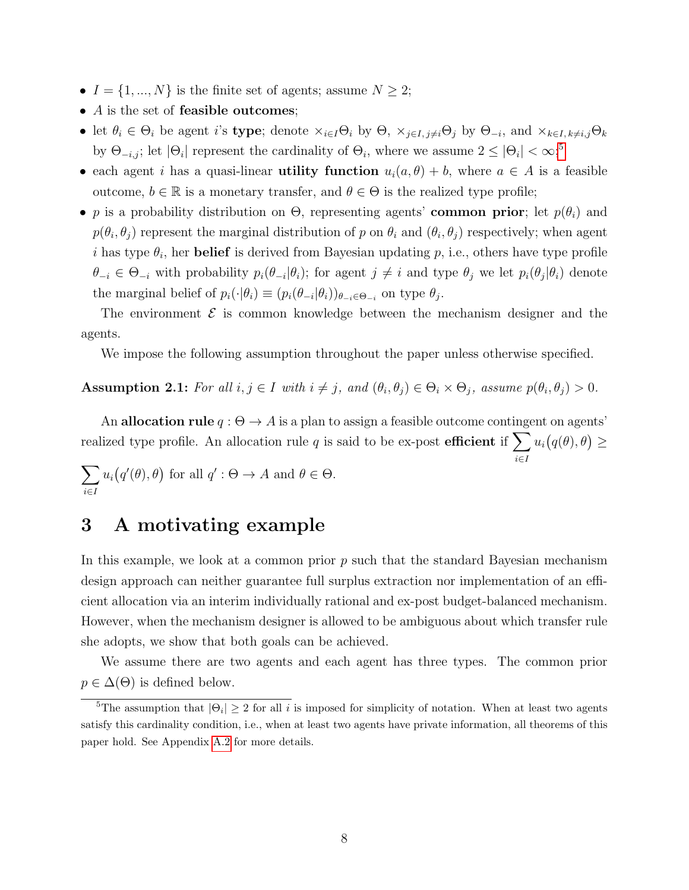- $I = \{1, ..., N\}$  is the finite set of agents; assume  $N \geq 2$ ;
- $\bullet$  A is the set of feasible outcomes;
- let  $\theta_i \in \Theta_i$  be agent *i*'s **type**; denote  $\times_{i \in I} \Theta_i$  by  $\Theta$ ,  $\times_{j \in I, j \neq i} \Theta_j$  by  $\Theta_{-i}$ , and  $\times_{k \in I, k \neq i, j} \Theta_k$ by  $\Theta_{-i,j}$ ; let  $|\Theta_i|$  represent the cardinality of  $\Theta_i$ , where we assume  $2 \leq |\Theta_i| < \infty$ ;<sup>[5](#page-7-1)</sup>
- each agent i has a quasi-linear **utility function**  $u_i(a, \theta) + b$ , where  $a \in A$  is a feasible outcome,  $b \in \mathbb{R}$  is a monetary transfer, and  $\theta \in \Theta$  is the realized type profile;
- p is a probability distribution on  $\Theta$ , representing agents' common prior; let  $p(\theta_i)$  and  $p(\theta_i, \theta_j)$  represent the marginal distribution of p on  $\theta_i$  and  $(\theta_i, \theta_j)$  respectively; when agent i has type  $\theta_i$ , her **belief** is derived from Bayesian updating p, i.e., others have type profile  $\theta_{-i} \in \Theta_{-i}$  with probability  $p_i(\theta_{-i}|\theta_i)$ ; for agent  $j \neq i$  and type  $\theta_j$  we let  $p_i(\theta_j|\theta_i)$  denote the marginal belief of  $p_i(\cdot|\theta_i) \equiv (p_i(\theta_{-i}|\theta_i))_{\theta_{-i} \in \Theta_{-i}}$  on type  $\theta_j$ .

The environment  $\mathcal E$  is common knowledge between the mechanism designer and the agents.

We impose the following assumption throughout the paper unless otherwise specified.

<span id="page-7-2"></span>**Assumption 2.1:** For all  $i, j \in I$  with  $i \neq j$ , and  $(\theta_i, \theta_j) \in \Theta_i \times \Theta_j$ , assume  $p(\theta_i, \theta_j) > 0$ .

An allocation rule  $q : \Theta \to A$  is a plan to assign a feasible outcome contingent on agents' realized type profile. An allocation rule q is said to be ex-post efficient if  $\sum$  $u_i(q(\theta),\theta) \geq$ 

i∈I

$$
\sum_{i \in I} u_i(q'(\theta), \theta) \text{ for all } q' : \Theta \to A \text{ and } \theta \in \Theta.
$$

### <span id="page-7-0"></span>3 A motivating example

In this example, we look at a common prior  $p$  such that the standard Bayesian mechanism design approach can neither guarantee full surplus extraction nor implementation of an efficient allocation via an interim individually rational and ex-post budget-balanced mechanism. However, when the mechanism designer is allowed to be ambiguous about which transfer rule she adopts, we show that both goals can be achieved.

We assume there are two agents and each agent has three types. The common prior  $p \in \Delta(\Theta)$  is defined below.

<span id="page-7-1"></span><sup>&</sup>lt;sup>5</sup>The assumption that  $|\Theta_i| \geq 2$  for all i is imposed for simplicity of notation. When at least two agents satisfy this cardinality condition, i.e., when at least two agents have private information, all theorems of this paper hold. See Appendix [A.2](#page-39-3) for more details.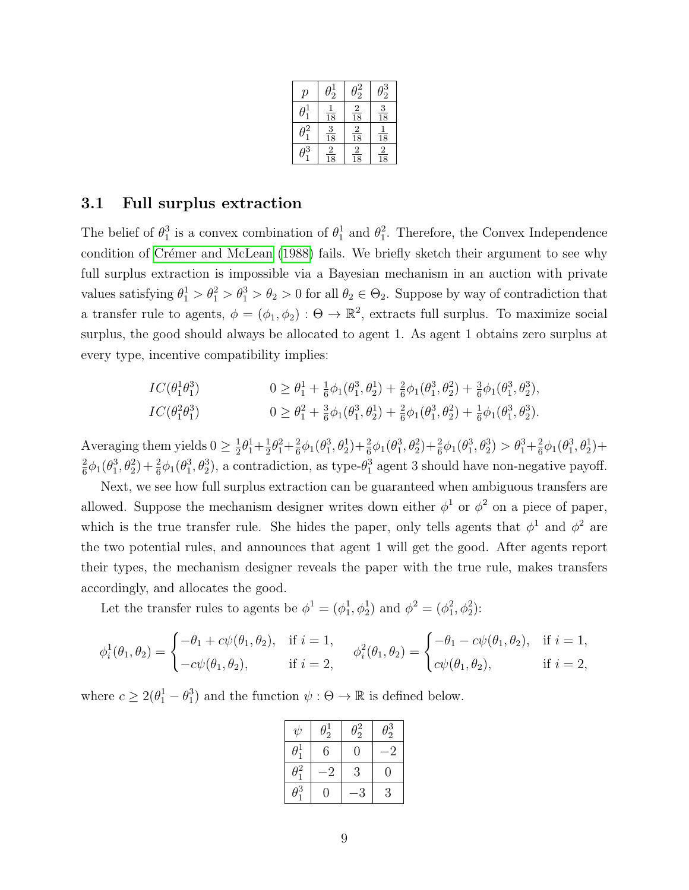| р | $\frac{1}{2}$   | $\frac{z}{2}$                              | $\frac{3}{2}$  |
|---|-----------------|--------------------------------------------|----------------|
|   | $\overline{18}$ | $\overline{\mathbf{2}}$<br>$\overline{18}$ | $\frac{3}{18}$ |
|   | $\frac{3}{18}$  | $\frac{2}{18}$                             | $\frac{1}{18}$ |
| 3 | $\frac{2}{18}$  | $\frac{2}{18}$                             | $\frac{2}{18}$ |

### 3.1 Full surplus extraction

The belief of  $\theta_1^3$  is a convex combination of  $\theta_1^1$  and  $\theta_1^2$ . Therefore, the Convex Independence condition of Crémer and McLean [\(1988\)](#page-40-0) fails. We briefly sketch their argument to see why full surplus extraction is impossible via a Bayesian mechanism in an auction with private values satisfying  $\theta_1^1 > \theta_1^2 > \theta_1^3 > \theta_2 > 0$  for all  $\theta_2 \in \Theta_2$ . Suppose by way of contradiction that a transfer rule to agents,  $\phi = (\phi_1, \phi_2) : \Theta \to \mathbb{R}^2$ , extracts full surplus. To maximize social surplus, the good should always be allocated to agent 1. As agent 1 obtains zero surplus at every type, incentive compatibility implies:

$$
IC(\theta_1^1 \theta_1^3) \qquad 0 \ge \theta_1^1 + \frac{1}{6} \phi_1(\theta_1^3, \theta_2^1) + \frac{2}{6} \phi_1(\theta_1^3, \theta_2^2) + \frac{3}{6} \phi_1(\theta_1^3, \theta_2^3),
$$
  
\n
$$
IC(\theta_1^2 \theta_1^3) \qquad 0 \ge \theta_1^2 + \frac{3}{6} \phi_1(\theta_1^3, \theta_2^1) + \frac{2}{6} \phi_1(\theta_1^3, \theta_2^2) + \frac{1}{6} \phi_1(\theta_1^3, \theta_2^3).
$$

Averaging them yields  $0 \geq \frac{1}{2}$  $\frac{1}{2}\theta_1^1 + \frac{1}{2}$  $\frac{1}{2}\theta_1^2 + \frac{2}{6}$  $\frac{2}{6}\phi_1(\theta_1^3, \theta_2^1) + \frac{2}{6}\phi_1(\theta_1^3, \theta_2^2) + \frac{2}{6}\phi_1(\theta_1^3, \theta_2^3) > \theta_1^3 + \frac{2}{6}$  $\frac{2}{6}\phi_1(\theta_1^3, \theta_2^1) +$ 2  $\frac{2}{6}\phi_1(\theta_1^3,\theta_2^2)+\frac{2}{6}\phi_1(\theta_1^3,\theta_2^3)$ , a contradiction, as type- $\theta_1^3$  agent 3 should have non-negative payoff.

Next, we see how full surplus extraction can be guaranteed when ambiguous transfers are allowed. Suppose the mechanism designer writes down either  $\phi^1$  or  $\phi^2$  on a piece of paper, which is the true transfer rule. She hides the paper, only tells agents that  $\phi^1$  and  $\phi^2$  are the two potential rules, and announces that agent 1 will get the good. After agents report their types, the mechanism designer reveals the paper with the true rule, makes transfers accordingly, and allocates the good.

Let the transfer rules to agents be  $\phi^1 = (\phi_1^1, \phi_2^1)$  and  $\phi^2 = (\phi_1^2, \phi_2^2)$ :

$$
\phi_i^1(\theta_1, \theta_2) = \begin{cases}\n-\theta_1 + c\psi(\theta_1, \theta_2), & \text{if } i = 1, \\
-c\psi(\theta_1, \theta_2), & \text{if } i = 2,\n\end{cases} \qquad \phi_i^2(\theta_1, \theta_2) = \begin{cases}\n-\theta_1 - c\psi(\theta_1, \theta_2), & \text{if } i = 1, \\
c\psi(\theta_1, \theta_2), & \text{if } i = 2,\n\end{cases}
$$

where  $c \geq 2(\theta_1^1 - \theta_1^3)$  and the function  $\psi : \Theta \to \mathbb{R}$  is defined below.

| $\psi$       | $\theta_2^1$ | $\theta_2^2$ | $\theta_2^3$ |
|--------------|--------------|--------------|--------------|
| $\theta_1^1$ | 6            | $\theta$     | $-2$         |
| $\theta_1^2$ | -2           | 3            | 0            |
| $\theta_1^3$ | 0            | 3            | 3            |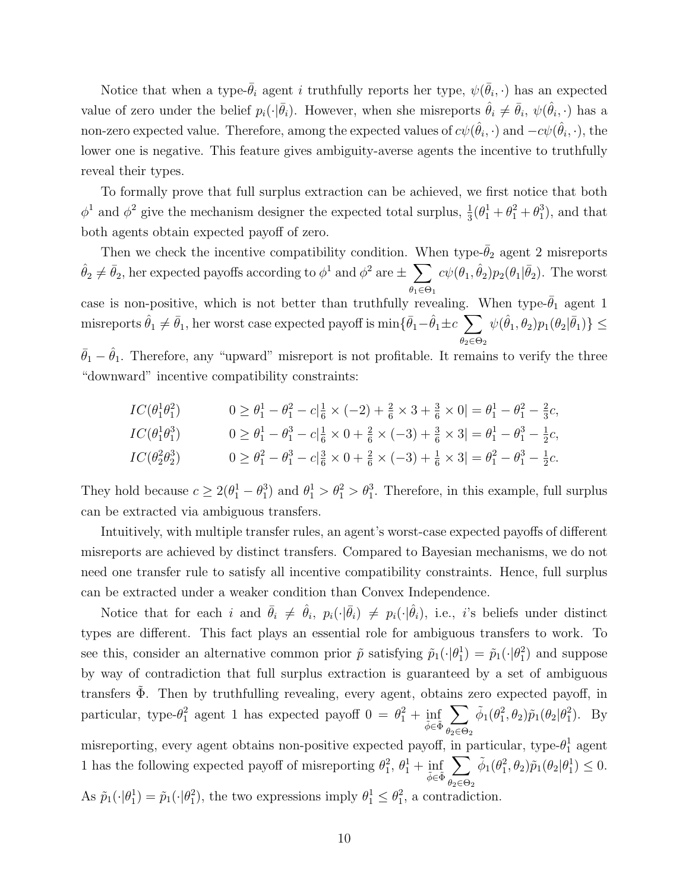Notice that when a type- $\bar{\theta}_i$  agent i truthfully reports her type,  $\psi(\bar{\theta}_i, \cdot)$  has an expected value of zero under the belief  $p_i(\cdot|\bar{\theta}_i)$ . However, when she misreports  $\hat{\theta}_i \neq \bar{\theta}_i$ ,  $\psi(\hat{\theta}_i, \cdot)$  has a non-zero expected value. Therefore, among the expected values of  $c\psi(\hat\theta_i,\cdot)$  and  $-c\psi(\hat\theta_i,\cdot),$  the lower one is negative. This feature gives ambiguity-averse agents the incentive to truthfully reveal their types.

To formally prove that full surplus extraction can be achieved, we first notice that both  $\phi^1$  and  $\phi^2$  give the mechanism designer the expected total surplus,  $\frac{1}{3}(\theta_1^1 + \theta_1^2 + \theta_1^3)$ , and that both agents obtain expected payoff of zero.

Then we check the incentive compatibility condition. When type- $\bar{\theta}_2$  agent 2 misreports  $\hat{\theta}_2 \neq \bar{\theta}_2$ , her expected payoffs according to  $\phi^1$  and  $\phi^2$  are  $\pm$   $\sum$  $\theta_1 \in \Theta_1$  $c\psi(\theta_1, \hat{\theta}_2)p_2(\theta_1|\bar{\theta}_2)$ . The worst case is non-positive, which is not better than truthfully revealing. When type- $\bar{\theta}_1$  agent 1 misreports  $\hat{\theta}_1 \neq \bar{\theta}_1$ , her worst case expected payoff is  $\min\{\bar{\theta}_1-\hat{\theta}_1\pm c_\|~\sum\}$  $\theta_2 \in \Theta_2$  $\psi(\hat{\theta}_1, \theta_2) p_1(\theta_2 | \bar{\theta}_1) \} \leq$ 

 $\bar{\theta}_1 - \hat{\theta}_1$ . Therefore, any "upward" misreport is not profitable. It remains to verify the three "downward" incentive compatibility constraints:

$$
IC(\theta_1^1 \theta_1^2) \qquad 0 \ge \theta_1^1 - \theta_1^2 - c\left|\frac{1}{6} \times (-2) + \frac{2}{6} \times 3 + \frac{3}{6} \times 0\right| = \theta_1^1 - \theta_1^2 - \frac{2}{3}c,
$$
  
\n
$$
IC(\theta_1^1 \theta_1^3) \qquad 0 \ge \theta_1^1 - \theta_1^3 - c\left|\frac{1}{6} \times 0 + \frac{2}{6} \times (-3) + \frac{3}{6} \times 3\right| = \theta_1^1 - \theta_1^3 - \frac{1}{2}c,
$$
  
\n
$$
IC(\theta_2^2 \theta_2^3) \qquad 0 \ge \theta_1^2 - \theta_1^3 - c\left|\frac{3}{6} \times 0 + \frac{2}{6} \times (-3) + \frac{1}{6} \times 3\right| = \theta_1^2 - \theta_1^3 - \frac{1}{2}c.
$$

They hold because  $c \ge 2(\theta_1^1 - \theta_1^3)$  and  $\theta_1^1 > \theta_1^2 > \theta_1^3$ . Therefore, in this example, full surplus can be extracted via ambiguous transfers.

Intuitively, with multiple transfer rules, an agent's worst-case expected payoffs of different misreports are achieved by distinct transfers. Compared to Bayesian mechanisms, we do not need one transfer rule to satisfy all incentive compatibility constraints. Hence, full surplus can be extracted under a weaker condition than Convex Independence.

Notice that for each i and  $\bar{\theta}_i \neq \hat{\theta}_i$ ,  $p_i(\cdot|\bar{\theta}_i) \neq p_i(\cdot|\hat{\theta}_i)$ , i.e., i's beliefs under distinct types are different. This fact plays an essential role for ambiguous transfers to work. To see this, consider an alternative common prior  $\tilde{p}$  satisfying  $\tilde{p}_1(\cdot|\theta_1^1) = \tilde{p}_1(\cdot|\theta_1^2)$  and suppose by way of contradiction that full surplus extraction is guaranteed by a set of ambiguous transfers  $\Phi$ . Then by truthfulling revealing, every agent, obtains zero expected payoff, in particular, type- $\theta_1^2$  agent 1 has expected payoff  $0 = \theta_1^2 + \inf_{\tilde{\phi} \in \tilde{\Phi}}$  $\sum$  $\theta_2 \in \Theta_2$  $\tilde{\phi}_1(\theta_1^2, \theta_2)\tilde{p}_1(\theta_2|\theta_1^2)$ . By misreporting, every agent obtains non-positive expected payoff, in particular, type- $\theta_1^1$  agent 1 has the following expected payoff of misreporting  $\theta_1^2$ ,  $\theta_1^1 + \inf_{\tilde{\phi} \in \tilde{\Phi}}$  $\sum$  $\theta_2 \in \Theta_2$  $\tilde{\phi}_1(\theta_1^2, \theta_2) \tilde{p}_1(\theta_2 | \theta_1^1) \leq 0.$ As  $\tilde{p}_1(\cdot|\theta_1^1) = \tilde{p}_1(\cdot|\theta_1^2)$ , the two expressions imply  $\theta_1^1 \leq \theta_1^2$ , a contradiction.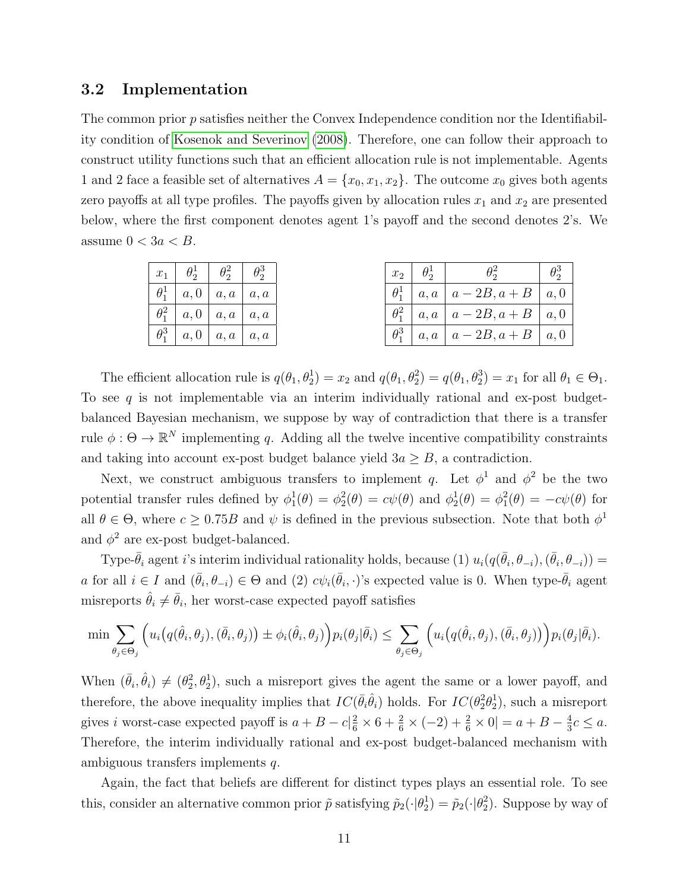#### 3.2 Implementation

The common prior p satisfies neither the Convex Independence condition nor the Identifiability condition of [Kosenok and Severinov](#page-41-0) [\(2008\)](#page-41-0). Therefore, one can follow their approach to construct utility functions such that an efficient allocation rule is not implementable. Agents 1 and 2 face a feasible set of alternatives  $A = \{x_0, x_1, x_2\}$ . The outcome  $x_0$  gives both agents zero payoffs at all type profiles. The payoffs given by allocation rules  $x_1$  and  $x_2$  are presented below, where the first component denotes agent 1's payoff and the second denotes 2's. We assume  $0 < 3a < B$ .

| $x_1$ $\theta_2^1$ $\theta_2^2$ $\theta_2^3$ |  |  | $x_2$ $\theta_2^1$ |                                                     |  |
|----------------------------------------------|--|--|--------------------|-----------------------------------------------------|--|
| $\theta_1^1 \mid a, 0 \mid a, a \mid a, a$   |  |  |                    | $\theta_1^1 \mid a, a \mid a-2B, a+B \mid a, 0$     |  |
| $\theta_1^2 \mid a, 0 \mid a, a \mid a, a$   |  |  |                    | $\theta_1^2 \mid a, a \mid a - 2B, a + B \mid a, 0$ |  |
| $\theta_1^3 \mid a, 0 \mid a, a \mid a, a$   |  |  |                    | $\theta_1^3 \mid a, a \mid a - 2B, a + B \mid a, 0$ |  |

The efficient allocation rule is  $q(\theta_1, \theta_2^1) = x_2$  and  $q(\theta_1, \theta_2^2) = q(\theta_1, \theta_2^3) = x_1$  for all  $\theta_1 \in \Theta_1$ . To see q is not implementable via an interim individually rational and ex-post budgetbalanced Bayesian mechanism, we suppose by way of contradiction that there is a transfer rule  $\phi: \Theta \to \mathbb{R}^N$  implementing q. Adding all the twelve incentive compatibility constraints and taking into account ex-post budget balance yield  $3a \geq B$ , a contradiction.

Next, we construct ambiguous transfers to implement q. Let  $\phi^1$  and  $\phi^2$  be the two potential transfer rules defined by  $\phi_1^1(\theta) = \phi_2^2(\theta) = c\psi(\theta)$  and  $\phi_2^1(\theta) = \phi_1^2(\theta) = -c\psi(\theta)$  for all  $\theta \in \Theta$ , where  $c \geq 0.75B$  and  $\psi$  is defined in the previous subsection. Note that both  $\phi^1$ and  $\phi^2$  are ex-post budget-balanced.

Type- $\bar{\theta}_i$  agent i's interim individual rationality holds, because (1)  $u_i(q(\bar{\theta}_i, \theta_{-i}), (\bar{\theta}_i, \theta_{-i})) =$ a for all  $i \in I$  and  $(\bar{\theta}_i, \theta_{-i}) \in \Theta$  and  $(2)$   $c\psi_i(\bar{\theta}_i, \cdot)$ 's expected value is 0. When type- $\bar{\theta}_i$  agent misreports  $\hat{\theta}_i \neq \bar{\theta}_i$ , her worst-case expected payoff satisfies

$$
\min \sum_{\theta_j \in \Theta_j} \Big( u_i \big( q(\hat{\theta}_i, \theta_j), (\bar{\theta}_i, \theta_j) \big) \pm \phi_i(\hat{\theta}_i, \theta_j) \Big) p_i(\theta_j | \bar{\theta}_i) \le \sum_{\theta_j \in \Theta_j} \Big( u_i \big( q(\hat{\theta}_i, \theta_j), (\bar{\theta}_i, \theta_j) \big) \Big) p_i(\theta_j | \bar{\theta}_i).
$$

When  $(\bar{\theta}_i, \hat{\theta}_i) \neq (\theta_2^2, \theta_2^1)$ , such a misreport gives the agent the same or a lower payoff, and therefore, the above inequality implies that  $IC(\bar{\theta}_i \hat{\theta}_i)$  holds. For  $IC(\theta_2^2 \theta_2^1)$ , such a misreport gives *i* worst-case expected payoff is  $a + B - c\left|\frac{2}{6} \times 6 + \frac{2}{6} \times (-2) + \frac{2}{6} \times 0\right| = a + B - \frac{4}{3}$  $\frac{4}{3}c \leq a.$ Therefore, the interim individually rational and ex-post budget-balanced mechanism with ambiguous transfers implements q.

Again, the fact that beliefs are different for distinct types plays an essential role. To see this, consider an alternative common prior  $\tilde{p}$  satisfying  $\tilde{p}_2(\cdot|\theta_2^1) = \tilde{p}_2(\cdot|\theta_2^2)$ . Suppose by way of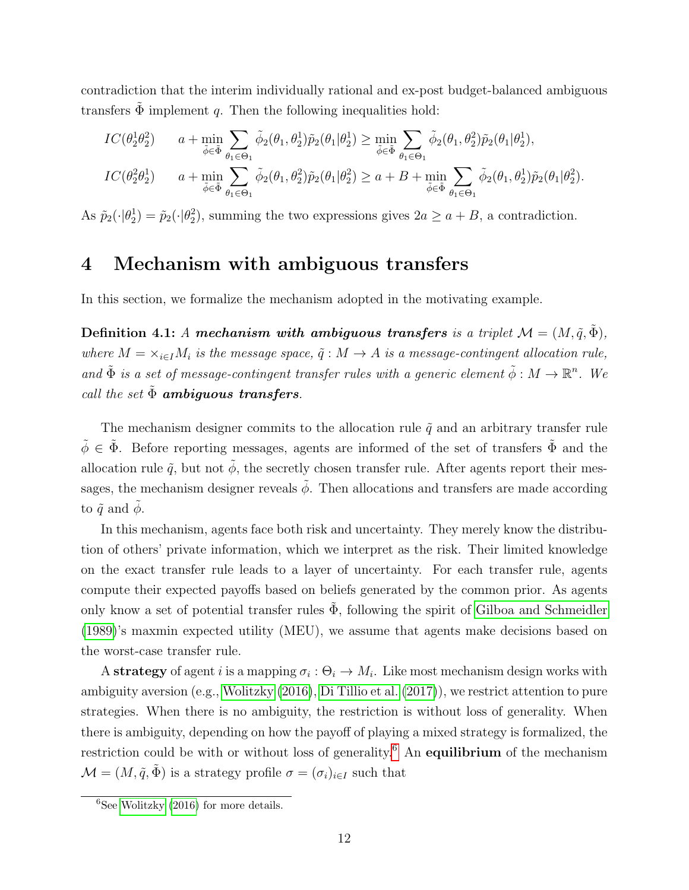contradiction that the interim individually rational and ex-post budget-balanced ambiguous transfers  $\tilde{\Phi}$  implement q. Then the following inequalities hold:

$$
IC(\theta_2^1 \theta_2^2) \qquad a + \min_{\tilde{\phi} \in \tilde{\Phi}} \sum_{\theta_1 \in \Theta_1} \tilde{\phi}_2(\theta_1, \theta_2^1) \tilde{p}_2(\theta_1 | \theta_2^1) \ge \min_{\tilde{\phi} \in \tilde{\Phi}} \sum_{\theta_1 \in \Theta_1} \tilde{\phi}_2(\theta_1, \theta_2^2) \tilde{p}_2(\theta_1 | \theta_2^1),
$$
  

$$
IC(\theta_2^2 \theta_2^1) \qquad a + \min_{\tilde{\phi} \in \tilde{\Phi}} \sum_{\theta_1 \in \Theta_1} \tilde{\phi}_2(\theta_1, \theta_2^2) \tilde{p}_2(\theta_1 | \theta_2^2) \ge a + B + \min_{\tilde{\phi} \in \tilde{\Phi}} \sum_{\theta_1 \in \Theta_1} \tilde{\phi}_2(\theta_1, \theta_2^1) \tilde{p}_2(\theta_1 | \theta_2^2).
$$

As  $\tilde{p}_2(\cdot|\theta_2^1) = \tilde{p}_2(\cdot|\theta_2^2)$ , summing the two expressions gives  $2a \ge a + B$ , a contradiction.

### <span id="page-11-0"></span>4 Mechanism with ambiguous transfers

In this section, we formalize the mechanism adopted in the motivating example.

Definition 4.1: A mechanism with ambiguous transfers is a triplet  $\mathcal{M} = (M, \tilde{q}, \tilde{\Phi})$ , where  $M = \times_{i \in I} M_i$  is the message space,  $\tilde{q}: M \to A$  is a message-contingent allocation rule, and  $\tilde{\Phi}$  is a set of message-contingent transfer rules with a generic element  $\tilde{\phi}: M \to \mathbb{R}^n$ . We call the set  $\tilde{\Phi}$  ambiguous transfers.

The mechanism designer commits to the allocation rule  $\tilde{q}$  and an arbitrary transfer rule  $\tilde{\phi} \in \tilde{\Phi}$ . Before reporting messages, agents are informed of the set of transfers  $\tilde{\Phi}$  and the allocation rule  $\tilde{q}$ , but not  $\tilde{\phi}$ , the secretly chosen transfer rule. After agents report their messages, the mechanism designer reveals  $\tilde{\phi}$ . Then allocations and transfers are made according to  $\tilde{q}$  and  $\phi$ .

In this mechanism, agents face both risk and uncertainty. They merely know the distribution of others' private information, which we interpret as the risk. Their limited knowledge on the exact transfer rule leads to a layer of uncertainty. For each transfer rule, agents compute their expected payoffs based on beliefs generated by the common prior. As agents only know a set of potential transfer rules  $\tilde{\Phi}$ , following the spirit of [Gilboa and Schmeidler](#page-41-12) [\(1989\)](#page-41-12)'s maxmin expected utility (MEU), we assume that agents make decisions based on the worst-case transfer rule.

A strategy of agent i is a mapping  $\sigma_i$ :  $\Theta_i \to M_i$ . Like most mechanism design works with ambiguity aversion (e.g., [Wolitzky](#page-42-9) [\(2016\)](#page-42-9), [Di Tillio et al.](#page-41-1) [\(2017\)](#page-41-1)), we restrict attention to pure strategies. When there is no ambiguity, the restriction is without loss of generality. When there is ambiguity, depending on how the payoff of playing a mixed strategy is formalized, the restriction could be with or without loss of generality.<sup>[6](#page-11-1)</sup> An equilibrium of the mechanism  $\mathcal{M} = (M, \tilde{q}, \tilde{\Phi})$  is a strategy profile  $\sigma = (\sigma_i)_{i \in I}$  such that

<span id="page-11-1"></span> $6$ See [Wolitzky](#page-42-9) [\(2016\)](#page-42-9) for more details.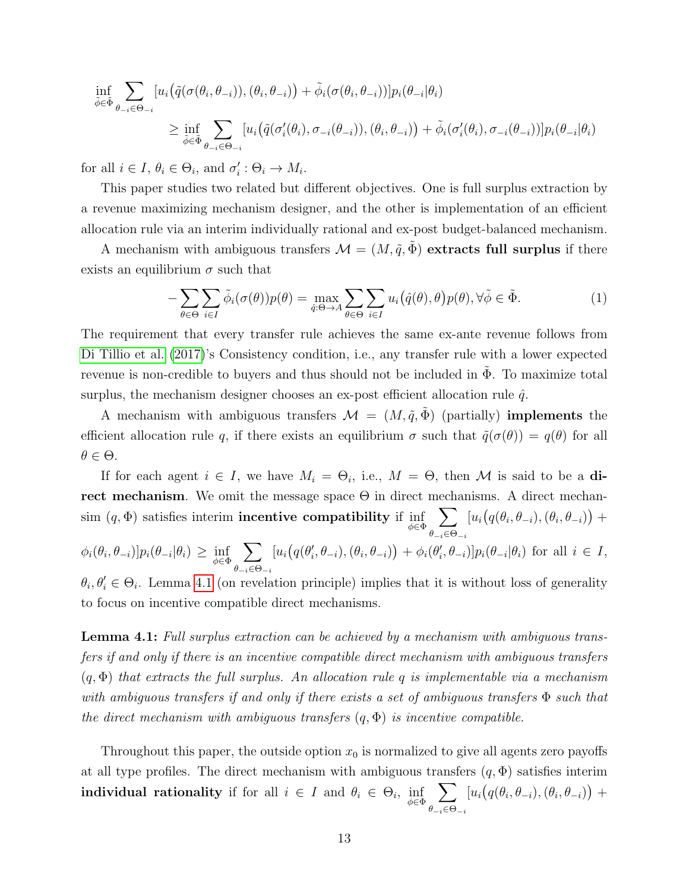$$
\inf_{\tilde{\phi}\in\tilde{\Phi}}\sum_{\theta_{-i}\in\Theta_{-i}}[u_i(\tilde{q}(\sigma(\theta_i,\theta_{-i})),(\theta_i,\theta_{-i}))+\tilde{\phi}_i(\sigma(\theta_i,\theta_{-i}))]p_i(\theta_{-i}|\theta_i)
$$
\n
$$
\geq \inf_{\tilde{\phi}\in\tilde{\Phi}}\sum_{\theta_{-i}\in\Theta_{-i}}[u_i(\tilde{q}(\sigma'_i(\theta_i),\sigma_{-i}(\theta_{-i})),(\theta_i,\theta_{-i}))+\tilde{\phi}_i(\sigma'_i(\theta_i),\sigma_{-i}(\theta_{-i}))]p_i(\theta_{-i}|\theta_i)
$$

for all  $i \in I$ ,  $\theta_i \in \Theta_i$ , and  $\sigma'_i : \Theta_i \to M_i$ .

This paper studies two related but different objectives. One is full surplus extraction by a revenue maximizing mechanism designer, and the other is implementation of an efficient allocation rule via an interim individually rational and ex-post budget-balanced mechanism.

A mechanism with ambiguous transfers  $\mathcal{M} = (M, \tilde{q}, \tilde{\Phi})$  extracts full surplus if there exists an equilibrium  $\sigma$  such that

<span id="page-12-1"></span>
$$
-\sum_{\theta \in \Theta} \sum_{i \in I} \tilde{\phi}_i(\sigma(\theta)) p(\theta) = \max_{\hat{q}: \Theta \to A} \sum_{\theta \in \Theta} \sum_{i \in I} u_i(\hat{q}(\theta), \theta) p(\theta), \forall \tilde{\phi} \in \tilde{\Phi}.
$$
 (1)

The requirement that every transfer rule achieves the same ex-ante revenue follows from [Di Tillio et al.](#page-41-1) [\(2017\)](#page-41-1)'s Consistency condition, i.e., any transfer rule with a lower expected revenue is non-credible to buyers and thus should not be included in  $\Phi$ . To maximize total surplus, the mechanism designer chooses an ex-post efficient allocation rule  $\hat{q}$ .

A mechanism with ambiguous transfers  $\mathcal{M} = (M, \tilde{q}, \tilde{\Phi})$  (partially) **implements** the efficient allocation rule q, if there exists an equilibrium  $\sigma$  such that  $\tilde{q}(\sigma(\theta)) = q(\theta)$  for all  $\theta \in \Theta$ .

If for each agent  $i \in I$ , we have  $M_i = \Theta_i$ , i.e.,  $M = \Theta$ , then M is said to be a direct mechanism. We omit the message space  $\Theta$  in direct mechanisms. A direct mechan- $\text{sim}(q, \Phi)$  satisfies interim **incentive compatibility** if  $\inf_{\phi \in \Phi}$  $\sum$  $\theta_{-i}\in\Theta_{-i}$  $[u_i(q(\theta_i, \theta_{-i}), (\theta_i, \theta_{-i})) +$  $\phi_i(\theta_i, \theta_{-i})] p_i(\theta_{-i} | \theta_i) \geq \inf_{\phi \in \Phi}$  $\sum$  $\theta_{-i} \in \Theta_{-i}$  $[u_i(q(\theta'_i, \theta_{-i}), (\theta_i, \theta_{-i})) + \phi_i(\theta'_i, \theta_{-i})] p_i(\theta_{-i} | \theta_i)$  for all  $i \in I$ ,  $\theta_i, \theta'_i \in \Theta_i$ . Lemma [4.1](#page-12-0) (on revelation principle) implies that it is without loss of generality

to focus on incentive compatible direct mechanisms.

<span id="page-12-0"></span>Lemma 4.1: Full surplus extraction can be achieved by a mechanism with ambiguous transfers if and only if there is an incentive compatible direct mechanism with ambiguous transfers  $(q, \Phi)$  that extracts the full surplus. An allocation rule q is implementable via a mechanism with ambiguous transfers if and only if there exists a set of ambiguous transfers Φ such that the direct mechanism with ambiguous transfers  $(q, \Phi)$  is incentive compatible.

Throughout this paper, the outside option  $x_0$  is normalized to give all agents zero payoffs at all type profiles. The direct mechanism with ambiguous transfers  $(q, \Phi)$  satisfies interim  ${\rm \bf individual \,\,\, rationality} \,\,\, {\rm if} \,\,\, {\rm for} \,\,\,{\rm all} \,\,\, i \,\in\, I \,\,\,{\rm and} \,\,\, \theta_i \,\in\, \Theta_i, \,\,\, \inf_{\phi \in \Phi}$  $\sum$  $\theta_{-i}\in\Theta_{-i}$  $[u_i(q(\theta_i, \theta_{-i}), (\theta_i, \theta_{-i})) +$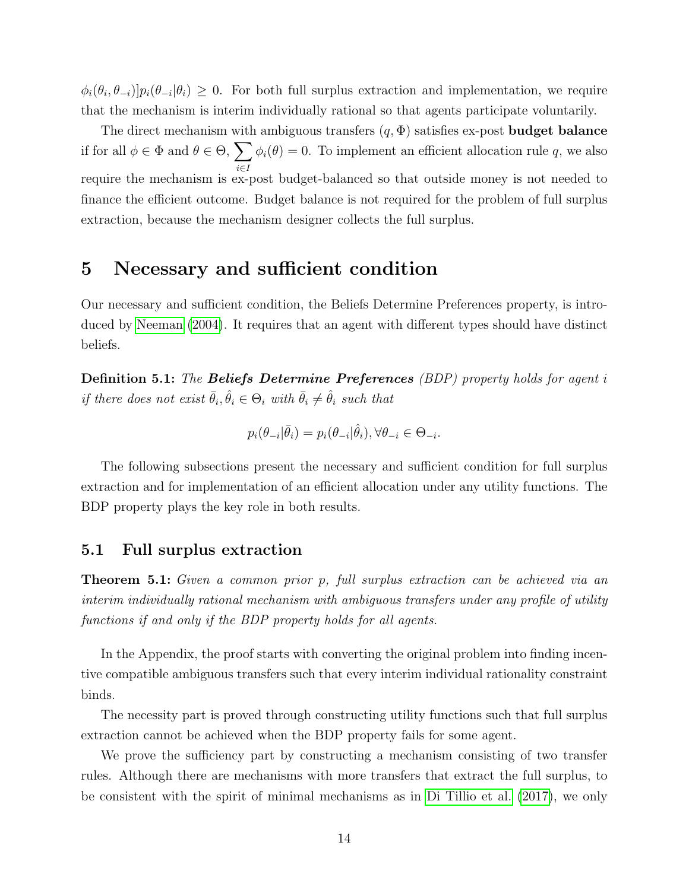$\phi_i(\theta_i, \theta_{-i})$   $p_i(\theta_{-i}|\theta_i) \geq 0$ . For both full surplus extraction and implementation, we require that the mechanism is interim individually rational so that agents participate voluntarily.

The direct mechanism with ambiguous transfers  $(q, \Phi)$  satisfies ex-post **budget balance** if for all  $\phi \in \Phi$  and  $\theta \in \Theta$ ,  $\sum$ i∈I  $\phi_i(\theta) = 0$ . To implement an efficient allocation rule q, we also require the mechanism is ex-post budget-balanced so that outside money is not needed to finance the efficient outcome. Budget balance is not required for the problem of full surplus extraction, because the mechanism designer collects the full surplus.

## <span id="page-13-0"></span>5 Necessary and sufficient condition

Our necessary and sufficient condition, the Beliefs Determine Preferences property, is introduced by [Neeman](#page-42-0) [\(2004\)](#page-42-0). It requires that an agent with different types should have distinct beliefs.

**Definition 5.1:** The **Beliefs Determine Preferences** (BDP) property holds for agent i if there does not exist  $\bar{\theta}_i, \hat{\theta}_i \in \Theta_i$  with  $\bar{\theta}_i \neq \hat{\theta}_i$  such that

$$
p_i(\theta_{-i}|\bar{\theta}_i) = p_i(\theta_{-i}|\hat{\theta}_i), \forall \theta_{-i} \in \Theta_{-i}.
$$

The following subsections present the necessary and sufficient condition for full surplus extraction and for implementation of an efficient allocation under any utility functions. The BDP property plays the key role in both results.

#### <span id="page-13-1"></span>5.1 Full surplus extraction

<span id="page-13-2"></span>Theorem 5.1: Given a common prior p, full surplus extraction can be achieved via an interim individually rational mechanism with ambiguous transfers under any profile of utility functions if and only if the BDP property holds for all agents.

In the Appendix, the proof starts with converting the original problem into finding incentive compatible ambiguous transfers such that every interim individual rationality constraint binds.

The necessity part is proved through constructing utility functions such that full surplus extraction cannot be achieved when the BDP property fails for some agent.

We prove the sufficiency part by constructing a mechanism consisting of two transfer rules. Although there are mechanisms with more transfers that extract the full surplus, to be consistent with the spirit of minimal mechanisms as in [Di Tillio et al.](#page-41-1) [\(2017\)](#page-41-1), we only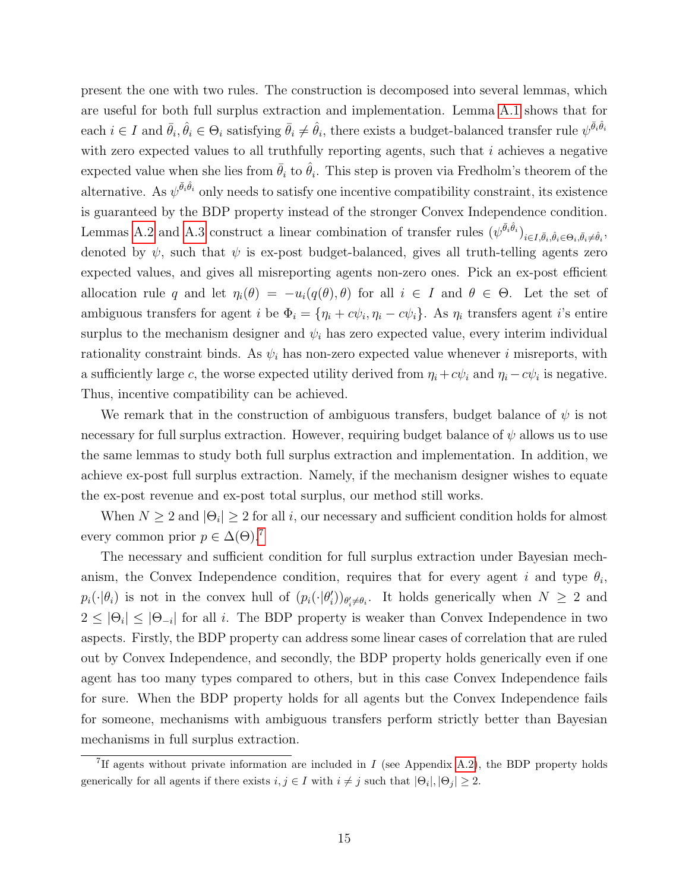present the one with two rules. The construction is decomposed into several lemmas, which are useful for both full surplus extraction and implementation. Lemma [A.1](#page-24-0) shows that for  $\text{each } i \in I \text{ and } \bar{\theta}_i, \hat{\theta}_i \in \Theta_i \text{ satisfying } \bar{\theta}_i \neq \hat{\theta}_i, \text{ there exists a budget-balanced transfer rule } \psi^{\bar{\theta}_i \hat{\theta}_i}$ with zero expected values to all truthfully reporting agents, such that  $i$  achieves a negative expected value when she lies from  $\bar{\theta}_i$  to  $\hat{\theta}_i$ . This step is proven via Fredholm's theorem of the alternative. As  $\psi^{\bar{\theta}_i \hat{\theta}_i}$  only needs to satisfy one incentive compatibility constraint, its existence is guaranteed by the BDP property instead of the stronger Convex Independence condition. Lemmas [A.2](#page-25-0) and [A.3](#page-26-0) construct a linear combination of transfer rules  $(\psi^{\bar{\theta}_i \hat{\theta}_i})_{i \in I, \bar{\theta}_i, \hat{\theta}_i \in \Theta_i, \bar{\theta}_i \neq \hat{\theta}_i}$ denoted by  $\psi$ , such that  $\psi$  is ex-post budget-balanced, gives all truth-telling agents zero expected values, and gives all misreporting agents non-zero ones. Pick an ex-post efficient allocation rule q and let  $\eta_i(\theta) = -u_i(q(\theta), \theta)$  for all  $i \in I$  and  $\theta \in \Theta$ . Let the set of ambiguous transfers for agent *i* be  $\Phi_i = {\eta_i + c\psi_i, \eta_i - c\psi_i}$ . As  $\eta_i$  transfers agent *i*'s entire surplus to the mechanism designer and  $\psi_i$  has zero expected value, every interim individual rationality constraint binds. As  $\psi_i$  has non-zero expected value whenever i misreports, with a sufficiently large c, the worse expected utility derived from  $\eta_i + c\psi_i$  and  $\eta_i - c\psi_i$  is negative. Thus, incentive compatibility can be achieved.

We remark that in the construction of ambiguous transfers, budget balance of  $\psi$  is not necessary for full surplus extraction. However, requiring budget balance of  $\psi$  allows us to use the same lemmas to study both full surplus extraction and implementation. In addition, we achieve ex-post full surplus extraction. Namely, if the mechanism designer wishes to equate the ex-post revenue and ex-post total surplus, our method still works.

When  $N \geq 2$  and  $|\Theta_i| \geq 2$  for all i, our necessary and sufficient condition holds for almost every common prior  $p \in \Delta(\Theta)$ .<sup>[7](#page-14-0)</sup>

The necessary and sufficient condition for full surplus extraction under Bayesian mechanism, the Convex Independence condition, requires that for every agent i and type  $\theta_i$ ,  $p_i(\cdot|\theta_i)$  is not in the convex hull of  $(p_i(\cdot|\theta_i'))_{\theta_i'\neq\theta_i}$ . It holds generically when  $N\geq 2$  and  $2 \leq |\Theta_i| \leq |\Theta_{-i}|$  for all i. The BDP property is weaker than Convex Independence in two aspects. Firstly, the BDP property can address some linear cases of correlation that are ruled out by Convex Independence, and secondly, the BDP property holds generically even if one agent has too many types compared to others, but in this case Convex Independence fails for sure. When the BDP property holds for all agents but the Convex Independence fails for someone, mechanisms with ambiguous transfers perform strictly better than Bayesian mechanisms in full surplus extraction.

<span id="page-14-0"></span><sup>&</sup>lt;sup>7</sup>If agents without private information are included in  $I$  (see Appendix [A.2\)](#page-39-3), the BDP property holds generically for all agents if there exists  $i, j \in I$  with  $i \neq j$  such that  $|\Theta_i|, |\Theta_j| \geq 2$ .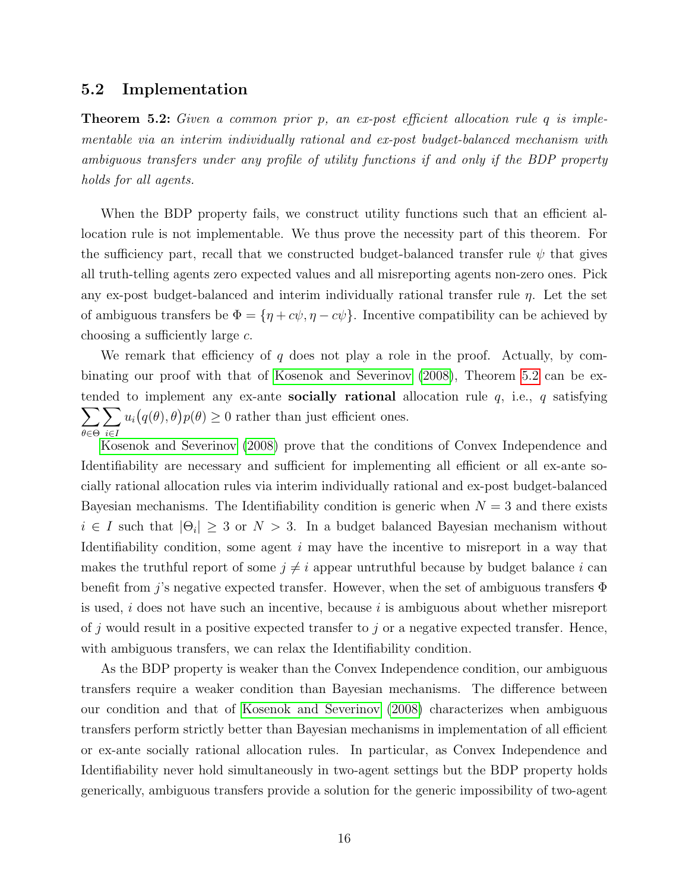#### 5.2 Implementation

<span id="page-15-0"></span>**Theorem 5.2:** Given a common prior p, an ex-post efficient allocation rule q is implementable via an interim individually rational and ex-post budget-balanced mechanism with ambiguous transfers under any profile of utility functions if and only if the BDP property holds for all agents.

When the BDP property fails, we construct utility functions such that an efficient allocation rule is not implementable. We thus prove the necessity part of this theorem. For the sufficiency part, recall that we constructed budget-balanced transfer rule  $\psi$  that gives all truth-telling agents zero expected values and all misreporting agents non-zero ones. Pick any ex-post budget-balanced and interim individually rational transfer rule  $\eta$ . Let the set of ambiguous transfers be  $\Phi = {\eta + c\psi, \eta - c\psi}$ . Incentive compatibility can be achieved by choosing a sufficiently large c.

We remark that efficiency of q does not play a role in the proof. Actually, by combinating our proof with that of [Kosenok and Severinov](#page-41-0) [\(2008\)](#page-41-0), Theorem [5.2](#page-15-0) can be ex- $\sum$ tended to implement any ex-ante **socially rational** allocation rule  $q$ , i.e.,  $q$  satisfying θ∈Θ  $\sum$ i∈I  $u_i(q(\theta), \theta)p(\theta) \geq 0$  rather than just efficient ones.

[Kosenok and Severinov](#page-41-0) [\(2008\)](#page-41-0) prove that the conditions of Convex Independence and Identifiability are necessary and sufficient for implementing all efficient or all ex-ante socially rational allocation rules via interim individually rational and ex-post budget-balanced Bayesian mechanisms. The Identifiability condition is generic when  $N = 3$  and there exists  $i \in I$  such that  $|\Theta_i| \geq 3$  or  $N > 3$ . In a budget balanced Bayesian mechanism without Identifiability condition, some agent  $i$  may have the incentive to misreport in a way that makes the truthful report of some  $j \neq i$  appear untruthful because by budget balance i can benefit from j's negative expected transfer. However, when the set of ambiguous transfers  $\Phi$ is used,  $i$  does not have such an incentive, because  $i$  is ambiguous about whether misreport of j would result in a positive expected transfer to j or a negative expected transfer. Hence, with ambiguous transfers, we can relax the Identifiability condition.

As the BDP property is weaker than the Convex Independence condition, our ambiguous transfers require a weaker condition than Bayesian mechanisms. The difference between our condition and that of [Kosenok and Severinov](#page-41-0) [\(2008\)](#page-41-0) characterizes when ambiguous transfers perform strictly better than Bayesian mechanisms in implementation of all efficient or ex-ante socially rational allocation rules. In particular, as Convex Independence and Identifiability never hold simultaneously in two-agent settings but the BDP property holds generically, ambiguous transfers provide a solution for the generic impossibility of two-agent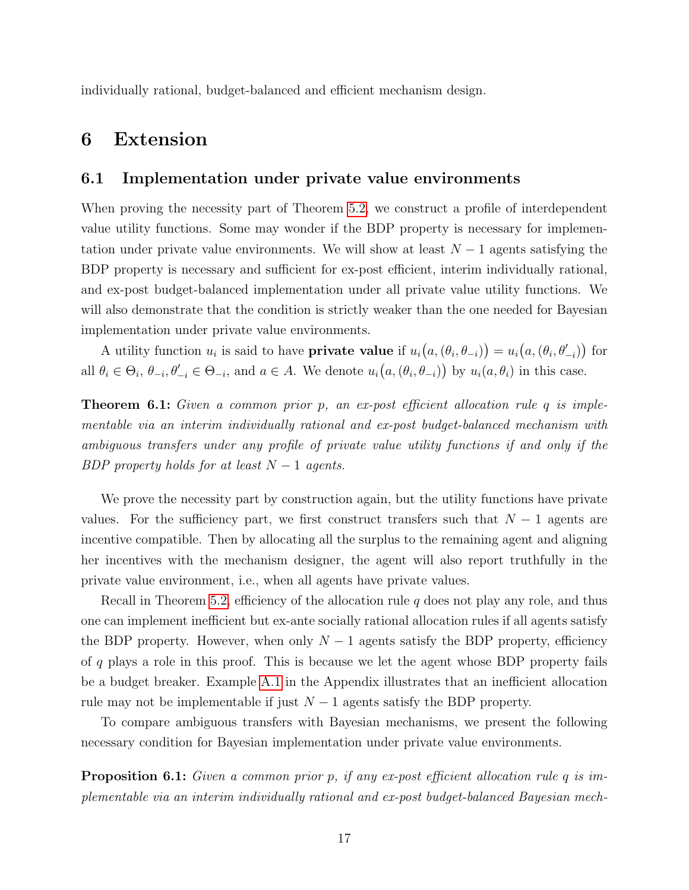individually rational, budget-balanced and efficient mechanism design.

# <span id="page-16-0"></span>6 Extension

### 6.1 Implementation under private value environments

When proving the necessity part of Theorem [5.2,](#page-15-0) we construct a profile of interdependent value utility functions. Some may wonder if the BDP property is necessary for implementation under private value environments. We will show at least  $N-1$  agents satisfying the BDP property is necessary and sufficient for ex-post efficient, interim individually rational, and ex-post budget-balanced implementation under all private value utility functions. We will also demonstrate that the condition is strictly weaker than the one needed for Bayesian implementation under private value environments.

A utility function  $u_i$  is said to have **private value** if  $u_i(a, (\theta_i, \theta_{-i})) = u_i(a, (\theta_i, \theta'_{-i}))$  for all  $\theta_i \in \Theta_i$ ,  $\theta_{-i}, \theta'_{-i} \in \Theta_{-i}$ , and  $a \in A$ . We denote  $u_i(a, (\theta_i, \theta_{-i}))$  by  $u_i(a, \theta_i)$  in this case.

<span id="page-16-1"></span>**Theorem 6.1:** Given a common prior p, an ex-post efficient allocation rule q is implementable via an interim individually rational and ex-post budget-balanced mechanism with ambiguous transfers under any profile of private value utility functions if and only if the BDP property holds for at least  $N-1$  agents.

We prove the necessity part by construction again, but the utility functions have private values. For the sufficiency part, we first construct transfers such that  $N-1$  agents are incentive compatible. Then by allocating all the surplus to the remaining agent and aligning her incentives with the mechanism designer, the agent will also report truthfully in the private value environment, i.e., when all agents have private values.

Recall in Theorem [5.2,](#page-15-0) efficiency of the allocation rule  $q$  does not play any role, and thus one can implement inefficient but ex-ante socially rational allocation rules if all agents satisfy the BDP property. However, when only  $N-1$  agents satisfy the BDP property, efficiency of q plays a role in this proof. This is because we let the agent whose BDP property fails be a budget breaker. Example [A.1](#page-31-0) in the Appendix illustrates that an inefficient allocation rule may not be implementable if just  $N-1$  agents satisfy the BDP property.

To compare ambiguous transfers with Bayesian mechanisms, we present the following necessary condition for Bayesian implementation under private value environments.

<span id="page-16-2"></span>Proposition 6.1: Given a common prior p, if any ex-post efficient allocation rule q is implementable via an interim individually rational and ex-post budget-balanced Bayesian mech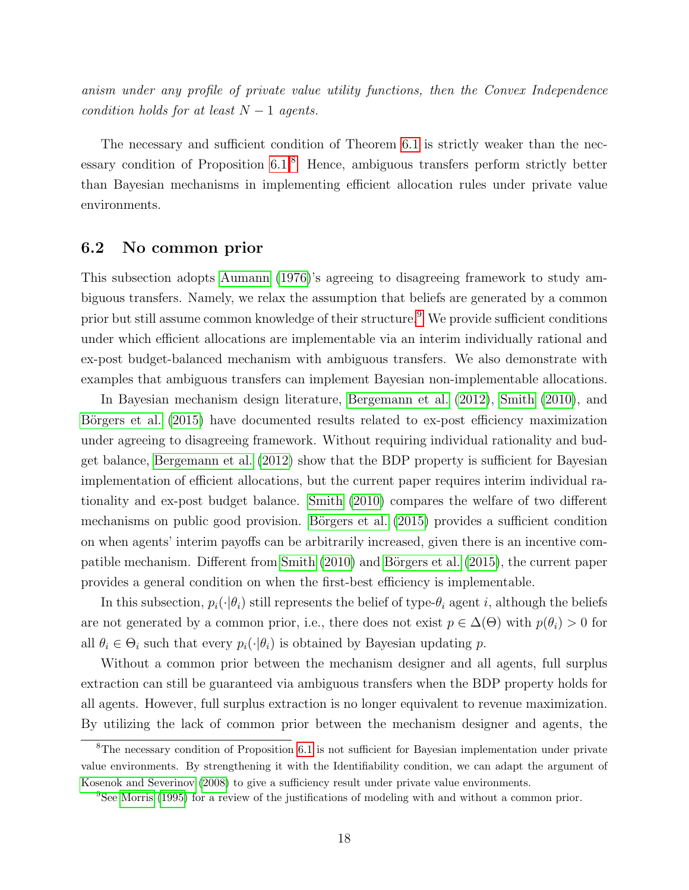anism under any profile of private value utility functions, then the Convex Independence condition holds for at least  $N-1$  agents.

The necessary and sufficient condition of Theorem [6.1](#page-16-1) is strictly weaker than the necessary condition of Proposition  $6.1<sup>8</sup>$  $6.1<sup>8</sup>$  $6.1<sup>8</sup>$  Hence, ambiguous transfers perform strictly better than Bayesian mechanisms in implementing efficient allocation rules under private value environments.

### 6.2 No common prior

This subsection adopts [Aumann](#page-39-4) [\(1976\)](#page-39-4)'s agreeing to disagreeing framework to study ambiguous transfers. Namely, we relax the assumption that beliefs are generated by a common prior but still assume common knowledge of their structure.<sup>[9](#page-17-1)</sup> We provide sufficient conditions under which efficient allocations are implementable via an interim individually rational and ex-post budget-balanced mechanism with ambiguous transfers. We also demonstrate with examples that ambiguous transfers can implement Bayesian non-implementable allocations.

In Bayesian mechanism design literature, [Bergemann et al.](#page-39-5) [\(2012\)](#page-39-5), [Smith](#page-42-11) [\(2010\)](#page-42-11), and Börgers et al. [\(2015\)](#page-40-14) have documented results related to ex-post efficiency maximization under agreeing to disagreeing framework. Without requiring individual rationality and budget balance, [Bergemann et al.](#page-39-5) [\(2012\)](#page-39-5) show that the BDP property is sufficient for Bayesian implementation of efficient allocations, but the current paper requires interim individual rationality and ex-post budget balance. [Smith](#page-42-11) [\(2010\)](#page-42-11) compares the welfare of two different mechanisms on public good provision. Börgers et al. [\(2015\)](#page-40-14) provides a sufficient condition on when agents' interim payoffs can be arbitrarily increased, given there is an incentive com-patible mechanism. Different from [Smith](#page-42-11)  $(2010)$  and Börgers et al.  $(2015)$ , the current paper provides a general condition on when the first-best efficiency is implementable.

In this subsection,  $p_i(\cdot|\theta_i)$  still represents the belief of type- $\theta_i$  agent i, although the beliefs are not generated by a common prior, i.e., there does not exist  $p \in \Delta(\Theta)$  with  $p(\theta_i) > 0$  for all  $\theta_i \in \Theta_i$  such that every  $p_i(\cdot|\theta_i)$  is obtained by Bayesian updating p.

Without a common prior between the mechanism designer and all agents, full surplus extraction can still be guaranteed via ambiguous transfers when the BDP property holds for all agents. However, full surplus extraction is no longer equivalent to revenue maximization. By utilizing the lack of common prior between the mechanism designer and agents, the

<span id="page-17-0"></span><sup>&</sup>lt;sup>8</sup>The necessary condition of Proposition [6.1](#page-16-2) is not sufficient for Bayesian implementation under private value environments. By strengthening it with the Identifiability condition, we can adapt the argument of [Kosenok and Severinov](#page-41-0) [\(2008\)](#page-41-0) to give a sufficiency result under private value environments.

<span id="page-17-1"></span><sup>&</sup>lt;sup>9</sup>See [Morris](#page-42-12) [\(1995\)](#page-42-12) for a review of the justifications of modeling with and without a common prior.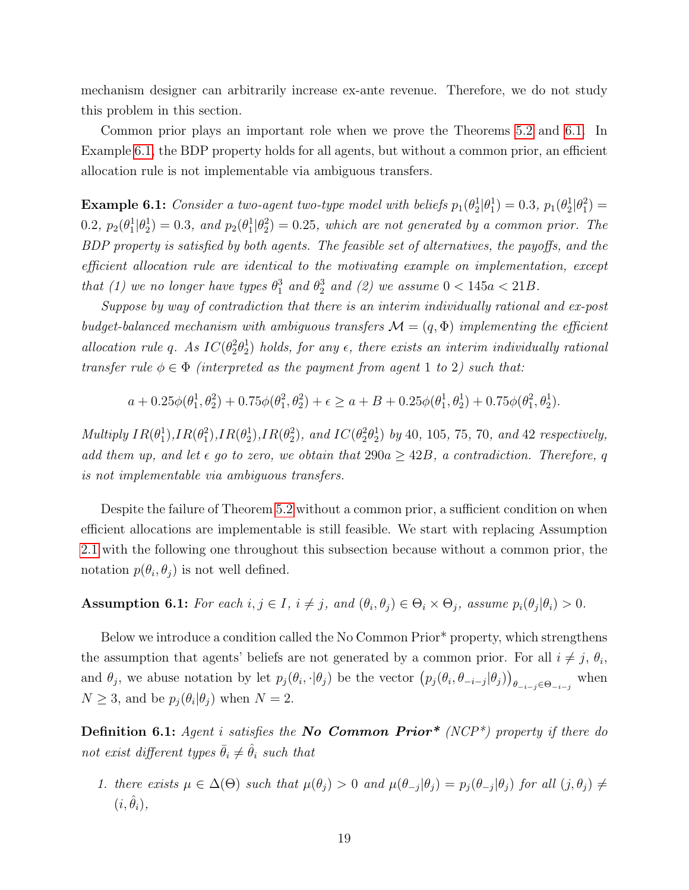mechanism designer can arbitrarily increase ex-ante revenue. Therefore, we do not study this problem in this section.

Common prior plays an important role when we prove the Theorems [5.2](#page-15-0) and [6.1.](#page-16-1) In Example [6.1,](#page-18-0) the BDP property holds for all agents, but without a common prior, an efficient allocation rule is not implementable via ambiguous transfers.

<span id="page-18-0"></span>**Example 6.1:** Consider a two-agent two-type model with beliefs  $p_1(\theta_2^1|\theta_1^1) = 0.3$ ,  $p_1(\theta_2^1|\theta_1^2) =$ 0.2,  $p_2(\theta_1^1|\theta_2^1)=0.3$ , and  $p_2(\theta_1^1|\theta_2^2)=0.25$ , which are not generated by a common prior. The BDP property is satisfied by both agents. The feasible set of alternatives, the payoffs, and the efficient allocation rule are identical to the motivating example on implementation, except that (1) we no longer have types  $\theta_1^3$  and  $\theta_2^3$  and (2) we assume  $0 < 145a < 21B$ .

Suppose by way of contradiction that there is an interim individually rational and ex-post budget-balanced mechanism with ambiguous transfers  $\mathcal{M} = (q, \Phi)$  implementing the efficient allocation rule q. As  $IC(\theta_2^2\theta_2^1)$  holds, for any  $\epsilon$ , there exists an interim individually rational transfer rule  $\phi \in \Phi$  (interpreted as the payment from agent 1 to 2) such that:

$$
a + 0.25\phi(\theta_1^1, \theta_2^2) + 0.75\phi(\theta_1^2, \theta_2^2) + \epsilon \ge a + B + 0.25\phi(\theta_1^1, \theta_2^1) + 0.75\phi(\theta_1^2, \theta_2^1).
$$

Multiply  $IR(\theta_1^1), IR(\theta_2^2), IR(\theta_2^2),$  and  $IC(\theta_2^2\theta_2^1)$  by 40, 105, 75, 70, and 42 respectively, add them up, and let  $\epsilon$  go to zero, we obtain that  $290a \geq 42B$ , a contradiction. Therefore, q is not implementable via ambiguous transfers.

Despite the failure of Theorem [5.2](#page-15-0) without a common prior, a sufficient condition on when efficient allocations are implementable is still feasible. We start with replacing Assumption [2.1](#page-7-2) with the following one throughout this subsection because without a common prior, the notation  $p(\theta_i, \theta_j)$  is not well defined.

### <span id="page-18-2"></span>**Assumption 6.1:** For each  $i, j \in I$ ,  $i \neq j$ , and  $(\theta_i, \theta_j) \in \Theta_i \times \Theta_j$ , assume  $p_i(\theta_j | \theta_i) > 0$ .

Below we introduce a condition called the No Common Prior\* property, which strengthens the assumption that agents' beliefs are not generated by a common prior. For all  $i \neq j$ ,  $\theta_i$ , and  $\theta_j$ , we abuse notation by let  $p_j(\theta_i, \cdot | \theta_j)$  be the vector  $(p_j(\theta_i, \theta_{-i-j} | \theta_j))_{\theta_{-i-j} \in \Theta_{-i-j}}$  when  $N \geq 3$ , and be  $p_j(\theta_i|\theta_j)$  when  $N=2$ .

<span id="page-18-1"></span>**Definition 6.1:** Agent i satisfies the **No Common Prior**\* (NCP<sup>\*</sup>) property if there do not exist different types  $\bar{\theta}_i \neq \hat{\theta}_i$  such that

1. there exists  $\mu \in \Delta(\Theta)$  such that  $\mu(\theta_j) > 0$  and  $\mu(\theta_{-j}|\theta_j) = p_j(\theta_{-j}|\theta_j)$  for all  $(j, \theta_j) \neq j$  $(i, \hat{\theta}_i),$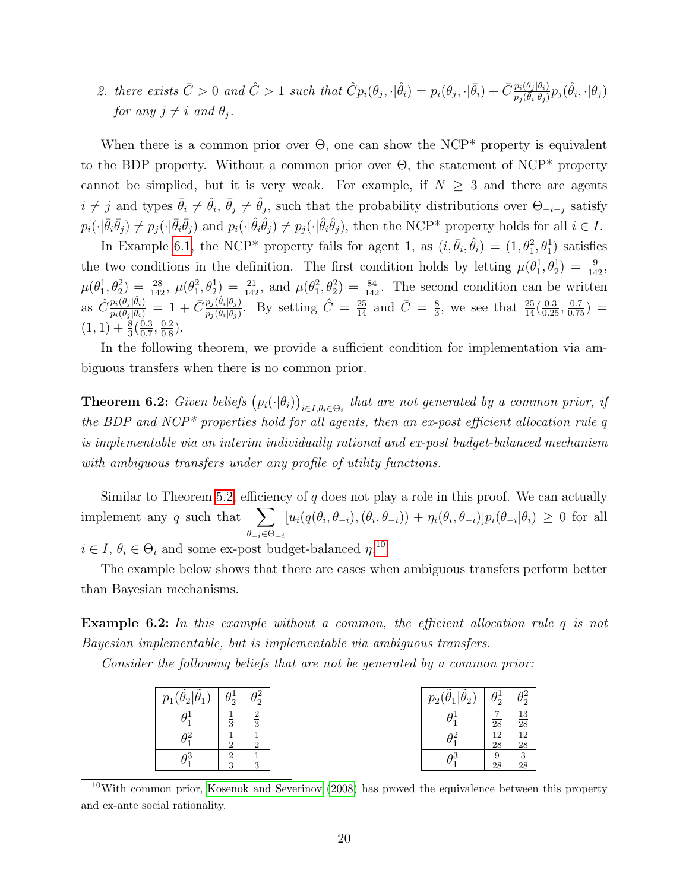2. there exists  $\bar{C} > 0$  and  $\hat{C} > 1$  such that  $\hat{C}p_i(\theta_j, \cdot | \hat{\theta}_i) = p_i(\theta_j, \cdot | \bar{\theta}_i) + \bar{C} \frac{p_i(\theta_j | \bar{\theta}_i)}{p_i(\bar{\theta}_i | \theta_i)}$  $\frac{p_i(\theta_j|\bar{\theta}_i)}{p_j(\bar{\theta}_i|\theta_j)}p_j(\hat{\theta}_i,\cdot|\theta_j)$ for any  $j \neq i$  and  $\theta_j$ .

When there is a common prior over  $\Theta$ , one can show the NCP<sup>\*</sup> property is equivalent to the BDP property. Without a common prior over Θ, the statement of NCP\* property cannot be simplied, but it is very weak. For example, if  $N \geq 3$  and there are agents  $i \neq j$  and types  $\bar{\theta}_i \neq \hat{\theta}_i$ ,  $\bar{\theta}_j \neq \hat{\theta}_j$ , such that the probability distributions over  $\Theta_{-i-j}$  satisfy  $p_i(\cdot|\bar{\theta}_i\bar{\theta}_j) \neq p_j(\cdot|\bar{\theta}_i\bar{\theta}_j)$  and  $p_i(\cdot|\hat{\theta}_i\hat{\theta}_j) \neq p_j(\cdot|\hat{\theta}_i\hat{\theta}_j)$ , then the NCP\* property holds for all  $i \in I$ .

In Example [6.1,](#page-18-0) the NCP<sup>\*</sup> property fails for agent 1, as  $(i, \bar{\theta}_i, \hat{\theta}_i) = (1, \theta_1^2, \theta_1^1)$  satisfies the two conditions in the definition. The first condition holds by letting  $\mu(\theta_1^1, \theta_2^1) = \frac{9}{142}$ ,  $\mu(\theta_1^1, \theta_2^2) = \frac{28}{142}, \ \mu(\theta_1^2, \theta_2^1) = \frac{21}{142}, \text{ and } \mu(\theta_1^2, \theta_2^2) = \frac{84}{142}.$  The second condition can be written as  $\hat{C} \frac{p_i(\theta_j|\hat{\theta}_i)}{p_i(\theta_i|\bar{\theta}_i)}$  $\frac{p_i(\theta_j|\hat{\theta}_i)}{p_i(\theta_j|\bar{\theta}_i)} = 1 + \bar{C} \frac{p_j(\hat{\theta}_i|\theta_j)}{p_j(\bar{\theta}_i|\theta_j)}$  $\frac{p_j(\hat{\theta}_i|\theta_j)}{p_j(\bar{\theta}_i|\theta_j)}$ . By setting  $\hat{C} = \frac{25}{14}$  and  $\bar{C} = \frac{8}{3}$  $\frac{8}{3}$ , we see that  $\frac{25}{14}(\frac{0.3}{0.25}, \frac{0.7}{0.75})$  =  $(1, 1) + \frac{8}{3}(\frac{0.3}{0.7})$  $\frac{0.3}{0.7}, \frac{0.2}{0.8}$  $\frac{0.2}{0.8}$ .

In the following theorem, we provide a sufficient condition for implementation via ambiguous transfers when there is no common prior.

<span id="page-19-1"></span>**Theorem 6.2:** Given beliefs  $(p_i(\cdot|\theta_i))_{i\in I, \theta_i \in \Theta_i}$  that are not generated by a common prior, if the BDP and NCP<sup>\*</sup> properties hold for all agents, then an ex-post efficient allocation rule q is implementable via an interim individually rational and ex-post budget-balanced mechanism with ambiguous transfers under any profile of utility functions.

Similar to Theorem [5.2,](#page-15-0) efficiency of q does not play a role in this proof. We can actually implement any q such that  $\sum$  $\theta_{-i}\in\Theta_{-i}$  $[u_i(q(\theta_i,\theta_{-i}),(\theta_i,\theta_{-i})) + \eta_i(\theta_i,\theta_{-i})]p_i(\theta_{-i}|\theta_i) \geq 0$  for all

 $i \in I, \theta_i \in \Theta_i$  and some ex-post budget-balanced  $\eta$ <sup>[10](#page-19-0)</sup>

The example below shows that there are cases when ambiguous transfers perform better than Bayesian mechanisms.

Example 6.2: In this example without a common, the efficient allocation rule q is not Bayesian implementable, but is implementable via ambiguous transfers.

Consider the following beliefs that are not be generated by a common prior:

| $p_1(\tilde{\theta}_2 \tilde{\theta}_1)$ | $\theta_2^1$  | $\theta_2^2$  |
|------------------------------------------|---------------|---------------|
| $\theta_1^1$                             | $\frac{1}{3}$ | $\frac{2}{3}$ |
| $\theta_1^2$                             | $\frac{1}{2}$ | $\frac{1}{2}$ |
| $\theta_1^3$                             | $\frac{2}{3}$ | $\frac{1}{3}$ |

| $p_2(\tilde{\theta}_1 \tilde{\theta}_2)$ | $\theta_2^1$    | $\theta_2^2$    |
|------------------------------------------|-----------------|-----------------|
| $\theta_1^1$                             | $\overline{28}$ | $\frac{13}{28}$ |
| $\theta_\text{\tiny 1}^2$                | $\frac{12}{28}$ | $\frac{12}{28}$ |
| $\theta_{1}^{3}$                         | $\frac{9}{28}$  | $\frac{3}{28}$  |

<span id="page-19-0"></span> $10$ With common prior, [Kosenok and Severinov](#page-41-0) [\(2008\)](#page-41-0) has proved the equivalence between this property and ex-ante social rationality.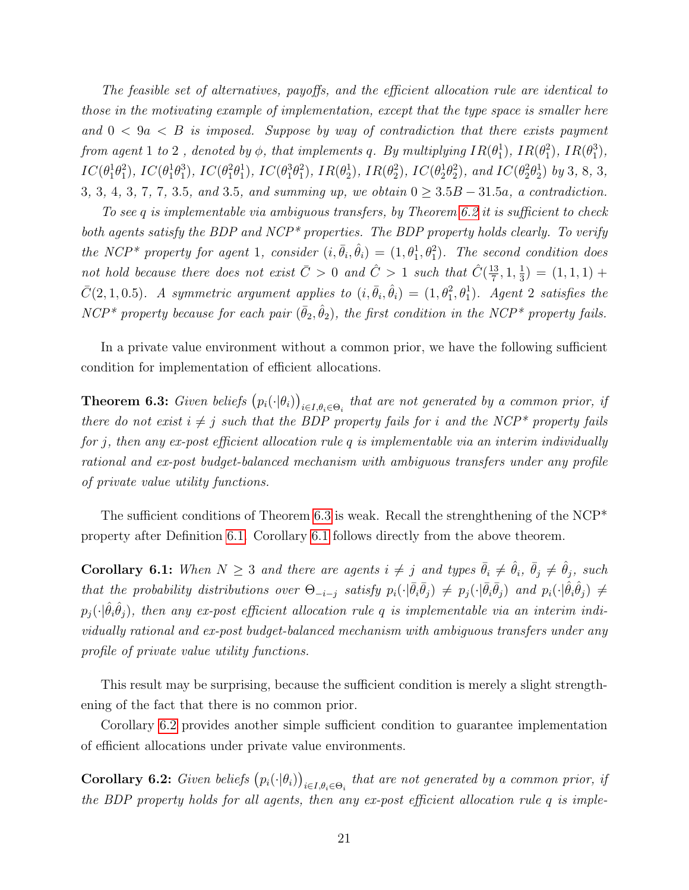The feasible set of alternatives, payoffs, and the efficient allocation rule are identical to those in the motivating example of implementation, except that the type space is smaller here and  $0 < 9a < B$  is imposed. Suppose by way of contradiction that there exists payment from agent  $1$  to  $2$  , denoted by  $\phi$ , that implements  $q$ . By multiplying  $IR(\theta_1^1)$ ,  $IR(\theta_1^2)$ ,  $IR(\theta_1^3)$ ,  $IC(\theta_1^1\theta_1^2)$ ,  $IC(\theta_1^1\theta_1^3)$ ,  $IC(\theta_1^2\theta_1^1)$ ,  $IC(\theta_1^3\theta_1^2)$ ,  $IR(\theta_2^1)$ ,  $IR(\theta_2^2)$ ,  $IC(\theta_2^1\theta_2^2)$ , and  $IC(\theta_2^2\theta_2^1)$  by 3, 8, 3, 3, 3, 4, 3, 7, 7, 3.5, and 3.5, and summing up, we obtain  $0 > 3.5B - 31.5a$ , a contradiction.

To see q is implementable via ambiguous transfers, by Theorem [6.2](#page-19-1) it is sufficient to check both agents satisfy the BDP and NCP<sup>\*</sup> properties. The BDP property holds clearly. To verify the NCP<sup>\*</sup> property for agent 1, consider  $(i, \bar{\theta}_i, \hat{\theta}_i) = (1, \theta_1^1, \theta_1^2)$ . The second condition does not hold because there does not exist  $\bar{C} > 0$  and  $\hat{C} > 1$  such that  $\hat{C}(\frac{13}{7})$  $\frac{13}{7}$ , 1,  $\frac{1}{3}$  $(\frac{1}{3}) = (1, 1, 1) +$  $\bar{C}(2,1,0.5)$ . A symmetric argument applies to  $(i,\bar{\theta}_i,\hat{\theta}_i) = (1,\theta_1^2,\theta_1^1)$ . Agent 2 satisfies the NCP<sup>\*</sup> property because for each pair  $(\bar{\theta}_2, \hat{\theta}_2)$ , the first condition in the NCP<sup>\*</sup> property fails.

In a private value environment without a common prior, we have the following sufficient condition for implementation of efficient allocations.

<span id="page-20-0"></span>**Theorem 6.3:** Given beliefs  $(p_i(\cdot|\theta_i))_{i\in I, \theta_i \in \Theta_i}$  that are not generated by a common prior, if there do not exist  $i \neq j$  such that the BDP property fails for i and the NCP\* property fails for j, then any ex-post efficient allocation rule q is implementable via an interim individually rational and ex-post budget-balanced mechanism with ambiguous transfers under any profile of private value utility functions.

The sufficient conditions of Theorem [6.3](#page-20-0) is weak. Recall the strenghthening of the  $NCP^*$ property after Definition [6.1.](#page-18-1) Corollary [6.1](#page-20-1) follows directly from the above theorem.

<span id="page-20-1"></span>**Corollary 6.1:** When  $N \geq 3$  and there are agents  $i \neq j$  and types  $\bar{\theta}_i \neq \hat{\theta}_i$ ,  $\bar{\theta}_j \neq \hat{\theta}_j$ , such that the probability distributions over  $\Theta_{-i-j}$  satisfy  $p_i(\cdot|\bar{\theta}_i\bar{\theta}_j) \neq p_j(\cdot|\bar{\theta}_i\bar{\theta}_j)$  and  $p_i(\cdot|\hat{\theta}_i\hat{\theta}_j) \neq$  $p_j(\cdot|\hat{\theta}_i\hat{\theta}_j)$ , then any ex-post efficient allocation rule q is implementable via an interim individually rational and ex-post budget-balanced mechanism with ambiguous transfers under any profile of private value utility functions.

This result may be surprising, because the sufficient condition is merely a slight strengthening of the fact that there is no common prior.

Corollary [6.2](#page-20-2) provides another simple sufficient condition to guarantee implementation of efficient allocations under private value environments.

<span id="page-20-2"></span>**Corollary 6.2:** Given beliefs  $(p_i(\cdot|\theta_i))_{i\in I, \theta_i \in \Theta_i}$  that are not generated by a common prior, if the BDP property holds for all agents, then any ex-post efficient allocation rule q is imple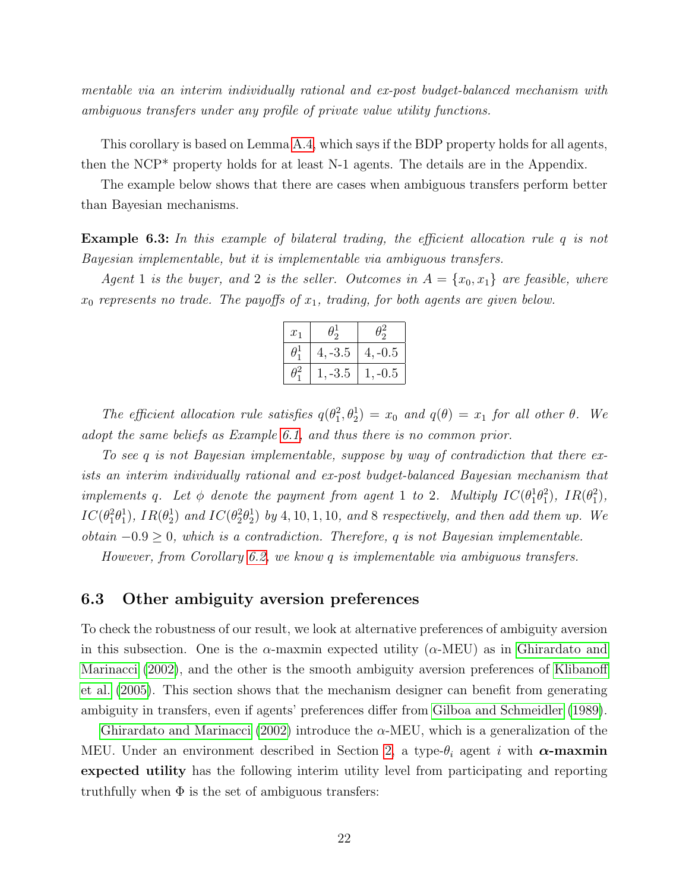mentable via an interim individually rational and ex-post budget-balanced mechanism with ambiguous transfers under any profile of private value utility functions.

This corollary is based on Lemma [A.4,](#page-33-0) which says if the BDP property holds for all agents, then the NCP\* property holds for at least N-1 agents. The details are in the Appendix.

The example below shows that there are cases when ambiguous transfers perform better than Bayesian mechanisms.

Example 6.3: In this example of bilateral trading, the efficient allocation rule q is not Bayesian implementable, but it is implementable via ambiguous transfers.

Agent 1 is the buyer, and 2 is the seller. Outcomes in  $A = \{x_0, x_1\}$  are feasible, where  $x_0$  represents no trade. The payoffs of  $x_1$ , trading, for both agents are given below.

| $x_1$    | $\theta_{\rm o}$ | $\frac{1}{2}$ |
|----------|------------------|---------------|
| $\theta$ | $4, -3.5$        | $4, -0.5$     |
|          | $-3.5$           | -0.5<br>Ī.    |

The efficient allocation rule satisfies  $q(\theta_1^2, \theta_2^1) = x_0$  and  $q(\theta) = x_1$  for all other  $\theta$ . We adopt the same beliefs as Example [6.1,](#page-18-0) and thus there is no common prior.

To see q is not Bayesian implementable, suppose by way of contradiction that there exists an interim individually rational and ex-post budget-balanced Bayesian mechanism that implements q. Let  $\phi$  denote the payment from agent 1 to 2. Multiply  $IC(\theta_1^1\theta_1^2)$ ,  $IR(\theta_1^2)$ ,  $IC(\theta_1^2\theta_1^1)$ ,  $IR(\theta_2^1)$  and  $IC(\theta_2^2\theta_2^1)$  by 4, 10, 1, 10, and 8 respectively, and then add them up. We obtain  $-0.9 ≥ 0$ , which is a contradiction. Therefore, q is not Bayesian implementable.

However, from Corollary [6.2,](#page-20-2) we know q is implementable via ambiguous transfers.

#### 6.3 Other ambiguity aversion preferences

To check the robustness of our result, we look at alternative preferences of ambiguity aversion in this subsection. One is the  $\alpha$ -maxmin expected utility ( $\alpha$ -MEU) as in [Ghirardato and](#page-41-13) [Marinacci](#page-41-13) [\(2002\)](#page-41-13), and the other is the smooth ambiguity aversion preferences of [Klibanoff](#page-41-14) [et al.](#page-41-14) [\(2005\)](#page-41-14). This section shows that the mechanism designer can benefit from generating ambiguity in transfers, even if agents' preferences differ from [Gilboa and Schmeidler](#page-41-12) [\(1989\)](#page-41-12).

[Ghirardato and Marinacci](#page-41-13) [\(2002\)](#page-41-13) introduce the  $\alpha$ -MEU, which is a generalization of the MEU. Under an environment described in Section [2,](#page-6-0) a type- $\theta_i$  agent i with  $\alpha$ -maxmin expected utility has the following interim utility level from participating and reporting truthfully when  $\Phi$  is the set of ambiguous transfers: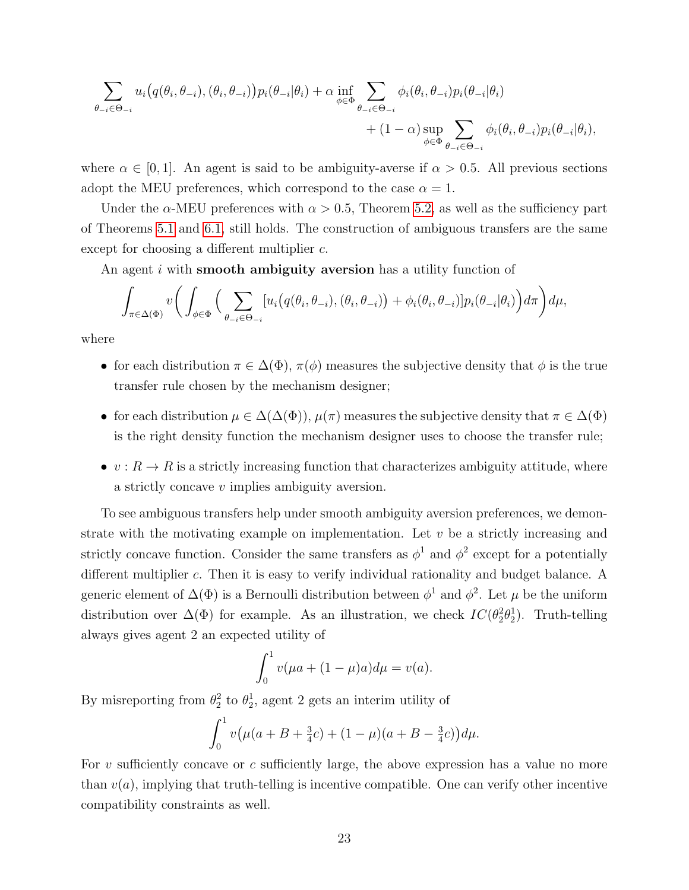$$
\sum_{\theta_{-i}\in\Theta_{-i}} u_i(q(\theta_i,\theta_{-i}),(\theta_i,\theta_{-i})) p_i(\theta_{-i}|\theta_i) + \alpha \inf_{\phi\in\Phi} \sum_{\theta_{-i}\in\Theta_{-i}} \phi_i(\theta_i,\theta_{-i}) p_i(\theta_{-i}|\theta_i) + (1-\alpha) \sup_{\phi\in\Phi} \sum_{\theta_{-i}\in\Theta_{-i}} \phi_i(\theta_i,\theta_{-i}) p_i(\theta_{-i}|\theta_i),
$$

where  $\alpha \in [0, 1]$ . An agent is said to be ambiguity-averse if  $\alpha > 0.5$ . All previous sections adopt the MEU preferences, which correspond to the case  $\alpha = 1$ .

Under the  $\alpha$ -MEU preferences with  $\alpha > 0.5$ , Theorem [5.2,](#page-15-0) as well as the sufficiency part of Theorems [5.1](#page-13-2) and [6.1,](#page-16-1) still holds. The construction of ambiguous transfers are the same except for choosing a different multiplier c.

An agent *i* with **smooth ambiguity aversion** has a utility function of

$$
\int_{\pi \in \Delta(\Phi)} v \bigg( \int_{\phi \in \Phi} \Big( \sum_{\theta_{-i} \in \Theta_{-i}} [u_i(q(\theta_i, \theta_{-i}), (\theta_i, \theta_{-i})) + \phi_i(\theta_i, \theta_{-i})] p_i(\theta_{-i} | \theta_i) \bigg) d\pi \bigg) d\mu,
$$

where

- for each distribution  $\pi \in \Delta(\Phi)$ ,  $\pi(\phi)$  measures the subjective density that  $\phi$  is the true transfer rule chosen by the mechanism designer;
- for each distribution  $\mu \in \Delta(\Delta(\Phi))$ ,  $\mu(\pi)$  measures the subjective density that  $\pi \in \Delta(\Phi)$ is the right density function the mechanism designer uses to choose the transfer rule;
- $v: R \to R$  is a strictly increasing function that characterizes ambiguity attitude, where a strictly concave v implies ambiguity aversion.

To see ambiguous transfers help under smooth ambiguity aversion preferences, we demonstrate with the motivating example on implementation. Let  $v$  be a strictly increasing and strictly concave function. Consider the same transfers as  $\phi^1$  and  $\phi^2$  except for a potentially different multiplier c. Then it is easy to verify individual rationality and budget balance. A generic element of  $\Delta(\Phi)$  is a Bernoulli distribution between  $\phi^1$  and  $\phi^2$ . Let  $\mu$  be the uniform distribution over  $\Delta(\Phi)$  for example. As an illustration, we check  $IC(\theta_2^2 \theta_2^1)$ . Truth-telling always gives agent 2 an expected utility of

$$
\int_0^1 v(\mu a + (1 - \mu)a)d\mu = v(a).
$$

By misreporting from  $\theta_2^2$  to  $\theta_2^1$ , agent 2 gets an interim utility of

$$
\int_0^1 v\big(\mu(a+B+\tfrac{3}{4}c) + (1-\mu)(a+B-\tfrac{3}{4}c)\big)d\mu.
$$

For v sufficiently concave or c sufficiently large, the above expression has a value no more than  $v(a)$ , implying that truth-telling is incentive compatible. One can verify other incentive compatibility constraints as well.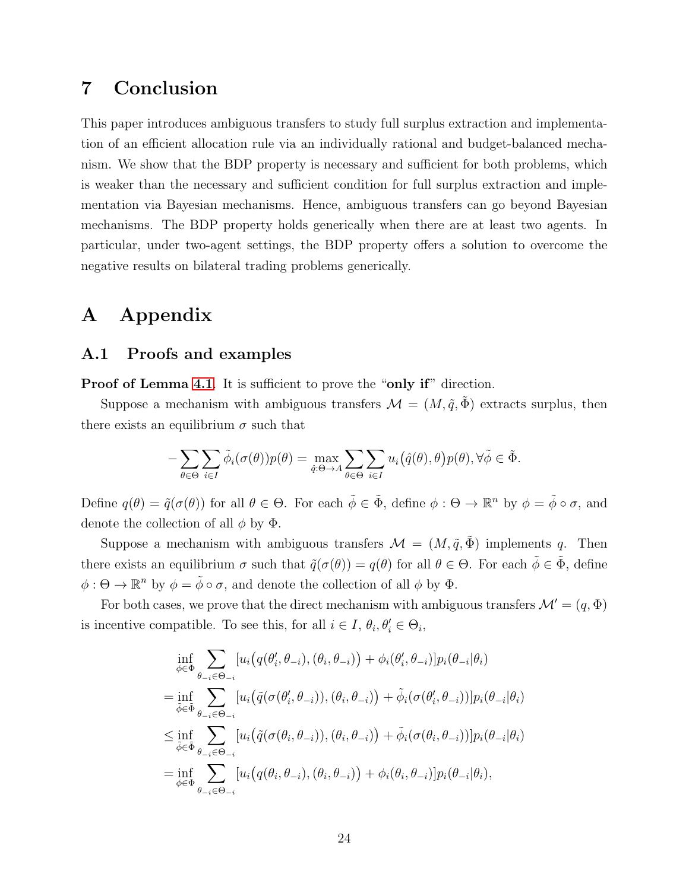# 7 Conclusion

This paper introduces ambiguous transfers to study full surplus extraction and implementation of an efficient allocation rule via an individually rational and budget-balanced mechanism. We show that the BDP property is necessary and sufficient for both problems, which is weaker than the necessary and sufficient condition for full surplus extraction and implementation via Bayesian mechanisms. Hence, ambiguous transfers can go beyond Bayesian mechanisms. The BDP property holds generically when there are at least two agents. In particular, under two-agent settings, the BDP property offers a solution to overcome the negative results on bilateral trading problems generically.

# A Appendix

### A.1 Proofs and examples

Proof of Lemma [4.1](#page-12-0). It is sufficient to prove the "only if" direction.

Suppose a mechanism with ambiguous transfers  $\mathcal{M} = (M, \tilde{q}, \tilde{\Phi})$  extracts surplus, then there exists an equilibrium  $\sigma$  such that

$$
-\sum_{\theta \in \Theta} \sum_{i \in I} \tilde{\phi}_i(\sigma(\theta)) p(\theta) = \max_{\hat{q}: \Theta \to A} \sum_{\theta \in \Theta} \sum_{i \in I} u_i(\hat{q}(\theta), \theta) p(\theta), \forall \tilde{\phi} \in \tilde{\Phi}.
$$

Define  $q(\theta) = \tilde{q}(\sigma(\theta))$  for all  $\theta \in \Theta$ . For each  $\tilde{\phi} \in \tilde{\Phi}$ , define  $\phi : \Theta \to \mathbb{R}^n$  by  $\phi = \tilde{\phi} \circ \sigma$ , and denote the collection of all  $\phi$  by  $\Phi$ .

Suppose a mechanism with ambiguous transfers  $\mathcal{M} = (M, \tilde{q}, \tilde{\Phi})$  implements q. Then there exists an equilibrium  $\sigma$  such that  $\tilde{q}(\sigma(\theta)) = q(\theta)$  for all  $\theta \in \Theta$ . For each  $\tilde{\phi} \in \tilde{\Phi}$ , define  $\phi : \Theta \to \mathbb{R}^n$  by  $\phi = \tilde{\phi} \circ \sigma$ , and denote the collection of all  $\phi$  by  $\Phi$ .

For both cases, we prove that the direct mechanism with ambiguous transfers  $\mathcal{M}' = (q, \Phi)$ is incentive compatible. To see this, for all  $i \in I$ ,  $\theta_i$ ,  $\theta'_i \in \Theta_i$ ,

$$
\inf_{\phi \in \Phi} \sum_{\theta_{-i} \in \Theta_{-i}} [u_i(q(\theta'_i, \theta_{-i}), (\theta_i, \theta_{-i})) + \phi_i(\theta'_i, \theta_{-i})] p_i(\theta_{-i}|\theta_i)
$$
\n
$$
= \inf_{\tilde{\phi} \in \tilde{\Phi}} \sum_{\theta_{-i} \in \Theta_{-i}} [u_i(\tilde{q}(\sigma(\theta'_i, \theta_{-i})), (\theta_i, \theta_{-i})) + \tilde{\phi}_i(\sigma(\theta'_i, \theta_{-i}))] p_i(\theta_{-i}|\theta_i)
$$
\n
$$
\leq \inf_{\tilde{\phi} \in \tilde{\Phi}} \sum_{\theta_{-i} \in \Theta_{-i}} [u_i(\tilde{q}(\sigma(\theta_i, \theta_{-i})), (\theta_i, \theta_{-i})) + \tilde{\phi}_i(\sigma(\theta_i, \theta_{-i}))] p_i(\theta_{-i}|\theta_i)
$$
\n
$$
= \inf_{\phi \in \Phi} \sum_{\theta_{-i} \in \Theta_{-i}} [u_i(q(\theta_i, \theta_{-i}), (\theta_i, \theta_{-i})) + \phi_i(\theta_i, \theta_{-i})] p_i(\theta_{-i}|\theta_i),
$$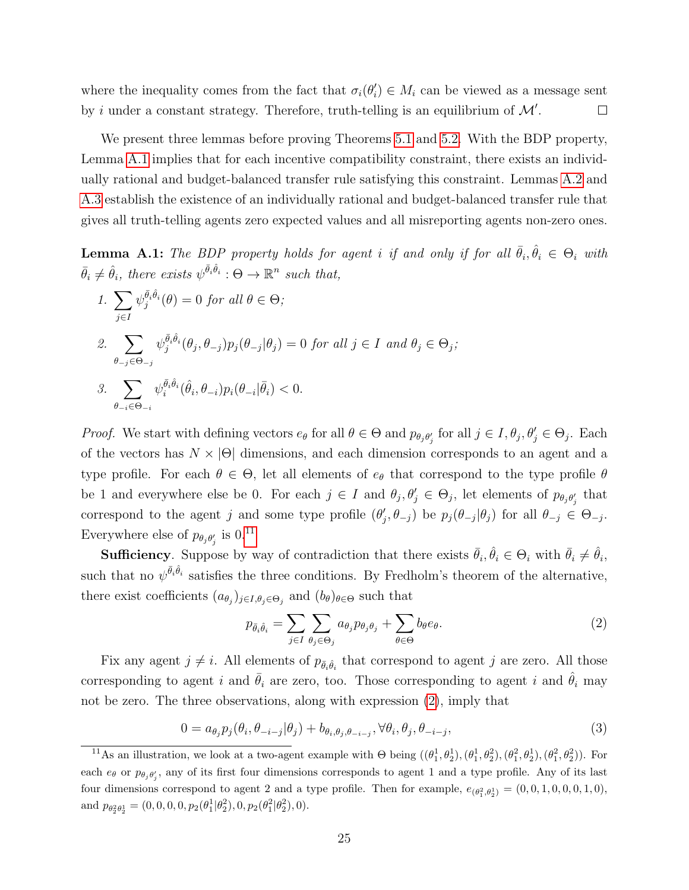where the inequality comes from the fact that  $\sigma_i(\theta_i') \in M_i$  can be viewed as a message sent by i under a constant strategy. Therefore, truth-telling is an equilibrium of  $\mathcal{M}'$ .  $\Box$ 

We present three lemmas before proving Theorems [5.1](#page-13-2) and [5.2.](#page-15-0) With the BDP property, Lemma [A.1](#page-24-0) implies that for each incentive compatibility constraint, there exists an individually rational and budget-balanced transfer rule satisfying this constraint. Lemmas [A.2](#page-25-0) and [A.3](#page-26-0) establish the existence of an individually rational and budget-balanced transfer rule that gives all truth-telling agents zero expected values and all misreporting agents non-zero ones.

<span id="page-24-0"></span>**Lemma A.1:** The BDP property holds for agent i if and only if for all  $\bar{\theta}_i, \hat{\theta}_i \in \Theta_i$  with  $\bar{\theta}_i \neq \hat{\theta}_i$ , there exists  $\psi^{\bar{\theta}_i \hat{\theta}_i} : \Theta \to \mathbb{R}^n$  such that,

1. 
$$
\sum_{j\in I} \psi_j^{\bar{\theta}_i \hat{\theta}_i}(\theta) = 0 \text{ for all } \theta \in \Theta;
$$
  
\n2. 
$$
\sum_{\theta_{-j} \in \Theta_{-j}} \psi_j^{\bar{\theta}_i \hat{\theta}_i}(\theta_j, \theta_{-j}) p_j(\theta_{-j} | \theta_j) = 0 \text{ for all } j \in I \text{ and } \theta_j \in \Theta_j;
$$
  
\n3. 
$$
\sum_{\theta_{-i} \in \Theta_{-i}} \psi_i^{\bar{\theta}_i \hat{\theta}_i}(\hat{\theta}_i, \theta_{-i}) p_i(\theta_{-i} | \bar{\theta}_i) < 0.
$$

*Proof.* We start with defining vectors  $e_{\theta}$  for all  $\theta \in \Theta$  and  $p_{\theta_j \theta_j}$  for all  $j \in I, \theta_j, \theta_j' \in \Theta_j$ . Each of the vectors has  $N \times |\Theta|$  dimensions, and each dimension corresponds to an agent and a type profile. For each  $\theta \in \Theta$ , let all elements of  $e_{\theta}$  that correspond to the type profile  $\theta$ be 1 and everywhere else be 0. For each  $j \in I$  and  $\theta_j, \theta'_j \in \Theta_j$ , let elements of  $p_{\theta_j \theta'_j}$  that correspond to the agent j and some type profile  $(\theta'_j, \theta_{-j})$  be  $p_j(\theta_{-j}|\theta_j)$  for all  $\theta_{-j} \in \Theta_{-j}$ . Everywhere else of  $p_{\theta_j \theta'_j}$  is  $0.^{11}$  $0.^{11}$  $0.^{11}$ 

**Sufficiency**. Suppose by way of contradiction that there exists  $\bar{\theta}_i, \hat{\theta}_i \in \Theta_i$  with  $\bar{\theta}_i \neq \hat{\theta}_i$ , such that no  $\psi^{\bar{\theta}_i \hat{\theta}_i}$  satisfies the three conditions. By Fredholm's theorem of the alternative, there exist coefficients  $(a_{\theta_j})_{j\in I, \theta_j \in \Theta_j}$  and  $(b_{\theta})_{\theta \in \Theta}$  such that

<span id="page-24-3"></span><span id="page-24-2"></span>
$$
p_{\bar{\theta}_i \hat{\theta}_i} = \sum_{j \in I} \sum_{\theta_j \in \Theta_j} a_{\theta_j} p_{\theta_j \theta_j} + \sum_{\theta \in \Theta} b_{\theta} e_{\theta}.
$$
 (2)

Fix any agent  $j \neq i$ . All elements of  $p_{\bar{\theta}_i\hat{\theta}_i}$  that correspond to agent j are zero. All those corresponding to agent i and  $\theta_i$  are zero, too. Those corresponding to agent i and  $\theta_i$  may not be zero. The three observations, along with expression [\(2\)](#page-24-2), imply that

$$
0 = a_{\theta_j} p_j(\theta_i, \theta_{-i-j} | \theta_j) + b_{\theta_i, \theta_j, \theta_{-i-j}}, \forall \theta_i, \theta_j, \theta_{-i-j},
$$
\n(3)

<span id="page-24-1"></span><sup>&</sup>lt;sup>11</sup>As an illustration, we look at a two-agent example with  $\Theta$  being  $((\theta_1^1, \theta_2^1), (\theta_1^1, \theta_2^2), (\theta_1^2, \theta_2^1), (\theta_1^2, \theta_2^2))$ . For each  $e_{\theta}$  or  $p_{\theta_j \theta'_j}$ , any of its first four dimensions corresponds to agent 1 and a type profile. Any of its last four dimensions correspond to agent 2 and a type profile. Then for example,  $e_{(\theta_1^2, \theta_2^1)} = (0, 0, 1, 0, 0, 0, 1, 0)$ , and  $p_{\theta_2^2 \theta_2^1} = (0, 0, 0, 0, p_2(\theta_1^1 | \theta_2^2), 0, p_2(\theta_1^2 | \theta_2^2), 0).$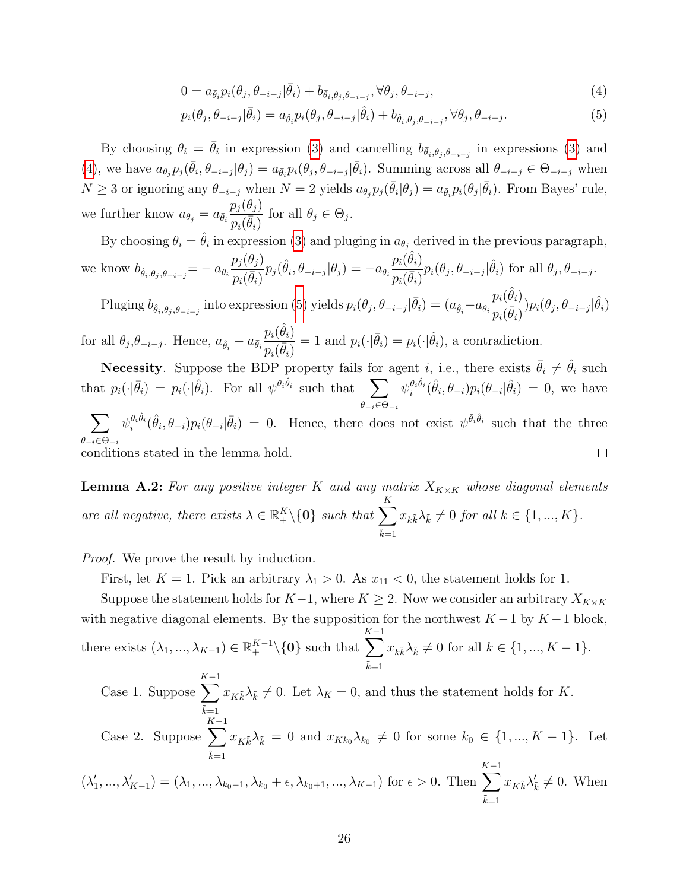<span id="page-25-2"></span><span id="page-25-1"></span>
$$
0 = a_{\bar{\theta}_i} p_i(\theta_j, \theta_{-i-j} | \bar{\theta}_i) + b_{\bar{\theta}_i, \theta_j, \theta_{-i-j}}, \forall \theta_j, \theta_{-i-j},
$$
\n
$$
\tag{4}
$$

$$
p_i(\theta_j, \theta_{-i-j}|\bar{\theta}_i) = a_{\hat{\theta}_i} p_i(\theta_j, \theta_{-i-j}|\hat{\theta}_i) + b_{\hat{\theta}_i, \theta_j, \theta_{-i-j}}, \forall \theta_j, \theta_{-i-j}.
$$
\n
$$
\tag{5}
$$

By choosing  $\theta_i = \bar{\theta}_i$  in expression [\(3\)](#page-24-3) and cancelling  $b_{\bar{\theta}_i,\theta_j,\theta_{-i-j}}$  in expressions (3) and [\(4\)](#page-25-1), we have  $a_{\theta_j} p_j(\bar{\theta}_i, \theta_{-i-j} | \theta_j) = a_{\bar{\theta}_i} p_i(\theta_j, \theta_{-i-j} | \bar{\theta}_i)$ . Summing across all  $\theta_{-i-j} \in \Theta_{-i-j}$  when  $N \geq 3$  or ignoring any  $\theta_{-i-j}$  when  $N = 2$  yields  $a_{\theta_j} p_j(\bar{\theta}_i | \theta_j) = a_{\bar{\theta}_i} p_i(\theta_j | \bar{\theta}_i)$ . From Bayes' rule, we further know  $a_{\theta_j} = a_{\bar{\theta}_i}$  $p_j(\theta_j)$  $\frac{\rho_j(\mathfrak{O}_j)}{p_i(\bar{\theta}_i)}$  for all  $\theta_j \in \Theta_j$ .

By choosing  $\theta_i = \hat{\theta}_i$  in expression [\(3\)](#page-24-3) and pluging in  $a_{\theta_j}$  derived in the previous paragraph, we know  $b_{\hat{\theta}_i, \theta_j, \theta_{-i-j}} = -a_{\bar{\theta}_i}$  $p_j(\theta_j)$  $\frac{p_j(\sigma_j)}{p_i(\bar{\theta}_i)} p_j(\hat{\theta}_i, \theta_{-i-j} | \theta_j) = -a_{\bar{\theta}_i}$  $p_i(\hat{\theta}_i)$  $\frac{p_i(\sigma_i)}{p_i(\bar{\theta}_i)} p_i(\theta_j, \theta_{-i-j} | \hat{\theta}_i)$  for all  $\theta_j, \theta_{-i-j}$ .

Pluging  $b_{\hat{\theta}_i,\theta_j,\theta_{-i-j}}$  into expression [\(5\)](#page-25-2) yields  $p_i(\theta_j,\theta_{-i-j}|\bar{\theta}_i) = (a_{\hat{\theta}_i}-a_{\bar{\theta}_i})$  $p_i(\hat{\theta}_i)$  $\frac{p_i(\theta_i)}{p_i(\bar{\theta}_i)})p_i(\theta_j,\theta_{-i-j}|\hat{\theta}_i)$ 

for all  $\theta_j$ , $\theta_{-i-j}$ . Hence,  $a_{\hat{\theta}_i} - a_{\bar{\theta}_i}$  $p_i(\hat{\theta}_i)$  $\overline{p_i(\bar{\theta}_i)}$ = 1 and  $p_i(\cdot|\bar{\theta}_i) = p_i(\cdot|\hat{\theta}_i)$ , a contradiction.

**Necessity.** Suppose the BDP property fails for agent i, i.e., there exists  $\bar{\theta}_i \neq \hat{\theta}_i$  such that  $p_i(\cdot|\bar{\theta}_i) = p_i(\cdot|\hat{\theta}_i)$ . For all  $\psi^{\bar{\theta}_i \hat{\theta}_i}$  such that  $\sum$  $\theta_{-i} \in \Theta_{-i}$  $\psi_i^{\bar{\theta}_i \hat{\theta}_i}(\hat{\theta}_i, \theta_{-i}) p_i(\theta_{-i}|\hat{\theta}_i) = 0$ , we have

 $\psi_i^{\bar{\theta}_i \hat{\theta}_i}(\hat{\theta}_i, \theta_{-i}) p_i(\theta_{-i} | \bar{\theta}_i) = 0$ . Hence, there does not exist  $\psi^{\bar{\theta}_i \hat{\theta}_i}$  such that the three  $\sum$  $\theta_{-i}\in\Theta_{-i}$ conditions stated in the lemma hold.  $\Box$ 

<span id="page-25-0"></span>**Lemma A.2:** For any positive integer K and any matrix  $X_{K\times K}$  whose diagonal elements are all negative, there exists  $\lambda \in \mathbb{R}_+^K \backslash \{0\}$  such that  $\sum$ K  $\tilde{k}=1$  $x_{k\tilde{k}}\lambda_{\tilde{k}} \neq 0$  for all  $k \in \{1, ..., K\}.$ 

Proof. We prove the result by induction.

First, let  $K = 1$ . Pick an arbitrary  $\lambda_1 > 0$ . As  $x_{11} < 0$ , the statement holds for 1.

Suppose the statement holds for  $K-1$ , where  $K \geq 2$ . Now we consider an arbitrary  $X_{K \times K}$ with negative diagonal elements. By the supposition for the northwest  $K-1$  by  $K-1$  block, there exists  $(\lambda_1, ..., \lambda_{K-1}) \in \mathbb{R}_+^{K-1} \setminus \{0\}$  such that  $\sum^{K-1}$  $\tilde{k}=1$  $x_{k\tilde{k}}\lambda_{\tilde{k}} \neq 0$  for all  $k \in \{1, ..., K - 1\}.$ 

Case 1. Suppose 
$$
\sum_{\tilde{k}=1}^{K-1} x_{K\tilde{k}} \lambda_{\tilde{k}} \neq 0
$$
. Let  $\lambda_K = 0$ , and thus the statement holds for  $K$ .  
Case 2. Suppose  $\sum_{\tilde{k}=1}^{K-1} x_{K\tilde{k}} \lambda_{\tilde{k}} = 0$  and  $x_{Kk_0} \lambda_{k_0} \neq 0$  for some  $k_0 \in \{1, ..., K-1\}$ . Let  $K-1$ 

$$
(\lambda'_1, ..., \lambda'_{K-1}) = (\lambda_1, ..., \lambda_{k_0-1}, \lambda_{k_0} + \epsilon, \lambda_{k_0+1}, ..., \lambda_{K-1}) \text{ for } \epsilon > 0. \text{ Then } \sum_{\tilde{k}=1}^{K-1} x_{K\tilde{k}} \lambda'_{\tilde{k}} \neq 0. \text{ When}
$$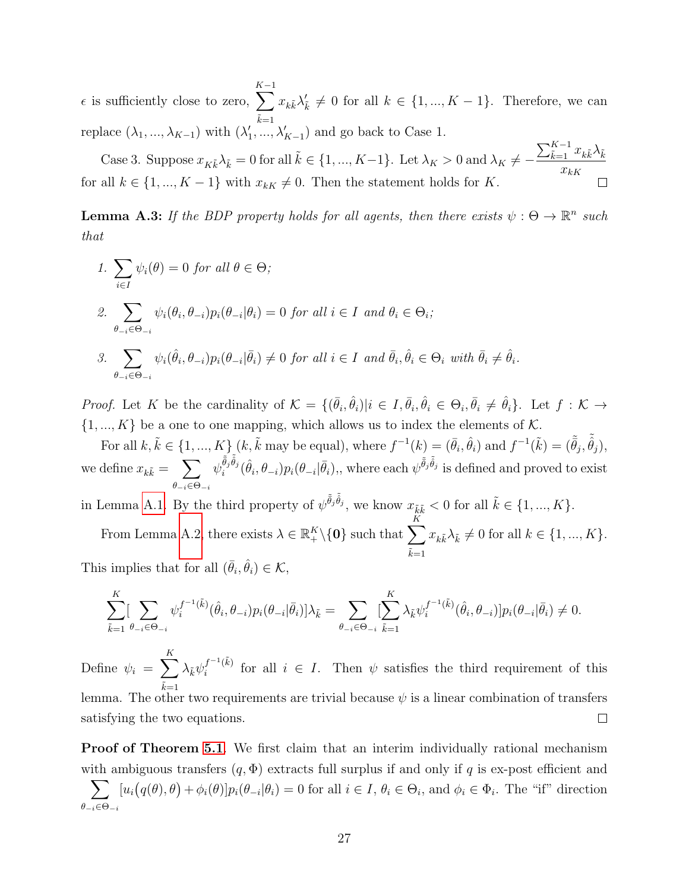$\epsilon$  is sufficiently close to zero,  $\sum^{K-1}$  $\tilde{k}=1$  $x_{k\tilde{k}}\lambda'_{\tilde{k}} \neq 0$  for all  $k \in \{1, ..., K-1\}$ . Therefore, we can replace  $(\lambda_1, ..., \lambda_{K-1})$  with  $(\lambda'_1, ..., \lambda'_{K-1})$  and go back to Case 1.

Case 3. Suppose  $x_{K\tilde{k}}\lambda_{\tilde{k}} = 0$  for all  $\tilde{k} \in \{1, ..., K-1\}$ . Let  $\lambda_K > 0$  and  $\lambda_K \neq \sum_{\tilde{k}=1}^{K-1} x_{k\tilde{k}} \lambda_{\tilde{k}}$  $x_{kK}$ for all  $k \in \{1, ..., K-1\}$  with  $x_{k} \neq 0$ . Then the statement holds for K.

<span id="page-26-0"></span>**Lemma A.3:** If the BDP property holds for all agents, then there exists  $\psi : \Theta \to \mathbb{R}^n$  such that

\n- 1. 
$$
\sum_{i \in I} \psi_i(\theta) = 0
$$
 for all  $\theta \in \Theta$ ;
\n- 2.  $\sum_{\theta_{-i} \in \Theta_{-i}} \psi_i(\theta_i, \theta_{-i}) p_i(\theta_{-i} | \theta_i) = 0$  for all  $i \in I$  and  $\theta_i \in \Theta_i$ ;
\n- 3.  $\sum_{\theta_{-i} \in \Theta_{-i}} \psi_i(\hat{\theta}_i, \theta_{-i}) p_i(\theta_{-i} | \bar{\theta}_i) \neq 0$  for all  $i \in I$  and  $\bar{\theta}_i, \hat{\theta}_i \in \Theta_i$  with  $\bar{\theta}_i \neq \hat{\theta}_i$ .
\n

*Proof.* Let K be the cardinality of  $\mathcal{K} = \{(\bar{\theta}_i, \hat{\theta}_i)|i \in I, \bar{\theta}_i, \hat{\theta}_i \in \Theta_i, \bar{\theta}_i \neq \hat{\theta}_i\}$ . Let  $f : \mathcal{K} \to$  $\{1, ..., K\}$  be a one to one mapping, which allows us to index the elements of K.

For all  $k, \tilde{k} \in \{1, ..., K\}$   $(k, \tilde{k}$  may be equal), where  $f^{-1}(k) = (\bar{\theta}_i, \hat{\theta}_i)$  and  $f^{-1}(\tilde{k}) = (\tilde{\bar{\theta}}_j, \tilde{\bar{\theta}}_j)$ , we define  $x_{k\tilde{k}} = \sum$  $\theta_{-i}\in\Theta_{-i}$  $\psi_i^{\tilde{\bar{\theta}}_j \tilde{\theta}_j}(\hat{\theta}_i, \theta_{-i}) p_i(\theta_{-i}|\bar{\theta}_i),$ , where each  $\psi^{\tilde{\bar{\theta}}_j \tilde{\theta}_j}$  is defined and proved to exist

in Lemma [A.1.](#page-24-0) By the third property of  $\psi^{\tilde{\tilde{\theta}}_j \tilde{\tilde{\theta}}_j}$ , we know  $x_{\tilde{k}\tilde{k}} < 0$  for all  $\tilde{k} \in \{1, ..., K\}$ .

From Lemma [A.2,](#page-25-0) there exists  $\lambda \in \mathbb{R}_+^K \backslash \{0\}$  such that  $\sum$ K  $\tilde{k}=1$  $x_{k\tilde{k}}\lambda_{\tilde{k}} \neq 0$  for all  $k \in \{1, ..., K\}.$ This implies that for all  $(\bar{\theta}_i, \hat{\theta}_i) \in \mathcal{K}$ ,

$$
\sum_{\tilde{k}=1}^K \left[\sum_{\theta-i\in\Theta_{-i}}\psi_i^{f^{-1}(\tilde{k})}(\hat{\theta}_i,\theta_{-i})p_i(\theta_{-i}|\bar{\theta}_i)\right]\lambda_{\tilde{k}}=\sum_{\theta-i\in\Theta_{-i}}[\sum_{\tilde{k}=1}^K \lambda_{\tilde{k}}\psi_i^{f^{-1}(\tilde{k})}(\hat{\theta}_i,\theta_{-i})]p_i(\theta_{-i}|\bar{\theta}_i)\neq 0.
$$

K  $\lambda_{\tilde{k}}\psi_i^{f^{-1}(\tilde{k})}$ Define  $\psi_i = \sum$  $i^{f^{-1}(k)}$  for all  $i \in I$ . Then  $\psi$  satisfies the third requirement of this  $\tilde{k}=1$ lemma. The other two requirements are trivial because  $\psi$  is a linear combination of transfers satisfying the two equations.  $\Box$ 

Proof of Theorem [5.1](#page-13-2). We first claim that an interim individually rational mechanism with ambiguous transfers  $(q, \Phi)$  extracts full surplus if and only if q is ex-post efficient and  $\sum$  $\theta_{-i} \in \Theta_{-i}$  $[u_i(q(\theta),\theta)+\phi_i(\theta)]p_i(\theta_{-i}|\theta_i)=0$  for all  $i \in I, \theta_i \in \Theta_i$ , and  $\phi_i \in \Phi_i$ . The "if" direction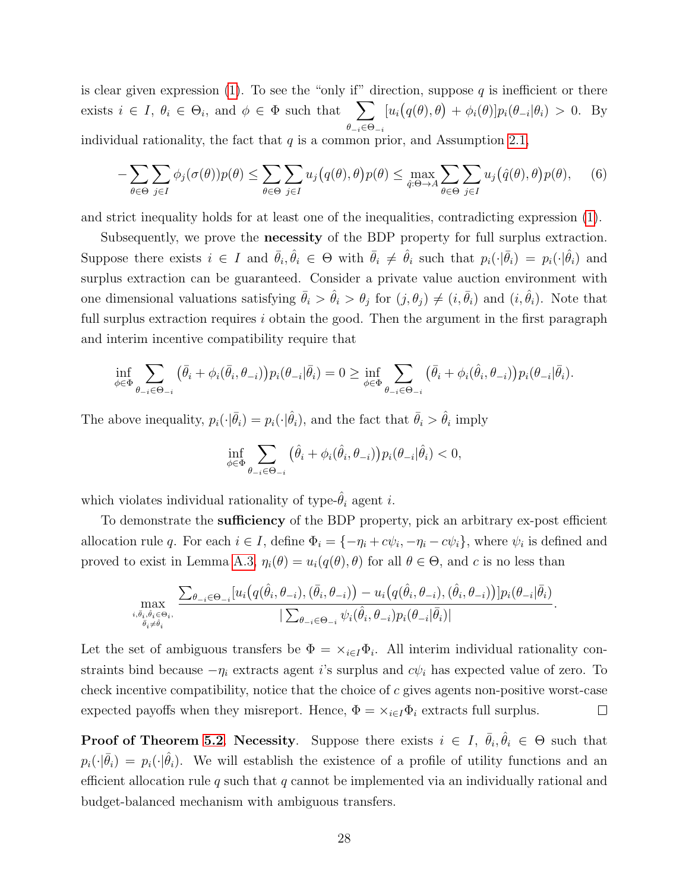is clear given expression [\(1\)](#page-12-1). To see the "only if" direction, suppose q is inefficient or there exists  $i \in I$ ,  $\theta_i \in \Theta_i$ , and  $\phi \in \Phi$  such that  $\sum$  $\theta_{-i} \in \Theta_{-i}$  $[u_i(q(\theta),\theta) + \phi_i(\theta)]p_i(\theta_{-i}|\theta_i) > 0.$  By individual rationality, the fact that  $q$  is a common prior, and Assumption [2.1,](#page-7-2)

$$
-\sum_{\theta \in \Theta} \sum_{j \in I} \phi_j(\sigma(\theta)) p(\theta) \le \sum_{\theta \in \Theta} \sum_{j \in I} u_j(q(\theta), \theta) p(\theta) \le \max_{\hat{q}: \Theta \to A} \sum_{\theta \in \Theta} \sum_{j \in I} u_j(\hat{q}(\theta), \theta) p(\theta), \quad (6)
$$

and strict inequality holds for at least one of the inequalities, contradicting expression [\(1\)](#page-12-1).

Subsequently, we prove the **necessity** of the BDP property for full surplus extraction. Suppose there exists  $i \in I$  and  $\bar{\theta}_i, \hat{\theta}_i \in \Theta$  with  $\bar{\theta}_i \neq \hat{\theta}_i$  such that  $p_i(\cdot|\bar{\theta}_i) = p_i(\cdot|\hat{\theta}_i)$  and surplus extraction can be guaranteed. Consider a private value auction environment with one dimensional valuations satisfying  $\bar{\theta}_i > \hat{\theta}_i > \theta_j$  for  $(j, \theta_j) \neq (i, \bar{\theta}_i)$  and  $(i, \hat{\theta}_i)$ . Note that full surplus extraction requires  $i$  obtain the good. Then the argument in the first paragraph and interim incentive compatibility require that

$$
\inf_{\phi \in \Phi} \sum_{\theta_{-i} \in \Theta_{-i}} (\bar{\theta}_i + \phi_i(\bar{\theta}_i, \theta_{-i})) p_i(\theta_{-i} | \bar{\theta}_i) = 0 \geq \inf_{\phi \in \Phi} \sum_{\theta_{-i} \in \Theta_{-i}} (\bar{\theta}_i + \phi_i(\hat{\theta}_i, \theta_{-i})) p_i(\theta_{-i} | \bar{\theta}_i).
$$

The above inequality,  $p_i(\cdot|\bar{\theta}_i) = p_i(\cdot|\hat{\theta}_i)$ , and the fact that  $\bar{\theta}_i > \hat{\theta}_i$  imply

$$
\inf_{\phi \in \Phi} \sum_{\theta_{-i} \in \Theta_{-i}} \left( \hat{\theta}_i + \phi_i(\hat{\theta}_i, \theta_{-i}) \right) p_i(\theta_{-i} | \hat{\theta}_i) < 0,
$$

which violates individual rationality of type- $\hat{\theta}_i$  agent i.

To demonstrate the **sufficiency** of the BDP property, pick an arbitrary ex-post efficient allocation rule q. For each  $i \in I$ , define  $\Phi_i = \{-\eta_i + c\psi_i, -\eta_i - c\psi_i\}$ , where  $\psi_i$  is defined and proved to exist in Lemma [A.3,](#page-26-0)  $\eta_i(\theta) = u_i(q(\theta), \theta)$  for all  $\theta \in \Theta$ , and c is no less than

$$
\max_{\substack{i,\bar{\theta}_i,\hat{\theta}_i\in\Theta_i,\\ \bar{\theta}_i\neq\hat{\theta}_i}}\frac{\sum_{\theta_{-i}\in\Theta_{-i}}[u_i\big(q(\hat{\theta}_i,\theta_{-i}),(\bar{\theta}_i,\theta_{-i})\big)-u_i\big(q(\hat{\theta}_i,\theta_{-i}),(\hat{\theta}_i,\theta_{-i})\big)]p_i(\theta_{-i}|\bar{\theta}_i)}{|\sum_{\theta_{-i}\in\Theta_{-i}}\psi_i(\hat{\theta}_i,\theta_{-i})p_i(\theta_{-i}|\bar{\theta}_i)|}.
$$

Let the set of ambiguous transfers be  $\Phi = \times_{i \in I} \Phi_i$ . All interim individual rationality constraints bind because  $-\eta_i$  extracts agent i's surplus and  $c\psi_i$  has expected value of zero. To check incentive compatibility, notice that the choice of  $c$  gives agents non-positive worst-case expected payoffs when they misreport. Hence,  $\Phi = \times_{i \in I} \Phi_i$  extracts full surplus.  $\Box$ 

**Proof of Theorem [5.2](#page-15-0). Necessity**. Suppose there exists  $i \in I$ ,  $\bar{\theta}_i, \hat{\theta}_i \in \Theta$  such that  $p_i(\cdot|\bar{\theta}_i) = p_i(\cdot|\hat{\theta}_i)$ . We will establish the existence of a profile of utility functions and an efficient allocation rule q such that q cannot be implemented via an individually rational and budget-balanced mechanism with ambiguous transfers.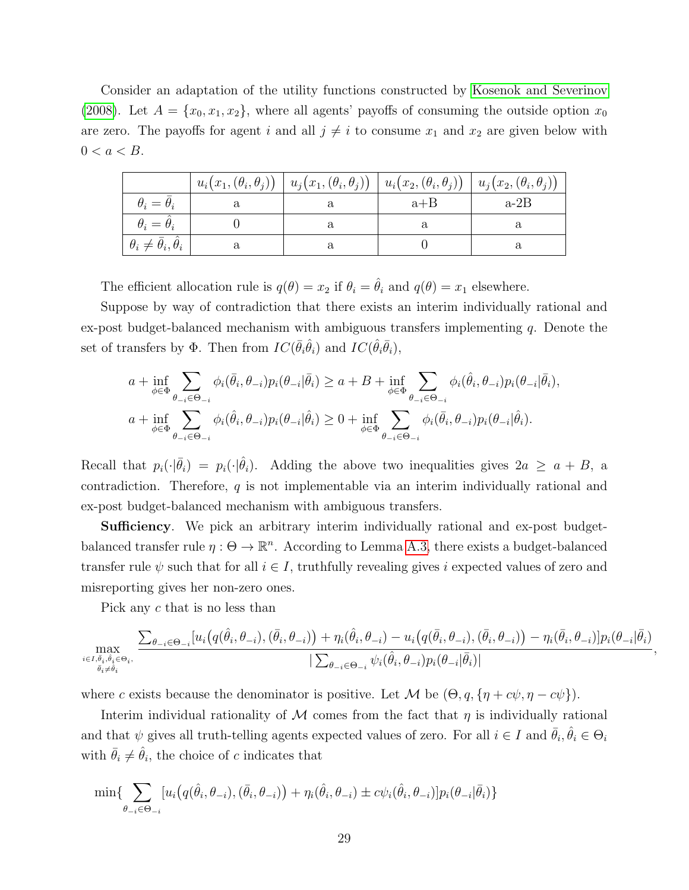Consider an adaptation of the utility functions constructed by [Kosenok and Severinov](#page-41-0) [\(2008\)](#page-41-0). Let  $A = \{x_0, x_1, x_2\}$ , where all agents' payoffs of consuming the outside option  $x_0$ are zero. The payoffs for agent i and all  $j \neq i$  to consume  $x_1$  and  $x_2$  are given below with  $0 < a < B$ .

|                                          | $u_i(x_1,(\theta_i,\theta_j))$ | $\vert u_j(x_1,(\theta_i,\theta_j)) \vert$ | $\mid u_i(x_2, (\theta_i, \theta_j)) \mid u_j(x_2, (\theta_i, \theta_j)) \mid$ |        |
|------------------------------------------|--------------------------------|--------------------------------------------|--------------------------------------------------------------------------------|--------|
| $\theta_i = \theta_i$                    |                                |                                            | $a + B$                                                                        | $a-2B$ |
| $\theta_i = \theta_i$                    |                                |                                            |                                                                                |        |
| $\theta_i \neq \bar{\theta}_i, \theta_i$ |                                |                                            |                                                                                |        |

The efficient allocation rule is  $q(\theta) = x_2$  if  $\theta_i = \hat{\theta}_i$  and  $q(\theta) = x_1$  elsewhere.

Suppose by way of contradiction that there exists an interim individually rational and ex-post budget-balanced mechanism with ambiguous transfers implementing  $q$ . Denote the set of transfers by  $\Phi$ . Then from  $IC(\bar{\theta}_i \hat{\theta}_i)$  and  $IC(\hat{\theta}_i \bar{\theta}_i)$ ,

$$
a + \inf_{\phi \in \Phi} \sum_{\theta_{-i} \in \Theta_{-i}} \phi_i(\bar{\theta}_i, \theta_{-i}) p_i(\theta_{-i} | \bar{\theta}_i) \ge a + B + \inf_{\phi \in \Phi} \sum_{\theta_{-i} \in \Theta_{-i}} \phi_i(\hat{\theta}_i, \theta_{-i}) p_i(\theta_{-i} | \bar{\theta}_i),
$$
  

$$
a + \inf_{\phi \in \Phi} \sum_{\theta_{-i} \in \Theta_{-i}} \phi_i(\hat{\theta}_i, \theta_{-i}) p_i(\theta_{-i} | \hat{\theta}_i) \ge 0 + \inf_{\phi \in \Phi} \sum_{\theta_{-i} \in \Theta_{-i}} \phi_i(\bar{\theta}_i, \theta_{-i}) p_i(\theta_{-i} | \hat{\theta}_i).
$$

Recall that  $p_i(\cdot|\bar{\theta}_i) = p_i(\cdot|\hat{\theta}_i)$ . Adding the above two inequalities gives  $2a \ge a + B$ , a contradiction. Therefore,  $q$  is not implementable via an interim individually rational and ex-post budget-balanced mechanism with ambiguous transfers.

**Sufficiency**. We pick an arbitrary interim individually rational and ex-post budgetbalanced transfer rule  $\eta : \Theta \to \mathbb{R}^n$ . According to Lemma [A.3,](#page-26-0) there exists a budget-balanced transfer rule  $\psi$  such that for all  $i \in I$ , truthfully revealing gives i expected values of zero and misreporting gives her non-zero ones.

Pick any c that is no less than

$$
\max_{\underset{\bar{\theta}_{i}\neq\hat{\theta}_{i}}{i\in I,\bar{\theta}_{i},\hat{\theta}_{i}\in\Theta_{i}},\frac{\sum_{\theta_{-i}\in\Theta_{-i}}[u_{i}\big(q(\hat{\theta}_{i},\theta_{-i}),(\bar{\theta}_{i},\theta_{-i})\big)+\eta_{i}(\hat{\theta}_{i},\theta_{-i})-u_{i}\big(q(\bar{\theta}_{i},\theta_{-i}),(\bar{\theta}_{i},\theta_{-i})\big)-\eta_{i}(\bar{\theta}_{i},\theta_{-i})]p_{i}(\theta_{-i}|\bar{\theta}_{i})}{|\sum_{\theta_{-i}\in\Theta_{-i}}\psi_{i}(\hat{\theta}_{i},\theta_{-i})p_{i}(\theta_{-i}|\bar{\theta}_{i})|},
$$

where c exists because the denominator is positive. Let M be  $(\Theta, q, \{ \eta + c\psi, \eta - c\psi \})$ .

Interim individual rationality of  $M$  comes from the fact that  $\eta$  is individually rational and that  $\psi$  gives all truth-telling agents expected values of zero. For all  $i \in I$  and  $\bar{\theta}_i, \hat{\theta}_i \in \Theta_i$ with  $\bar{\theta}_i \neq \hat{\theta}_i$ , the choice of c indicates that

$$
\min \{ \sum_{\theta_{-i} \in \Theta_{-i}} [u_i(q(\hat{\theta}_i, \theta_{-i}), (\bar{\theta}_i, \theta_{-i})) + \eta_i(\hat{\theta}_i, \theta_{-i}) \pm c\psi_i(\hat{\theta}_i, \theta_{-i})] p_i(\theta_{-i}|\bar{\theta}_i) \}
$$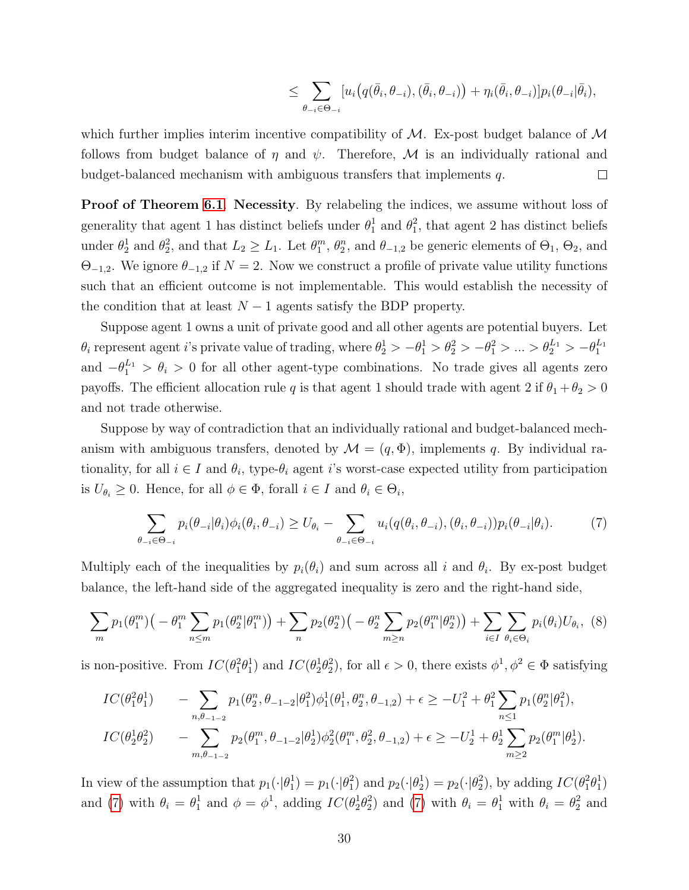$$
\leq \sum_{\theta_{-i}\in\Theta_{-i}} [u_i(q(\bar{\theta}_i,\theta_{-i}),(\bar{\theta}_i,\theta_{-i}))+\eta_i(\bar{\theta}_i,\theta_{-i})]p_i(\theta_{-i}|\bar{\theta}_i),
$$

which further implies interim incentive compatibility of  $M$ . Ex-post budget balance of  $M$ follows from budget balance of  $\eta$  and  $\psi$ . Therefore, M is an individually rational and budget-balanced mechanism with ambiguous transfers that implements q.  $\Box$ 

**Proof of Theorem [6.1](#page-16-1). Necessity.** By relabeling the indices, we assume without loss of generality that agent 1 has distinct beliefs under  $\theta_1^1$  and  $\theta_1^2$ , that agent 2 has distinct beliefs under  $\theta_2^1$  and  $\theta_2^2$ , and that  $L_2 \geq L_1$ . Let  $\theta_1^m$ ,  $\theta_2^n$ , and  $\theta_{-1,2}$  be generic elements of  $\Theta_1$ ,  $\Theta_2$ , and  $\Theta_{-1,2}$ . We ignore  $\theta_{-1,2}$  if  $N=2$ . Now we construct a profile of private value utility functions such that an efficient outcome is not implementable. This would establish the necessity of the condition that at least  $N-1$  agents satisfy the BDP property.

Suppose agent 1 owns a unit of private good and all other agents are potential buyers. Let  $\theta_i$  represent agent i's private value of trading, where  $\theta_2^1 > -\theta_1^1 > \theta_2^2 > -\theta_1^2 > ... > \theta_2^{L_1} > -\theta_1^{L_1}$ and  $-\theta_1^{L_1} > \theta_i > 0$  for all other agent-type combinations. No trade gives all agents zero payoffs. The efficient allocation rule q is that agent 1 should trade with agent 2 if  $\theta_1 + \theta_2 > 0$ and not trade otherwise.

Suppose by way of contradiction that an individually rational and budget-balanced mechanism with ambiguous transfers, denoted by  $\mathcal{M} = (q, \Phi)$ , implements q. By individual rationality, for all  $i \in I$  and  $\theta_i$ , type- $\theta_i$  agent i's worst-case expected utility from participation is  $U_{\theta_i} \geq 0$ . Hence, for all  $\phi \in \Phi$ , forall  $i \in I$  and  $\theta_i \in \Theta_i$ ,

<span id="page-29-0"></span>
$$
\sum_{\theta_{-i}\in\Theta_{-i}} p_i(\theta_{-i}|\theta_i)\phi_i(\theta_i,\theta_{-i}) \ge U_{\theta_i} - \sum_{\theta_{-i}\in\Theta_{-i}} u_i(q(\theta_i,\theta_{-i}),(\theta_i,\theta_{-i}))p_i(\theta_{-i}|\theta_i). \tag{7}
$$

Multiply each of the inequalities by  $p_i(\theta_i)$  and sum across all i and  $\theta_i$ . By ex-post budget balance, the left-hand side of the aggregated inequality is zero and the right-hand side,

<span id="page-29-1"></span>
$$
\sum_{m} p_1(\theta_1^m) \big(-\theta_1^m \sum_{n \le m} p_1(\theta_2^n | \theta_1^m) \big) + \sum_{n} p_2(\theta_2^n) \big(-\theta_2^n \sum_{m \ge n} p_2(\theta_1^m | \theta_2^n) \big) + \sum_{i \in I} \sum_{\theta_i \in \Theta_i} p_i(\theta_i) U_{\theta_i}, \tag{8}
$$

is non-positive. From  $IC(\theta_1^2 \theta_1^1)$  and  $IC(\theta_2^1 \theta_2^2)$ , for all  $\epsilon > 0$ , there exists  $\phi^1, \phi^2 \in \Phi$  satisfying

$$
IC(\theta_1^2 \theta_1^1) - \sum_{n, \theta_{-1-2}} p_1(\theta_2^n, \theta_{-1-2} | \theta_1^2) \phi_1^1(\theta_1^1, \theta_2^n, \theta_{-1,2}) + \epsilon \ge -U_1^2 + \theta_1^2 \sum_{n \le 1} p_1(\theta_2^n | \theta_1^2),
$$
  
\n
$$
IC(\theta_2^1 \theta_2^2) - \sum_{m, \theta_{-1-2}} p_2(\theta_1^m, \theta_{-1-2} | \theta_2^1) \phi_2^2(\theta_1^m, \theta_2^2, \theta_{-1,2}) + \epsilon \ge -U_2^1 + \theta_2^1 \sum_{m \ge 2} p_2(\theta_1^m | \theta_2^1).
$$

In view of the assumption that  $p_1(\cdot|\theta_1^1) = p_1(\cdot|\theta_1^2)$  and  $p_2(\cdot|\theta_2^1) = p_2(\cdot|\theta_2^2)$ , by adding  $IC(\theta_1^2\theta_1^1)$ and [\(7\)](#page-29-0) with  $\theta_i = \theta_1^1$  and  $\phi = \phi^1$ , adding  $IC(\theta_2^1 \theta_2^2)$  and (7) with  $\theta_i = \theta_1^1$  with  $\theta_i = \theta_2^2$  and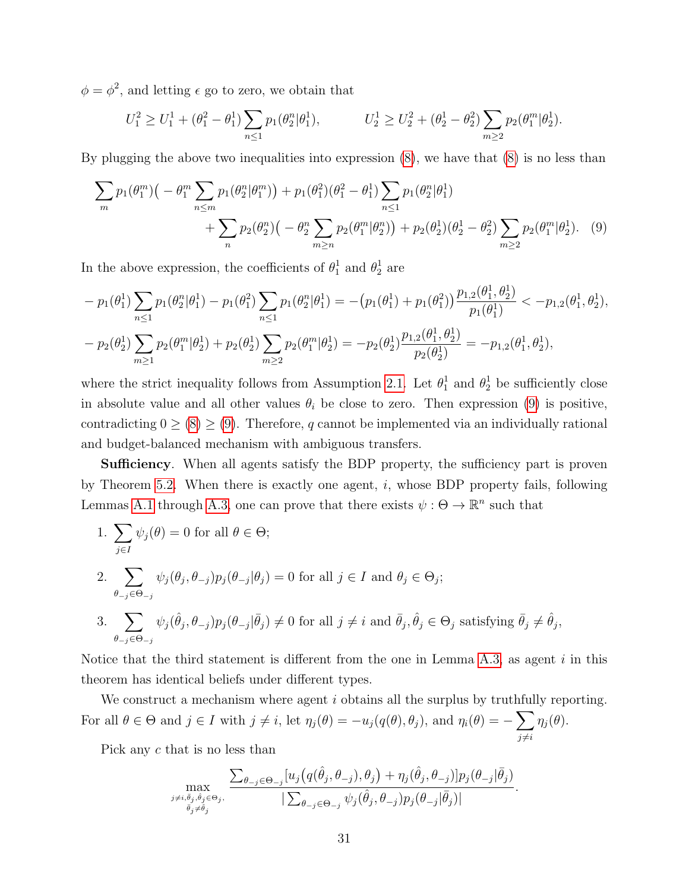$\phi = \phi^2$ , and letting  $\epsilon$  go to zero, we obtain that

<span id="page-30-0"></span>
$$
U_1^2 \ge U_1^1 + (\theta_1^2 - \theta_1^1) \sum_{n \le 1} p_1(\theta_2^n | \theta_1^1), \qquad U_2^1 \ge U_2^2 + (\theta_2^1 - \theta_2^2) \sum_{m \ge 2} p_2(\theta_1^m | \theta_2^1).
$$

By plugging the above two inequalities into expression  $(8)$ , we have that  $(8)$  is no less than

$$
\sum_{m} p_1(\theta_1^m) \Big( -\theta_1^m \sum_{n \le m} p_1(\theta_2^n | \theta_1^m) \Big) + p_1(\theta_1^2)(\theta_1^2 - \theta_1^1) \sum_{n \le 1} p_1(\theta_2^n | \theta_1^1) + \sum_{n \ge 1} p_2(\theta_2^n) \Big( -\theta_2^n \sum_{m \ge n} p_2(\theta_1^m | \theta_2^n) \Big) + p_2(\theta_2^1)(\theta_2^1 - \theta_2^2) \sum_{m \ge 2} p_2(\theta_1^m | \theta_2^1). \tag{9}
$$

In the above expression, the coefficients of  $\theta_1^1$  and  $\theta_2^1$  are

$$
- p_1(\theta_1^1) \sum_{n \leq 1} p_1(\theta_2^n | \theta_1^1) - p_1(\theta_1^2) \sum_{n \leq 1} p_1(\theta_2^n | \theta_1^1) = -(p_1(\theta_1^1) + p_1(\theta_1^2)) \frac{p_{1,2}(\theta_1^1, \theta_2^1)}{p_1(\theta_1^1)} < -p_{1,2}(\theta_1^1, \theta_2^1),
$$
  

$$
- p_2(\theta_2^1) \sum_{m \geq 1} p_2(\theta_1^m | \theta_2^1) + p_2(\theta_2^1) \sum_{m \geq 2} p_2(\theta_1^m | \theta_2^1) = -p_2(\theta_2^1) \frac{p_{1,2}(\theta_1^1, \theta_2^1)}{p_2(\theta_2^1)} = -p_{1,2}(\theta_1^1, \theta_2^1),
$$

where the strict inequality follows from Assumption [2.1.](#page-7-2) Let  $\theta_1^1$  and  $\theta_2^1$  be sufficiently close in absolute value and all other values  $\theta_i$  be close to zero. Then expression [\(9\)](#page-30-0) is positive, contradicting  $0 \geq (8) \geq (9)$  $0 \geq (8) \geq (9)$  $0 \geq (8) \geq (9)$  $0 \geq (8) \geq (9)$ . Therefore, q cannot be implemented via an individually rational and budget-balanced mechanism with ambiguous transfers.

**Sufficiency.** When all agents satisfy the BDP property, the sufficiency part is proven by Theorem [5.2.](#page-15-0) When there is exactly one agent,  $i$ , whose BDP property fails, following Lemmas [A.1](#page-24-0) through [A.3,](#page-26-0) one can prove that there exists  $\psi : \Theta \to \mathbb{R}^n$  such that

\n- 1. 
$$
\sum_{j\in I} \psi_j(\theta) = 0
$$
 for all  $\theta \in \Theta$ ;
\n- 2.  $\sum_{\theta-j\in\Theta_{-j}} \psi_j(\theta_j, \theta_{-j}) p_j(\theta_{-j}|\theta_j) = 0$  for all  $j \in I$  and  $\theta_j \in \Theta_j$ ;
\n- 3.  $\sum_{\theta-j\in\Theta_{-j}} \psi_j(\hat{\theta}_j, \theta_{-j}) p_j(\theta_{-j}|\bar{\theta}_j) \neq 0$  for all  $j \neq i$  and  $\bar{\theta}_j, \hat{\theta}_j \in \Theta_j$  satisfying  $\bar{\theta}_j \neq \hat{\theta}_j$ ,
\n

Notice that the third statement is different from the one in Lemma [A.3,](#page-26-0) as agent  $i$  in this theorem has identical beliefs under different types.

We construct a mechanism where agent i obtains all the surplus by truthfully reporting. For all  $\theta \in \Theta$  and  $j \in I$  with  $j \neq i$ , let  $\eta_j(\theta) = -u_j(q(\theta), \theta_j)$ , and  $\eta_i(\theta) = -\sum$  $j\neq i$  $\eta_j(\theta).$ 

Pick any c that is no less than

$$
\max_{\substack{j \neq i, \overline{\theta}_j, \hat{\theta}_j \in \Theta_j, \\ \overline{\theta}_j \neq \hat{\theta}_j}} \frac{\sum_{\theta_{-j} \in \Theta_{-j}} [u_j(q(\hat{\theta}_j, \theta_{-j}), \theta_j) + \eta_j(\hat{\theta}_j, \theta_{-j})] p_j(\theta_{-j}|\overline{\theta}_j)}{|\sum_{\theta_{-j} \in \Theta_{-j}} \psi_j(\hat{\theta}_j, \theta_{-j}) p_j(\theta_{-j}|\overline{\theta}_j)|}
$$

.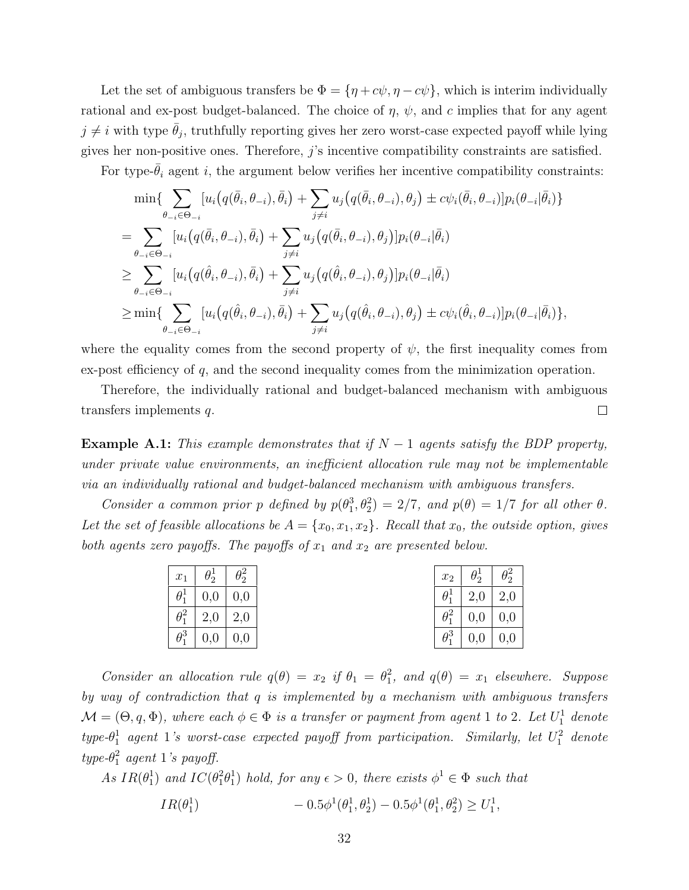Let the set of ambiguous transfers be  $\Phi = {\eta + c\psi, \eta - c\psi}$ , which is interim individually rational and ex-post budget-balanced. The choice of  $\eta$ ,  $\psi$ , and c implies that for any agent  $j \neq i$  with type  $\bar{\theta}_j$ , truthfully reporting gives her zero worst-case expected payoff while lying gives her non-positive ones. Therefore, j's incentive compatibility constraints are satisfied.

For type- $\bar{\theta}_i$  agent i, the argument below verifies her incentive compatibility constraints:

$$
\min \{ \sum_{\theta_{-i} \in \Theta_{-i}} [u_i(q(\bar{\theta}_i, \theta_{-i}), \bar{\theta}_i) + \sum_{j \neq i} u_j(q(\bar{\theta}_i, \theta_{-i}), \theta_j) \pm c\psi_i(\bar{\theta}_i, \theta_{-i})] p_i(\theta_{-i}|\bar{\theta}_i) \}
$$
\n
$$
= \sum_{\theta_{-i} \in \Theta_{-i}} [u_i(q(\bar{\theta}_i, \theta_{-i}), \bar{\theta}_i) + \sum_{j \neq i} u_j(q(\bar{\theta}_i, \theta_{-i}), \theta_j)] p_i(\theta_{-i}|\bar{\theta}_i)
$$
\n
$$
\geq \sum_{\theta_{-i} \in \Theta_{-i}} [u_i(q(\hat{\theta}_i, \theta_{-i}), \bar{\theta}_i) + \sum_{j \neq i} u_j(q(\hat{\theta}_i, \theta_{-i}), \theta_j)] p_i(\theta_{-i}|\bar{\theta}_i)
$$
\n
$$
\geq \min \{ \sum_{\theta_{-i} \in \Theta_{-i}} [u_i(q(\hat{\theta}_i, \theta_{-i}), \bar{\theta}_i) + \sum_{j \neq i} u_j(q(\hat{\theta}_i, \theta_{-i}), \theta_j) \pm c\psi_i(\hat{\theta}_i, \theta_{-i})] p_i(\theta_{-i}|\bar{\theta}_i) \},
$$

where the equality comes from the second property of  $\psi$ , the first inequality comes from ex-post efficiency of q, and the second inequality comes from the minimization operation.

Therefore, the individually rational and budget-balanced mechanism with ambiguous transfers implements q.  $\Box$ 

<span id="page-31-0"></span>**Example A.1:** This example demonstrates that if  $N-1$  agents satisfy the BDP property, under private value environments, an inefficient allocation rule may not be implementable via an individually rational and budget-balanced mechanism with ambiguous transfers.

Consider a common prior p defined by  $p(\theta_1^3, \theta_2^2) = 2/7$ , and  $p(\theta) = 1/7$  for all other  $\theta$ . Let the set of feasible allocations be  $A = \{x_0, x_1, x_2\}$ . Recall that  $x_0$ , the outside option, gives both agents zero payoffs. The payoffs of  $x_1$  and  $x_2$  are presented below.

| $\mid x_1 \mid \theta_2^1 \mid \theta_2^2$ |  |              | $x_2$ $\theta_2^1$ $\theta_2^2$ |  |
|--------------------------------------------|--|--------------|---------------------------------|--|
| $\theta_1^1$   0,0   0,0                   |  | $\theta_1^1$ | 2,0 2,0                         |  |
| $\theta_1^2 \mid 2,0 \mid 2,0$             |  |              | $\theta_1^2$   0,0   0,0        |  |
| $\theta_1^3$   0,0   0,0                   |  | $\theta_1^3$ | 0,0 0,0                         |  |

Consider an allocation rule  $q(\theta) = x_2$  if  $\theta_1 = \theta_1^2$ , and  $q(\theta) = x_1$  elsewhere. Suppose by way of contradiction that q is implemented by a mechanism with ambiguous transfers  $\mathcal{M}=(\Theta,q,\Phi)$ , where each  $\phi\in\Phi$  is a transfer or payment from agent 1 to 2. Let  $U_1^1$  denote  $type-\theta_1^1$  agent 1's worst-case expected payoff from participation. Similarly, let  $U_1^2$  denote  $type-\theta_1^2$  agent 1's payoff.

As 
$$
IR(\theta_1^1)
$$
 and  $IC(\theta_1^2 \theta_1^1)$  hold, for any  $\epsilon > 0$ , there exists  $\phi^1 \in \Phi$  such that  
\n
$$
IR(\theta_1^1) \qquad -0.5\phi^1(\theta_1^1, \theta_2^1) - 0.5\phi^1(\theta_1^1, \theta_2^2) \ge U_1^1,
$$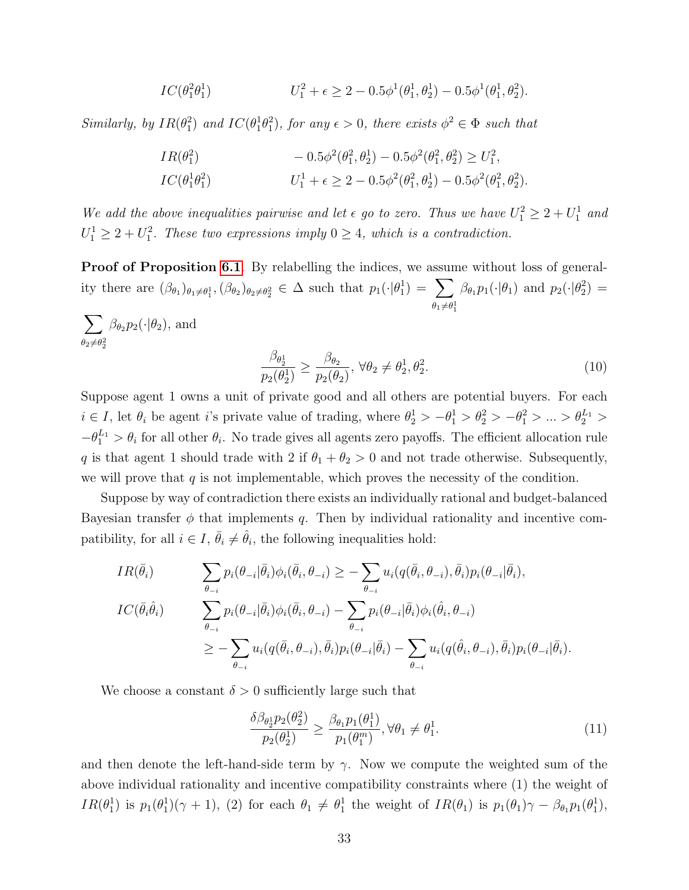$$
IC(\theta_1^2 \theta_1^1) \qquad \qquad U_1^2 + \epsilon \geq 2 - 0.5\phi^1(\theta_1^1, \theta_2^1) - 0.5\phi^1(\theta_1^1, \theta_2^2).
$$

Similarly, by  $IR(\theta_1^2)$  and  $IC(\theta_1^1\theta_1^2)$ , for any  $\epsilon > 0$ , there exists  $\phi^2 \in \Phi$  such that

$$
IR(\theta_1^2) \t- 0.5\phi^2(\theta_1^2, \theta_2^1) - 0.5\phi^2(\theta_1^2, \theta_2^2) \ge U_1^2,
$$
  
\n
$$
IC(\theta_1^1 \theta_1^2) \tU_1^1 + \epsilon \ge 2 - 0.5\phi^2(\theta_1^2, \theta_2^1) - 0.5\phi^2(\theta_1^2, \theta_2^2).
$$

We add the above inequalities pairwise and let  $\epsilon$  go to zero. Thus we have  $U_1^2 \geq 2 + U_1^1$  and  $U_1^1 \geq 2 + U_1^2$ . These two expressions imply  $0 \geq 4$ , which is a contradiction.

Proof of Proposition [6.1](#page-16-2). By relabelling the indices, we assume without loss of generality there are  $(\beta_{\theta_1})_{\theta_1 \neq \theta_1^1}, (\beta_{\theta_2})_{\theta_2 \neq \theta_2^2} \in \Delta$  such that  $p_1(\cdot | \theta_1^1) = \sum$  $\theta_1 \neq \theta_1^1$  $\beta_{\theta_1} p_1(\cdot | \theta_1)$  and  $p_2(\cdot | \theta_2^2)$  =

 $\sum$  $\theta_2 \neq \theta_2^2$  $\beta_{\theta_2} p_2(\cdot | \theta_2)$ , and

<span id="page-32-0"></span>
$$
\frac{\beta_{\theta_2^1}}{p_2(\theta_2^1)} \ge \frac{\beta_{\theta_2}}{p_2(\theta_2)}, \ \forall \theta_2 \ne \theta_2^1, \theta_2^2. \tag{10}
$$

Suppose agent 1 owns a unit of private good and all others are potential buyers. For each  $i \in I$ , let  $\theta_i$  be agent i's private value of trading, where  $\theta_2^1 > -\theta_1^1 > \theta_2^2 > -\theta_1^2 > ... > \theta_2^{L_1} >$  $-\theta_1^{L_1} > \theta_i$  for all other  $\theta_i$ . No trade gives all agents zero payoffs. The efficient allocation rule q is that agent 1 should trade with 2 if  $\theta_1 + \theta_2 > 0$  and not trade otherwise. Subsequently, we will prove that  $q$  is not implementable, which proves the necessity of the condition.

Suppose by way of contradiction there exists an individually rational and budget-balanced Bayesian transfer  $\phi$  that implements q. Then by individual rationality and incentive compatibility, for all  $i \in I$ ,  $\bar{\theta}_i \neq \hat{\theta}_i$ , the following inequalities hold:

$$
IR(\bar{\theta}_{i}) \qquad \sum_{\theta_{-i}} p_{i}(\theta_{-i}|\bar{\theta}_{i})\phi_{i}(\bar{\theta}_{i},\theta_{-i}) \geq -\sum_{\theta_{-i}} u_{i}(q(\bar{\theta}_{i},\theta_{-i}),\bar{\theta}_{i})p_{i}(\theta_{-i}|\bar{\theta}_{i}),
$$
  
\n
$$
IC(\bar{\theta}_{i}\hat{\theta}_{i}) \qquad \sum_{\theta_{-i}} p_{i}(\theta_{-i}|\bar{\theta}_{i})\phi_{i}(\bar{\theta}_{i},\theta_{-i}) - \sum_{\theta_{-i}} p_{i}(\theta_{-i}|\bar{\theta}_{i})\phi_{i}(\hat{\theta}_{i},\theta_{-i})
$$
  
\n
$$
\geq -\sum_{\theta_{-i}} u_{i}(q(\bar{\theta}_{i},\theta_{-i}),\bar{\theta}_{i})p_{i}(\theta_{-i}|\bar{\theta}_{i}) - \sum_{\theta_{-i}} u_{i}(q(\hat{\theta}_{i},\theta_{-i}),\bar{\theta}_{i})p_{i}(\theta_{-i}|\bar{\theta}_{i}).
$$

We choose a constant  $\delta > 0$  sufficiently large such that

<span id="page-32-1"></span>
$$
\frac{\delta \beta_{\theta_2^1} p_2(\theta_2^2)}{p_2(\theta_2^1)} \ge \frac{\beta_{\theta_1} p_1(\theta_1^1)}{p_1(\theta_1^m)}, \forall \theta_1 \ne \theta_1^1. \tag{11}
$$

and then denote the left-hand-side term by  $\gamma$ . Now we compute the weighted sum of the above individual rationality and incentive compatibility constraints where (1) the weight of  $IR(\theta_1^1)$  is  $p_1(\theta_1^1)(\gamma+1)$ , (2) for each  $\theta_1 \neq \theta_1^1$  the weight of  $IR(\theta_1)$  is  $p_1(\theta_1)\gamma - \beta_{\theta_1}p_1(\theta_1^1)$ ,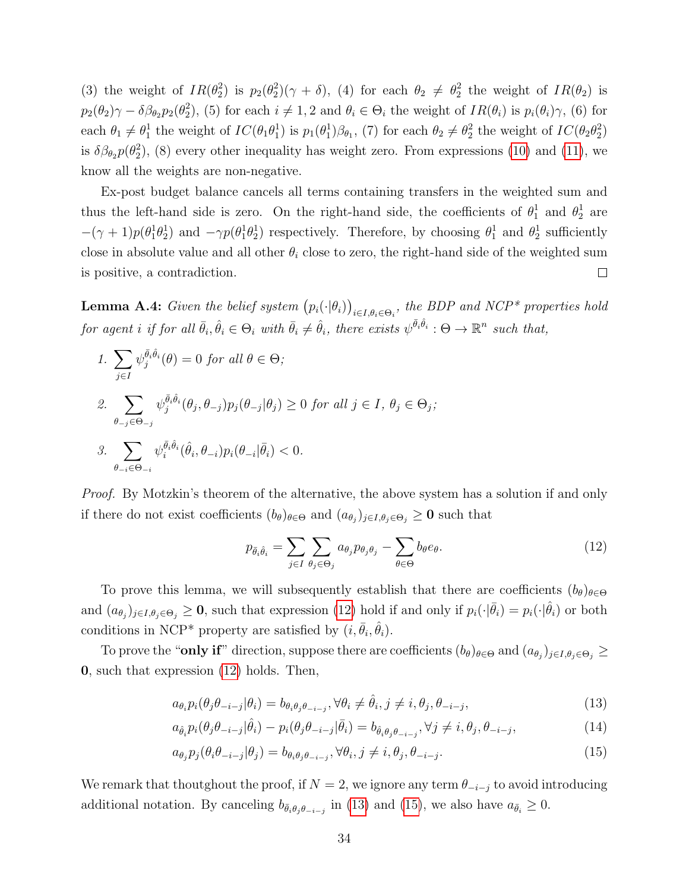(3) the weight of  $IR(\theta_2^2)$  is  $p_2(\theta_2^2)(\gamma + \delta)$ , (4) for each  $\theta_2 \neq \theta_2^2$  the weight of  $IR(\theta_2)$  is  $p_2(\theta_2)\gamma - \delta\beta_{\theta_2}p_2(\theta_2^2)$ , (5) for each  $i \neq 1, 2$  and  $\theta_i \in \Theta_i$  the weight of  $IR(\theta_i)$  is  $p_i(\theta_i)\gamma$ , (6) for each  $\theta_1 \neq \theta_1^1$  the weight of  $IC(\theta_1 \theta_1^1)$  is  $p_1(\theta_1^1)\beta_{\theta_1}$ , (7) for each  $\theta_2 \neq \theta_2^2$  the weight of  $IC(\theta_2 \theta_2^2)$ is  $\delta\beta_{\theta_2}p(\theta_2^2)$ , (8) every other inequality has weight zero. From expressions [\(10\)](#page-32-0) and [\(11\)](#page-32-1), we know all the weights are non-negative.

Ex-post budget balance cancels all terms containing transfers in the weighted sum and thus the left-hand side is zero. On the right-hand side, the coefficients of  $\theta_1^1$  and  $\theta_2^1$  are  $-(\gamma+1)p(\theta_1^1\theta_2^1)$  and  $-\gamma p(\theta_1^1\theta_2^1)$  respectively. Therefore, by choosing  $\theta_1^1$  and  $\theta_2^1$  sufficiently close in absolute value and all other  $\theta_i$  close to zero, the right-hand side of the weighted sum is positive, a contradiction.  $\Box$ 

<span id="page-33-0"></span>**Lemma A.4:** Given the belief system  $(p_i(\cdot|\theta_i))_{i \in I, \theta_i \in \Theta_i}$ , the BDP and NCP\* properties hold for agent i if for all  $\bar{\theta}_i, \hat{\theta}_i \in \Theta_i$  with  $\bar{\theta}_i \neq \hat{\theta}_i$ , there exists  $\psi^{\bar{\theta}_i \hat{\theta}_i} : \Theta \to \mathbb{R}^n$  such that,

1. 
$$
\sum_{j\in I} \psi_j^{\bar{\theta}_i \hat{\theta}_i}(\theta) = 0 \text{ for all } \theta \in \Theta;
$$
  
\n2. 
$$
\sum_{\theta_{-j} \in \Theta_{-j}} \psi_j^{\bar{\theta}_i \hat{\theta}_i}(\theta_j, \theta_{-j}) p_j(\theta_{-j} | \theta_j) \ge 0 \text{ for all } j \in I, \theta_j \in \Theta_j;
$$
  
\n3. 
$$
\sum_{\theta_{-i} \in \Theta_{-i}} \psi_i^{\bar{\theta}_i \hat{\theta}_i}(\hat{\theta}_i, \theta_{-i}) p_i(\theta_{-i} | \bar{\theta}_i) < 0.
$$

Proof. By Motzkin's theorem of the alternative, the above system has a solution if and only if there do not exist coefficients  $(b_{\theta})_{\theta \in \Theta}$  and  $(a_{\theta_j})_{j \in I, \theta_j \in \Theta_j} \geq 0$  such that

<span id="page-33-4"></span><span id="page-33-3"></span><span id="page-33-2"></span><span id="page-33-1"></span>
$$
p_{\bar{\theta}_i \hat{\theta}_i} = \sum_{j \in I} \sum_{\theta_j \in \Theta_j} a_{\theta_j} p_{\theta_j \theta_j} - \sum_{\theta \in \Theta} b_{\theta} e_{\theta}.
$$
 (12)

To prove this lemma, we will subsequently establish that there are coefficients  $(b_{\theta})_{\theta \in \Theta}$ and  $(a_{\theta_j})_{j\in I,\theta_j\in\Theta_j}\geq 0$ , such that expression [\(12\)](#page-33-1) hold if and only if  $p_i(\cdot|\bar{\theta}_i)=p_i(\cdot|\hat{\theta}_i)$  or both conditions in NCP<sup>\*</sup> property are satisfied by  $(i, \bar{\theta}_i, \hat{\theta}_i)$ .

To prove the "**only if**" direction, suppose there are coefficients  $(b_{\theta})_{\theta \in \Theta}$  and  $(a_{\theta_j})_{j \in I, \theta_j \in \Theta_j}$   $\geq$ 0, such that expression [\(12\)](#page-33-1) holds. Then,

$$
a_{\theta_i} p_i(\theta_j \theta_{-i-j} | \theta_i) = b_{\theta_i \theta_j \theta_{-i-j}}, \forall \theta_i \neq \hat{\theta}_i, j \neq i, \theta_j, \theta_{-i-j},
$$
\n(13)

$$
a_{\hat{\theta}_i} p_i(\theta_j \theta_{-i-j} | \hat{\theta}_i) - p_i(\theta_j \theta_{-i-j} | \bar{\theta}_i) = b_{\hat{\theta}_i \theta_j \theta_{-i-j}}, \forall j \neq i, \theta_j, \theta_{-i-j},
$$
\n(14)

$$
a_{\theta_j} p_j(\theta_i \theta_{-i-j} | \theta_j) = b_{\theta_i \theta_j \theta_{-i-j}}, \forall \theta_i, j \neq i, \theta_j, \theta_{-i-j}.
$$
\n(15)

We remark that thoutghout the proof, if  $N = 2$ , we ignore any term  $\theta_{-i-j}$  to avoid introducing additional notation. By canceling  $b_{\bar{\theta}_i \theta_j \theta_{-i-j}}$  in [\(13\)](#page-33-2) and [\(15\)](#page-33-3), we also have  $a_{\bar{\theta}_i} \geq 0$ .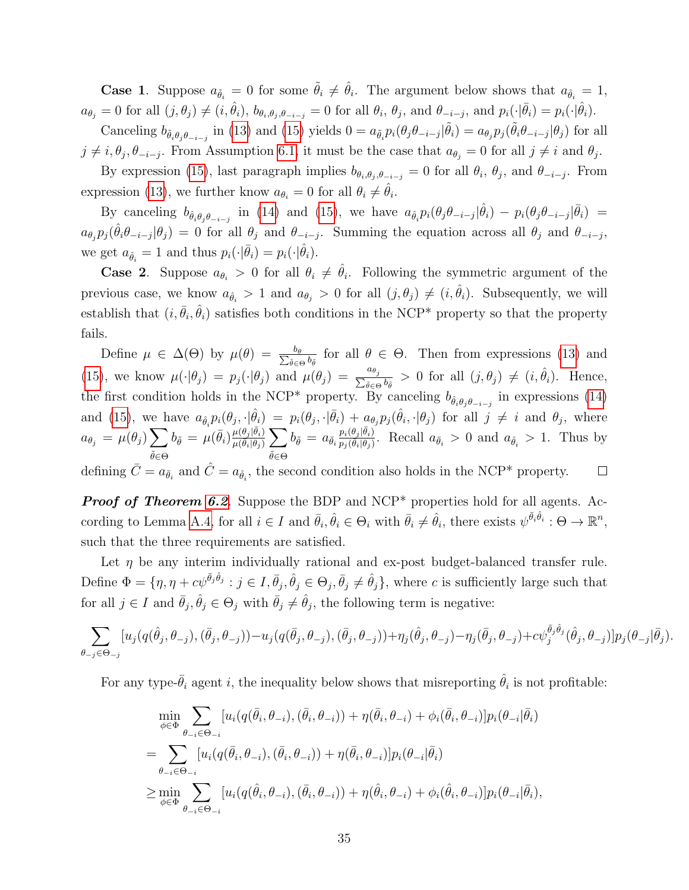**Case 1**. Suppose  $a_{\tilde{\theta}_i} = 0$  for some  $\tilde{\theta}_i \neq \hat{\theta}_i$ . The argument below shows that  $a_{\hat{\theta}_i} = 1$ ,  $a_{\theta_j} = 0$  for all  $(j, \theta_j) \neq (i, \hat{\theta}_i)$ ,  $b_{\theta_i, \theta_j, \theta_{-i-j}} = 0$  for all  $\theta_i$ ,  $\theta_j$ , and  $\theta_{-i-j}$ , and  $p_i(\cdot | \bar{\theta}_i) = p_i(\cdot | \hat{\theta}_i)$ .

Canceling  $b_{\tilde{\theta}_i \theta_j \theta_{-i-j}}$  in [\(13\)](#page-33-2) and [\(15\)](#page-33-3) yields  $0 = a_{\tilde{\theta}_i} p_i(\theta_j \theta_{-i-j} | \tilde{\theta}_i) = a_{\theta_j} p_j(\tilde{\theta}_i \theta_{-i-j} | \theta_j)$  for all  $j \neq i, \theta_j, \theta_{-i-j}$ . From Assumption [6.1,](#page-18-2) it must be the case that  $a_{\theta_j} = 0$  for all  $j \neq i$  and  $\theta_j$ .

By expression [\(15\)](#page-33-3), last paragraph implies  $b_{\theta_i, \theta_j, \theta_{-i-j}} = 0$  for all  $\theta_i, \theta_j$ , and  $\theta_{-i-j}$ . From expression [\(13\)](#page-33-2), we further know  $a_{\theta_i} = 0$  for all  $\theta_i \neq \hat{\theta}_i$ .

By canceling  $b_{\hat{\theta}_i \theta_j \theta_{-i-j}}$  in [\(14\)](#page-33-4) and [\(15\)](#page-33-3), we have  $a_{\hat{\theta}_i} p_i(\theta_j \theta_{-i-j} | \hat{\theta}_i) - p_i(\theta_j \theta_{-i-j} | \bar{\theta}_i) =$  $a_{\theta_j} p_j(\hat{\theta}_i \theta_{-i-j} | \theta_j) = 0$  for all  $\theta_j$  and  $\theta_{-i-j}$ . Summing the equation across all  $\theta_j$  and  $\theta_{-i-j}$ , we get  $a_{\hat{\theta}_i} = 1$  and thus  $p_i(\cdot | \bar{\theta}_i) = p_i(\cdot | \hat{\theta}_i)$ .

**Case 2.** Suppose  $a_{\theta_i} > 0$  for all  $\theta_i \neq \hat{\theta}_i$ . Following the symmetric argument of the previous case, we know  $a_{\hat{\theta}_i} > 1$  and  $a_{\theta_j} > 0$  for all  $(j, \theta_j) \neq (i, \hat{\theta}_i)$ . Subsequently, we will establish that  $(i, \bar{\theta}_i, \hat{\theta}_i)$  satisfies both conditions in the NCP<sup>\*</sup> property so that the property fails.

Define  $\mu \in \Delta(\Theta)$  by  $\mu(\theta) = \frac{b_{\theta}}{\sum_{\tilde{\theta} \in \mathcal{C}}}$  $\overline{b_{\tilde{\theta}}}$  for all  $\theta \in \Theta$ . Then from expressions [\(13\)](#page-33-2) and [\(15\)](#page-33-3), we know  $\mu(\cdot|\theta_j) = p_j(\cdot|\theta_j)$  and  $\mu(\theta_j) = \frac{a_{\theta_j}}{\sum_{\tilde{\theta} \in \Theta} p_{\tilde{\theta}}}$  $\frac{a_{\theta_j}}{\tilde{\theta} \in \Theta}$  b<sub> $\tilde{\theta}$ </sub> > 0 for all  $(j, \theta_j) \neq (i, \hat{\theta}_i)$ . Hence, the first condition holds in the NCP<sup>\*</sup> property. By canceling  $b_{\hat{\theta}_i \theta_j \theta_{-i-j}}$  in expressions [\(14\)](#page-33-4) and [\(15\)](#page-33-3), we have  $a_{\hat{\theta}_i} p_i(\theta_j, \cdot | \hat{\theta}_i) = p_i(\theta_j, \cdot | \bar{\theta}_i) + a_{\theta_j} p_j(\hat{\theta}_i, \cdot | \theta_j)$  for all  $j \neq i$  and  $\theta_j$ , where  $b_{\tilde{\theta}} = \mu(\bar{\theta}_i) \frac{\mu(\theta_j|\bar{\theta}_i)}{\mu(\bar{\theta}_i|\theta_i)}$  $p_i(\theta_j|\bar{\theta}_i)$  $a_{\theta_j} = \mu(\theta_j) \sum$  $\frac{\mu(\theta_j|\theta_i)}{\mu(\bar{\theta}_i|\theta_j)}\sum$  $b_{\tilde{\theta}} = a_{\bar{\theta}_i}$  $\frac{p_i(\theta_j|\theta_i)}{p_j(\tilde{\theta}_i|\theta_j)}$ . Recall  $a_{\tilde{\theta}_i} > 0$  and  $a_{\hat{\theta}_i} > 1$ . Thus by  $\tilde{\theta}$ ∈Θ  $\tilde{\theta}$ ∈Θ defining  $\bar{C} = a_{\bar{\theta}_i}$  and  $\hat{C} = a_{\hat{\theta}_i}$ , the second condition also holds in the NCP\* property.  $\Box$ 

**Proof of Theorem [6.2](#page-19-1).** Suppose the BDP and NCP<sup>\*</sup> properties hold for all agents. Ac-cording to Lemma [A.4,](#page-33-0) for all  $i \in I$  and  $\bar{\theta}_i, \hat{\theta}_i \in \Theta_i$  with  $\bar{\theta}_i \neq \hat{\theta}_i$ , there exists  $\psi^{\bar{\theta}_i \hat{\theta}_i} : \Theta \to \mathbb{R}^n$ , such that the three requirements are satisfied.

Let  $\eta$  be any interim individually rational and ex-post budget-balanced transfer rule. Define  $\Phi = \{\eta, \eta + c\psi^{\bar{\theta}_j\hat{\theta}_j} : j \in I, \bar{\theta}_j, \hat{\theta}_j \in \Theta_j, \bar{\theta}_j \neq \hat{\theta}_j\}$ , where c is sufficiently large such that for all  $j \in I$  and  $\bar{\theta}_j$ ,  $\hat{\theta}_j \in \Theta_j$  with  $\bar{\theta}_j \neq \hat{\theta}_j$ , the following term is negative:

$$
\sum_{\theta_{-j}\in\Theta_{-j}}[u_j(q(\hat{\theta}_j,\theta_{-j}),(\bar{\theta}_j,\theta_{-j}))-u_j(q(\bar{\theta}_j,\theta_{-j}),(\bar{\theta}_j,\theta_{-j}))+\eta_j(\hat{\theta}_j,\theta_{-j})-\eta_j(\bar{\theta}_j,\theta_{-j})+c\psi_j^{\bar{\theta}_j\hat{\theta}_j}(\hat{\theta}_j,\theta_{-j})]p_j(\theta_{-j}|\bar{\theta}_j).
$$

For any type- $\bar{\theta}_i$  agent i, the inequality below shows that misreporting  $\hat{\theta}_i$  is not profitable:

$$
\min_{\phi \in \Phi} \sum_{\theta_{-i} \in \Theta_{-i}} [u_i(q(\bar{\theta}_i, \theta_{-i}), (\bar{\theta}_i, \theta_{-i})) + \eta(\bar{\theta}_i, \theta_{-i}) + \phi_i(\bar{\theta}_i, \theta_{-i})] p_i(\theta_{-i}|\bar{\theta}_i)
$$
\n
$$
= \sum_{\theta_{-i} \in \Theta_{-i}} [u_i(q(\bar{\theta}_i, \theta_{-i}), (\bar{\theta}_i, \theta_{-i})) + \eta(\bar{\theta}_i, \theta_{-i})] p_i(\theta_{-i}|\bar{\theta}_i)
$$
\n
$$
\geq \min_{\phi \in \Phi} \sum_{\theta_{-i} \in \Theta_{-i}} [u_i(q(\hat{\theta}_i, \theta_{-i}), (\bar{\theta}_i, \theta_{-i})) + \eta(\hat{\theta}_i, \theta_{-i}) + \phi_i(\hat{\theta}_i, \theta_{-i})] p_i(\theta_{-i}|\bar{\theta}_i),
$$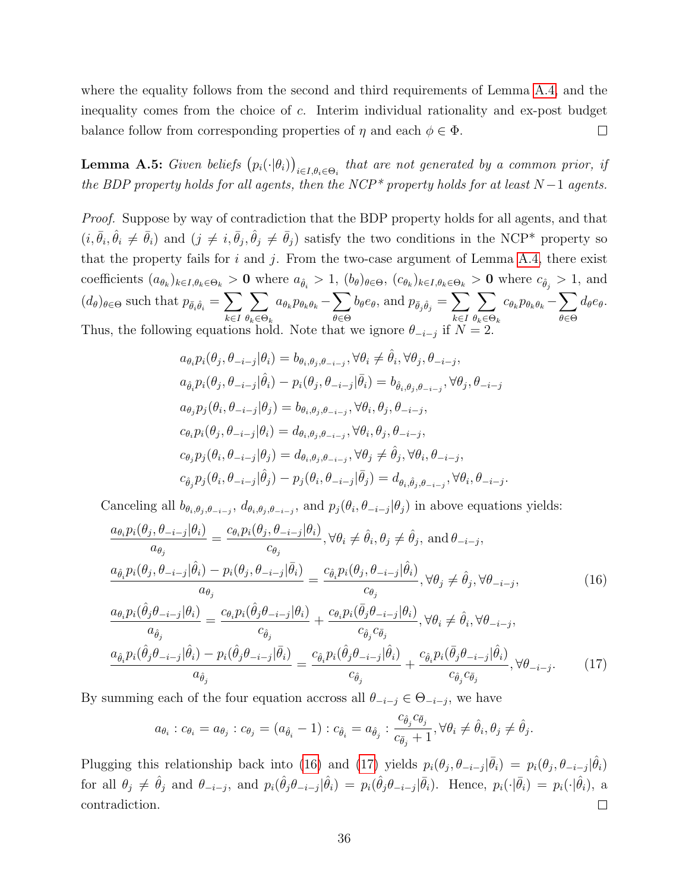where the equality follows from the second and third requirements of Lemma [A.4,](#page-33-0) and the inequality comes from the choice of c. Interim individual rationality and ex-post budget balance follow from corresponding properties of  $\eta$  and each  $\phi \in \Phi$ .  $\Box$ 

<span id="page-35-2"></span>**Lemma A.5:** Given beliefs  $(p_i(\cdot|\theta_i))_{i \in I, \theta_i \in \Theta_i}$  that are not generated by a common prior, if the BDP property holds for all agents, then the NCP<sup>\*</sup> property holds for at least  $N-1$  agents.

Proof. Suppose by way of contradiction that the BDP property holds for all agents, and that  $(i, \bar{\theta}_i, \hat{\theta}_i \neq \bar{\theta}_i)$  and  $(j \neq i, \bar{\theta}_j, \hat{\theta}_j \neq \bar{\theta}_j)$  satisfy the two conditions in the NCP\* property so that the property fails for  $i$  and  $j$ . From the two-case argument of Lemma [A.4,](#page-33-0) there exist coefficients  $(a_{\theta_k})_{k\in I, \theta_k\in\Theta_k} > 0$  where  $a_{\hat{\theta}_i} > 1$ ,  $(b_{\theta})_{\theta\in\Theta}$ ,  $(c_{\theta_k})_{k\in I, \theta_k\in\Theta_k} > 0$  where  $c_{\hat{\theta}_j} > 1$ , and  $(d_{\theta})_{\theta \in \Theta}$  such that  $p_{\bar{\theta}_i \hat{\theta}_i} = \sum$ k∈I  $\sum$  $\theta_k \in \Theta_k$  $a_{\theta_k} p_{\theta_k \theta_k} - \sum$ θ∈Θ  $b_\theta e_\theta$ , and  $p_{\bar{\theta}_j \hat{\theta}_j} = \sum$ k∈I  $\sum$  $\theta_k \in \Theta_k$  $c_{\theta_k} p_{\theta_k \theta_k} - \sum$ θ∈Θ  $d_{\theta}e_{\theta}$ . Thus, the following equations hold. Note that we ignore  $\theta_{-i-j}$  if  $N=2$ .

$$
a_{\theta_i} p_i(\theta_j, \theta_{-i-j} | \theta_i) = b_{\theta_i, \theta_j, \theta_{-i-j}}, \forall \theta_i \neq \hat{\theta}_i, \forall \theta_j, \theta_{-i-j},
$$
  
\n
$$
a_{\hat{\theta}_i} p_i(\theta_j, \theta_{-i-j} | \hat{\theta}_i) - p_i(\theta_j, \theta_{-i-j} | \bar{\theta}_i) = b_{\hat{\theta}_i, \theta_j, \theta_{-i-j}}, \forall \theta_j, \theta_{-i-j}
$$
  
\n
$$
a_{\theta_j} p_j(\theta_i, \theta_{-i-j} | \theta_j) = b_{\theta_i, \theta_j, \theta_{-i-j}}, \forall \theta_i, \theta_j, \theta_{-i-j},
$$
  
\n
$$
c_{\theta_i} p_i(\theta_j, \theta_{-i-j} | \theta_i) = d_{\theta_i, \theta_j, \theta_{-i-j}}, \forall \theta_i, \theta_j, \theta_{-i-j},
$$
  
\n
$$
c_{\theta_j} p_j(\theta_i, \theta_{-i-j} | \theta_j) = d_{\theta_i, \theta_j, \theta_{-i-j}}, \forall \theta_j \neq \hat{\theta}_j, \forall \theta_i, \theta_{-i-j},
$$
  
\n
$$
c_{\hat{\theta}_j} p_j(\theta_i, \theta_{-i-j} | \hat{\theta}_j) - p_j(\theta_i, \theta_{-i-j} | \bar{\theta}_j) = d_{\theta_i, \hat{\theta}_j, \theta_{-i-j}}, \forall \theta_i, \theta_{-i-j}.
$$

Canceling all  $b_{\theta_i,\theta_j,\theta_{-i-j}}$ ,  $d_{\theta_i,\theta_j,\theta_{-i-j}}$ , and  $p_j(\theta_i,\theta_{-i-j}|\theta_j)$  in above equations yields:

$$
\frac{a_{\theta_{i}}p_{i}(\theta_{j}, \theta_{-i-j}|\theta_{i})}{a_{\theta_{j}}} = \frac{c_{\theta_{i}}p_{i}(\theta_{j}, \theta_{-i-j}|\theta_{i})}{c_{\theta_{j}}}, \forall \theta_{i} \neq \hat{\theta}_{i}, \theta_{j} \neq \hat{\theta}_{j}, \text{ and } \theta_{-i-j},
$$
\n
$$
\frac{a_{\hat{\theta}_{i}}p_{i}(\theta_{j}, \theta_{-i-j}|\hat{\theta}_{i}) - p_{i}(\theta_{j}, \theta_{-i-j}|\bar{\theta}_{i})}{a_{\theta_{j}}} = \frac{c_{\hat{\theta}_{i}}p_{i}(\theta_{j}, \theta_{-i-j}|\hat{\theta}_{i})}{c_{\theta_{j}}}, \forall \theta_{j} \neq \hat{\theta}_{j}, \forall \theta_{-i-j},
$$
\n
$$
\frac{a_{\theta_{i}}p_{i}(\hat{\theta}_{j}\theta_{-i-j}|\theta_{i})}{a_{\hat{\theta}_{j}}} = \frac{c_{\theta_{i}}p_{i}(\hat{\theta}_{j}\theta_{-i-j}|\theta_{i})}{c_{\hat{\theta}_{j}}} + \frac{c_{\theta_{i}}p_{i}(\bar{\theta}_{j}\theta_{-i-j}|\theta_{i})}{c_{\hat{\theta}_{j}}c_{\bar{\theta}_{j}}}, \forall \theta_{i} \neq \hat{\theta}_{i}, \forall \theta_{-i-j},
$$
\n
$$
\frac{a_{\hat{\theta}_{i}}p_{i}(\hat{\theta}_{j}\theta_{-i-j}|\hat{\theta}_{i}) - p_{i}(\hat{\theta}_{j}\theta_{-i-j}|\bar{\theta}_{i})}{a_{\hat{\theta}_{j}}} = \frac{c_{\hat{\theta}_{i}}p_{i}(\hat{\theta}_{j}\theta_{-i-j}|\hat{\theta}_{i}) + \frac{c_{\hat{\theta}_{i}}p_{i}(\bar{\theta}_{j}\theta_{-i-j}|\hat{\theta}_{i})}{c_{\hat{\theta}_{j}}c_{\bar{\theta}_{j}}}, \forall \theta_{-i-j}.
$$
\n(17)

By summing each of the four equation accross all  $\theta_{-i-j} \in \Theta_{-i-j}$ , we have

<span id="page-35-1"></span><span id="page-35-0"></span>
$$
a_{\theta_i}: c_{\theta_i} = a_{\theta_j}: c_{\theta_j} = (a_{\hat{\theta}_i} - 1): c_{\hat{\theta}_i} = a_{\hat{\theta}_j}: \frac{c_{\hat{\theta}_j}c_{\bar{\theta}_j}}{c_{\bar{\theta}_j} + 1}, \forall \theta_i \neq \hat{\theta}_i, \theta_j \neq \hat{\theta}_j.
$$

Plugging this relationship back into [\(16\)](#page-35-0) and [\(17\)](#page-35-1) yields  $p_i(\theta_j, \theta_{-i-j}|\bar{\theta}_i) = p_i(\theta_j, \theta_{-i-j}|\hat{\theta}_i)$ for all  $\theta_j \neq \hat{\theta}_j$  and  $\theta_{-i-j}$ , and  $p_i(\hat{\theta}_j \theta_{-i-j} | \hat{\theta}_i) = p_i(\hat{\theta}_j \theta_{-i-j} | \bar{\theta}_i)$ . Hence,  $p_i(\cdot | \bar{\theta}_i) = p_i(\cdot | \hat{\theta}_i)$ , a contradiction.  $\Box$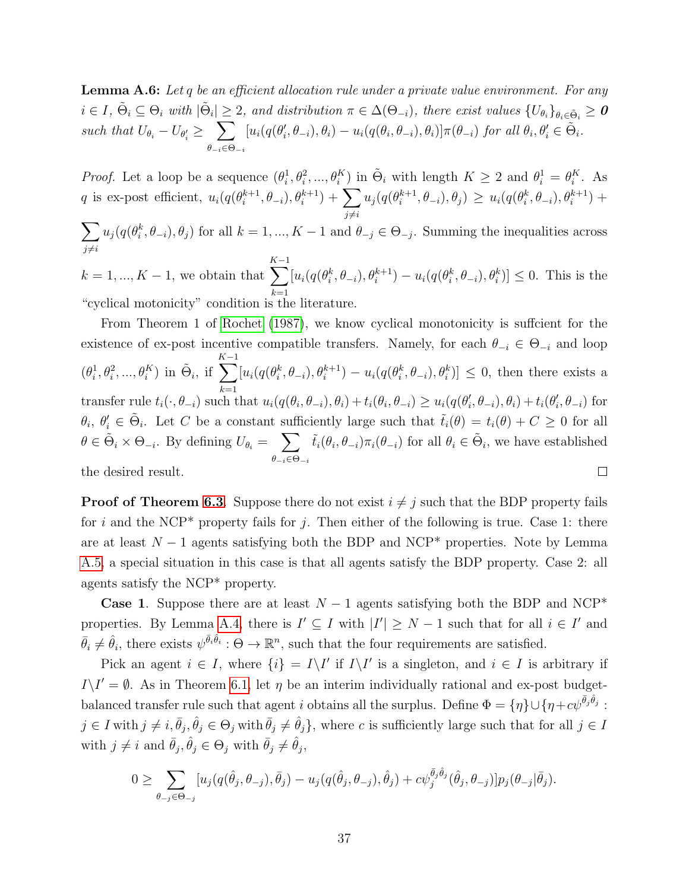<span id="page-36-0"></span>**Lemma A.6:** Let q be an efficient allocation rule under a private value environment. For any  $i \in I$ ,  $\tilde{\Theta}_i \subseteq \Theta_i$  with  $|\tilde{\Theta}_i| \geq 2$ , and distribution  $\pi \in \Delta(\Theta_{-i})$ , there exist values  $\{U_{\theta_i}\}_{\theta_i \in \tilde{\Theta}_i} \geq 0$ such that  $U_{\theta_i} - U_{\theta'_i} \geq \sum$  $\theta_{-i} \in \Theta_{-i}$  $[u_i(q(\theta'_i, \theta_{-i}), \theta_i) - u_i(q(\theta_i, \theta_{-i}), \theta_i)] \pi(\theta_{-i})$  for all  $\theta_i, \theta'_i \in \tilde{\Theta}_i$ .

*Proof.* Let a loop be a sequence  $(\theta_i^1, \theta_i^2, ..., \theta_i^K)$  in  $\tilde{\Theta}_i$  with length  $K \geq 2$  and  $\theta_i^1 = \theta_i^K$ . As q is ex-post efficient,  $u_i(q(\theta_i^{k+1}))$  $\theta_{i}^{k+1},\theta_{-i}),\theta_{i}^{k+1})+\sum_{i}% ^{k+1}\left( \theta_{i}^{k+1}-\theta_{i}^{k+1}\right) ^{i}\theta_{i}^{k+1}. \label{eq-qt:thm-1}%$  $j\neq i$  $u_j(q(\theta_i^{k+1}$  $\{e^{(k+1)}_i, \theta_{-i}), \theta_j\} \geq u_i(q(\theta_i^k, \theta_{-i}), \theta_i^{k+1}) +$ 

 $\sum$  $j\neq i$  $u_j(q(\theta_i^k, \theta_{-i}), \theta_j)$  for all  $k = 1, ..., K - 1$  and  $\theta_{-j} \in \Theta_{-j}$ . Summing the inequalities across

 $k = 1, ..., K - 1$ , we obtain that  $\sum^{K-1}$  $_{k=1}$  $[u_i(q(\theta_i^k, \theta_{-i}), \theta_i^{k+1}) - u_i(q(\theta_i^k, \theta_{-i}), \theta_i^k)] \leq 0$ . This is the "cyclical motonicity" condition is the literature.

From Theorem 1 of [Rochet](#page-42-13) [\(1987\)](#page-42-13), we know cyclical monotonicity is suffcient for the existence of ex-post incentive compatible transfers. Namely, for each  $\theta_{-i} \in \Theta_{-i}$  and loop  $\sum_{i=1}^{K-1} [u_i(q(\theta_i^k, \theta_{-i}), \theta_i^{k+1}) - u_i(q(\theta_i^k, \theta_{-i}), \theta_i^k)] \leq 0$ , then there exists a  $(\theta_i^1, \theta_i^2, ..., \theta_i^K)$  in  $\tilde{\Theta}_i$ , if  $_{k=1}$ transfer rule  $t_i(\cdot, \theta_{-i})$  such that  $u_i(q(\theta_i, \theta_{-i}), \theta_i) + t_i(\theta_i, \theta_{-i}) \ge u_i(q(\theta_i', \theta_{-i}), \theta_i) + t_i(\theta_i', \theta_{-i})$  for  $\theta_i, \theta'_i \in \tilde{\Theta}_i$ . Let C be a constant sufficiently large such that  $\tilde{t}_i(\theta) = t_i(\theta) + C \geq 0$  for all  $\theta \in \tilde{\Theta}_i \times \Theta_{-i}$ . By defining  $U_{\theta_i} = \sum_{i=1}^{n}$  $\tilde{t}_i(\theta_i, \theta_{-i})\pi_i(\theta_{-i})$  for all  $\theta_i \in \tilde{\Theta}_i$ , we have established  $\theta_{-i}\in\Theta_{-i}$ the desired result.  $\Box$ 

**Proof of Theorem [6.3](#page-20-0)**. Suppose there do not exist  $i \neq j$  such that the BDP property fails for i and the NCP\* property fails for j. Then either of the following is true. Case 1: there are at least  $N-1$  agents satisfying both the BDP and NCP<sup>\*</sup> properties. Note by Lemma [A.5,](#page-35-2) a special situation in this case is that all agents satisfy the BDP property. Case 2: all agents satisfy the NCP\* property.

**Case 1.** Suppose there are at least  $N-1$  agents satisfying both the BDP and NCP<sup>\*</sup> properties. By Lemma [A.4,](#page-33-0) there is  $I' \subseteq I$  with  $|I'| \geq N-1$  such that for all  $i \in I'$  and  $\bar{\theta}_i \neq \hat{\theta}_i$ , there exists  $\psi^{\bar{\theta}_i \hat{\theta}_i} : \Theta \to \mathbb{R}^n$ , such that the four requirements are satisfied.

Pick an agent  $i \in I$ , where  $\{i\} = I\setminus I'$  if  $I\setminus I'$  is a singleton, and  $i \in I$  is arbitrary if  $I \setminus I' = \emptyset$ . As in Theorem [6.1,](#page-16-1) let  $\eta$  be an interim individually rational and ex-post budgetbalanced transfer rule such that agent i obtains all the surplus. Define  $\Phi = \{\eta\} \cup \{\eta + c\psi^{\bar{\theta}_j \hat{\theta}_j} :$  $j \in I$  with  $j \neq i, \bar{\theta}_j, \hat{\theta}_j \in \Theta_j$  with  $\bar{\theta}_j \neq \hat{\theta}_j$ , where c is sufficiently large such that for all  $j \in I$ with  $j \neq i$  and  $\bar{\theta}_j, \hat{\theta}_j \in \Theta_j$  with  $\bar{\theta}_j \neq \hat{\theta}_j$ ,

$$
0 \geq \sum_{\theta_j \in \Theta_{-j}} [u_j(q(\hat{\theta}_j, \theta_{-j}), \bar{\theta}_j) - u_j(q(\hat{\theta}_j, \theta_{-j}), \hat{\theta}_j) + c\psi_j^{\bar{\theta}_j \hat{\theta}_j}(\hat{\theta}_j, \theta_{-j})] p_j(\theta_{-j}|\bar{\theta}_j).
$$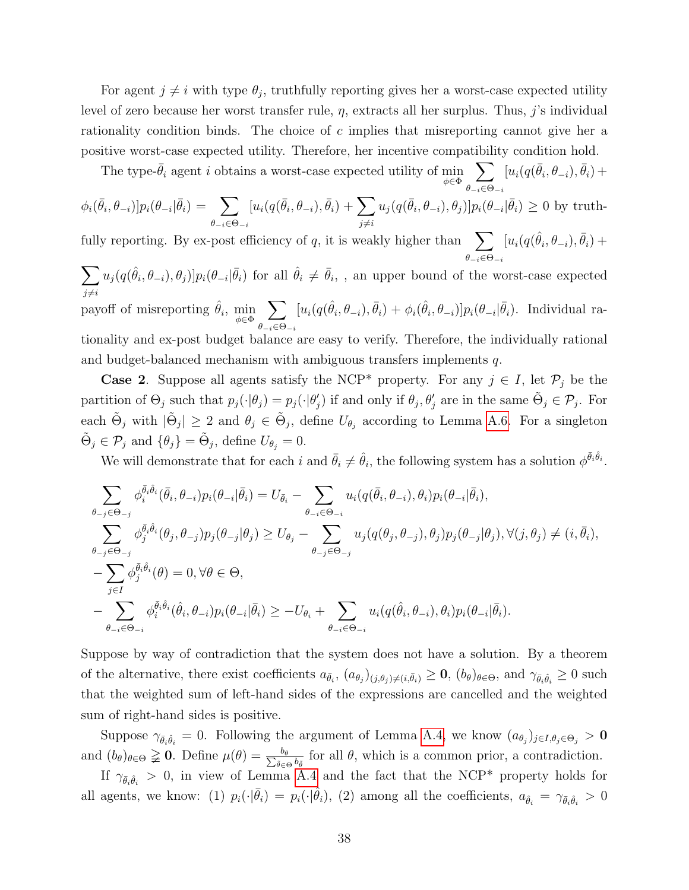For agent  $j \neq i$  with type  $\theta_j$ , truthfully reporting gives her a worst-case expected utility level of zero because her worst transfer rule,  $\eta$ , extracts all her surplus. Thus, j's individual rationality condition binds. The choice of  $c$  implies that misreporting cannot give her a positive worst-case expected utility. Therefore, her incentive compatibility condition hold.

The type- $\bar{\theta}_i$  agent *i* obtains a worst-case expected utility of min  $\phi \in \Phi$  $\sum$  $\theta_{-i}\in\Theta_{-i}$  $[u_i(q(\bar{\theta}_i, \theta_{-i}), \bar{\theta}_i) +$ 

$$
\phi_i(\bar{\theta}_i, \theta_{-i})|p_i(\theta_{-i}|\bar{\theta}_i) = \sum_{\theta_{-i} \in \Theta_{-i}} [u_i(q(\bar{\theta}_i, \theta_{-i}), \bar{\theta}_i) + \sum_{j \neq i} u_j(q(\bar{\theta}_i, \theta_{-i}), \theta_j)]p_i(\theta_{-i}|\bar{\theta}_i) \ge 0 \text{ by truth-}
$$

fully reporting. By ex-post efficiency of q, it is weakly higher than  $\sum$  $\theta_{-i} \in \Theta_{-i}$  $[u_i(q(\hat{\theta}_i, \theta_{-i}), \bar{\theta}_i) +$ 

 $\sum$  $j\neq i$  $u_j(q(\hat{\theta}_i,\theta_{-i}),\theta_j)]p_i(\theta_{-i}|\bar{\theta}_i)$  for all  $\hat{\theta}_i \neq \bar{\theta}_i$ , , an upper bound of the worst-case expected payoff of misreporting  $\hat{\theta}_i$ ,  $\min_{\phi \in \Phi}$  $\sum$  $\theta_{-i}\in\Theta_{-i}$  $[u_i(q(\hat{\theta}_i, \theta_{-i}), \bar{\theta}_i) + \phi_i(\hat{\theta}_i, \theta_{-i})] p_i(\theta_{-i} | \bar{\theta}_i)$ . Individual rationality and ex-post budget balance are easy to verify. Therefore, the individually rational and budget-balanced mechanism with ambiguous transfers implements q.

**Case 2.** Suppose all agents satisfy the NCP<sup>\*</sup> property. For any  $j \in I$ , let  $\mathcal{P}_j$  be the partition of  $\Theta_j$  such that  $p_j(\cdot|\theta_j) = p_j(\cdot|\theta_j')$  if and only if  $\theta_j$ ,  $\theta_j'$  are in the same  $\tilde{\Theta}_j \in \mathcal{P}_j$ . For each  $\tilde{\Theta}_j$  with  $|\tilde{\Theta}_j| \geq 2$  and  $\theta_j \in \tilde{\Theta}_j$ , define  $U_{\theta_j}$  according to Lemma [A.6.](#page-36-0) For a singleton  $\tilde{\Theta}_j \in \mathcal{P}_j$  and  $\{\theta_j\} = \tilde{\Theta}_j$ , define  $U_{\theta_j} = 0$ .

We will demonstrate that for each i and  $\bar{\theta}_i \neq \hat{\theta}_i$ , the following system has a solution  $\phi^{\bar{\theta}_i \hat{\theta}_i}$ .

$$
\sum_{\theta_{-j}\in\Theta_{-j}}\phi_{i}^{\bar{\theta}_{i}\hat{\theta}_{i}}(\bar{\theta}_{i},\theta_{-i})p_{i}(\theta_{-i}|\bar{\theta}_{i}) = U_{\bar{\theta}_{i}} - \sum_{\theta_{-i}\in\Theta_{-i}}u_{i}(q(\bar{\theta}_{i},\theta_{-i}),\theta_{i})p_{i}(\theta_{-i}|\bar{\theta}_{i}),
$$
\n
$$
\sum_{\theta_{-j}\in\Theta_{-j}}\phi_{j}^{\bar{\theta}_{i}\hat{\theta}_{i}}(\theta_{j},\theta_{-j})p_{j}(\theta_{-j}|\theta_{j}) \geq U_{\theta_{j}} - \sum_{\theta_{-j}\in\Theta_{-j}}u_{j}(q(\theta_{j},\theta_{-j}),\theta_{j})p_{j}(\theta_{-j}|\theta_{j}), \forall (j,\theta_{j}) \neq (i,\bar{\theta}_{i}),
$$
\n
$$
-\sum_{j\in I}\phi_{j}^{\bar{\theta}_{i}\hat{\theta}_{i}}(\theta) = 0, \forall \theta \in \Theta,
$$
\n
$$
-\sum_{\theta_{-i}\in\Theta_{-i}}\phi_{i}^{\bar{\theta}_{i}\hat{\theta}_{i}}(\hat{\theta}_{i},\theta_{-i})p_{i}(\theta_{-i}|\bar{\theta}_{i}) \geq -U_{\theta_{i}} + \sum_{\theta_{-i}\in\Theta_{-i}}u_{i}(q(\hat{\theta}_{i},\theta_{-i}),\theta_{i})p_{i}(\theta_{-i}|\bar{\theta}_{i}).
$$

Suppose by way of contradiction that the system does not have a solution. By a theorem of the alternative, there exist coefficients  $a_{\bar{\theta}_i}$ ,  $(a_{\theta_j})_{(j,\theta_j)\neq(i,\bar{\theta}_i)} \geq 0$ ,  $(b_{\theta})_{\theta \in \Theta}$ , and  $\gamma_{\bar{\theta}_i \hat{\theta}_i} \geq 0$  such that the weighted sum of left-hand sides of the expressions are cancelled and the weighted sum of right-hand sides is positive.

Suppose  $\gamma_{\bar{\theta}_i\hat{\theta}_i} = 0$ . Following the argument of Lemma [A.4,](#page-33-0) we know  $(a_{\theta_j})_{j\in I, \theta_j\in\Theta_j} > 0$ and  $(b_{\theta})_{\theta \in \Theta} \geq 0$ . Define  $\mu(\theta) = \frac{b_{\theta}}{\sum_{\theta \in \Theta}}$  $\frac{b_{\theta}}{\tilde{\theta} \in \Theta} b_{\tilde{\theta}}$  for all  $\theta$ , which is a common prior, a contradiction.

If  $\gamma_{\bar{\theta}_i\hat{\theta}_i} > 0$ , in view of Lemma [A.4](#page-33-0) and the fact that the NCP\* property holds for all agents, we know: (1)  $p_i(\cdot|\bar{\theta}_i) = p_i(\cdot|\hat{\theta}_i)$ , (2) among all the coefficients,  $a_{\hat{\theta}_i} = \gamma_{\bar{\theta}_i\hat{\theta}_i} > 0$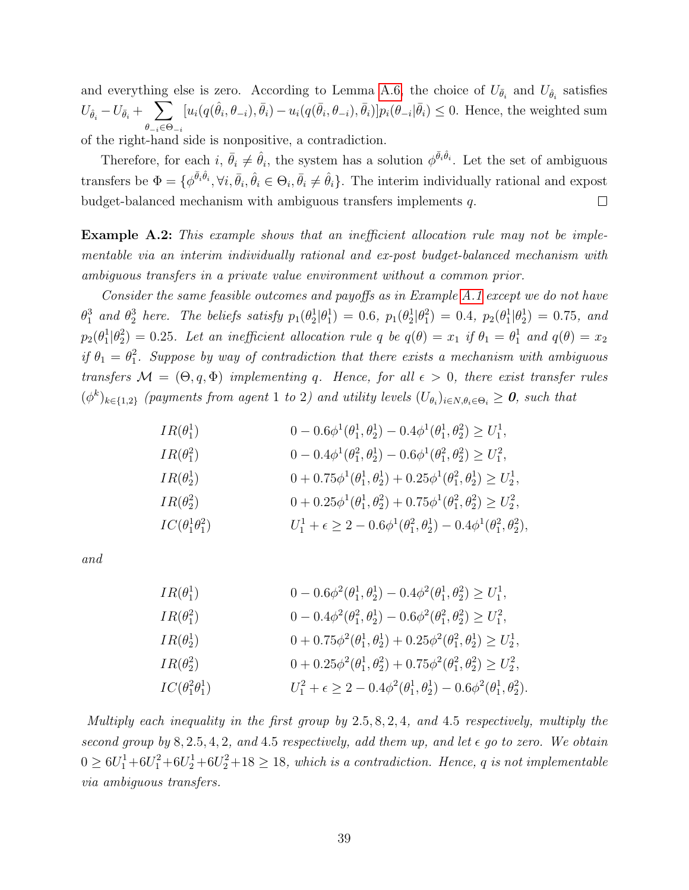and everything else is zero. According to Lemma [A.6,](#page-36-0) the choice of  $U_{\bar{\theta}_i}$  and  $U_{\hat{\theta}_i}$  satisfies i  $U_{\widehat{\theta}_i} - U_{\bar{\theta}_i} + \sum$  $\theta_{-i} \in \Theta_{-i}$  $[u_i(q(\hat{\theta}_i,\theta_{-i}),\bar{\theta}_i)-u_i(q(\bar{\theta}_i,\theta_{-i}),\bar{\theta}_i)]p_i(\theta_{-i}|\bar{\theta}_i) \leq 0$ . Hence, the weighted sum of the right-hand side is nonpositive, a contradiction.

Therefore, for each  $i, \bar{\theta}_i \neq \hat{\theta}_i$ , the system has a solution  $\phi^{\bar{\theta}_i \hat{\theta}_i}$ . Let the set of ambiguous transfers be  $\Phi = \{\phi^{\bar{\theta}_i \hat{\theta}_i}, \forall i, \bar{\theta}_i, \hat{\theta}_i \in \Theta_i, \bar{\theta}_i \neq \hat{\theta}_i\}$ . The interim individually rational and expost budget-balanced mechanism with ambiguous transfers implements q.  $\Box$ 

Example A.2: This example shows that an inefficient allocation rule may not be implementable via an interim individually rational and ex-post budget-balanced mechanism with ambiguous transfers in a private value environment without a common prior.

Consider the same feasible outcomes and payoffs as in Example [A.1](#page-31-0) except we do not have  $\theta_1^3$  and  $\theta_2^3$  here. The beliefs satisfy  $p_1(\theta_2^1|\theta_1^1) = 0.6$ ,  $p_1(\theta_2^1|\theta_1^2) = 0.4$ ,  $p_2(\theta_1^1|\theta_2^1) = 0.75$ , and  $p_2(\theta_1^1|\theta_2^2)=0.25$ . Let an inefficient allocation rule q be  $q(\theta)=x_1$  if  $\theta_1=\theta_1^1$  and  $q(\theta)=x_2$ if  $\theta_1 = \theta_1^2$ . Suppose by way of contradiction that there exists a mechanism with ambiguous transfers  $\mathcal{M} = (\Theta, q, \Phi)$  implementing q. Hence, for all  $\epsilon > 0$ , there exist transfer rules  $(\phi^k)_{k \in \{1,2\}}$  (payments from agent 1 to 2) and utility levels  $(U_{\theta_i})_{i \in N, \theta_i \in \Theta_i} \geq 0$ , such that

$$
IR(\theta_1^1) \qquad 0 - 0.6\phi^1(\theta_1^1, \theta_2^1) - 0.4\phi^1(\theta_1^1, \theta_2^2) \ge U_1^1,
$$
  
\n
$$
IR(\theta_1^2) \qquad 0 - 0.4\phi^1(\theta_1^2, \theta_2^1) - 0.6\phi^1(\theta_1^2, \theta_2^2) \ge U_1^2,
$$
  
\n
$$
IR(\theta_2^1) \qquad 0 + 0.75\phi^1(\theta_1^1, \theta_2^1) + 0.25\phi^1(\theta_1^2, \theta_2^1) \ge U_2^1,
$$
  
\n
$$
IR(\theta_2^2) \qquad 0 + 0.25\phi^1(\theta_1^1, \theta_2^2) + 0.75\phi^1(\theta_1^2, \theta_2^2) \ge U_2^2,
$$
  
\n
$$
IC(\theta_1^1\theta_1^2) \qquad U_1^1 + \epsilon \ge 2 - 0.6\phi^1(\theta_1^2, \theta_2^1) - 0.4\phi^1(\theta_1^2, \theta_2^2),
$$

and

| $IR(\theta_1^1)$           | $0 - 0.6\phi^2(\theta_1^1, \theta_2^1) - 0.4\phi^2(\theta_1^1, \theta_2^2) \ge U_1^1$ ,            |
|----------------------------|----------------------------------------------------------------------------------------------------|
| $IR(\theta_1^2)$           | $0 - 0.4\phi^2(\theta_1^2, \theta_2^1) - 0.6\phi^2(\theta_1^2, \theta_2^2) \ge U_1^2$ ,            |
| $IR(\theta_2^1)$           | $0 + 0.75\phi^2(\theta_1^1, \theta_2^1) + 0.25\phi^2(\theta_1^2, \theta_2^1) \ge U_2^1$ ,          |
| $IR(\theta_2^2)$           | $0 + 0.25\phi^2(\theta_1^1, \theta_2^2) + 0.75\phi^2(\theta_1^2, \theta_2^2) \ge U_2^2,$           |
| $IC(\theta_1^2\theta_1^1)$ | $U_1^2 + \epsilon \geq 2 - 0.4\phi^2(\theta_1^1, \theta_2^1) - 0.6\phi^2(\theta_1^1, \theta_2^2).$ |

Multiply each inequality in the first group by 2.5, 8, 2, 4, and 4.5 respectively, multiply the second group by 8, 2.5, 4, 2, and 4.5 respectively, add them up, and let  $\epsilon$  go to zero. We obtain  $0 \geq 6U_1^1+6U_1^2+6U_2^1+6U_2^2+18 \geq 18$ , which is a contradiction. Hence, q is not implementable via ambiguous transfers.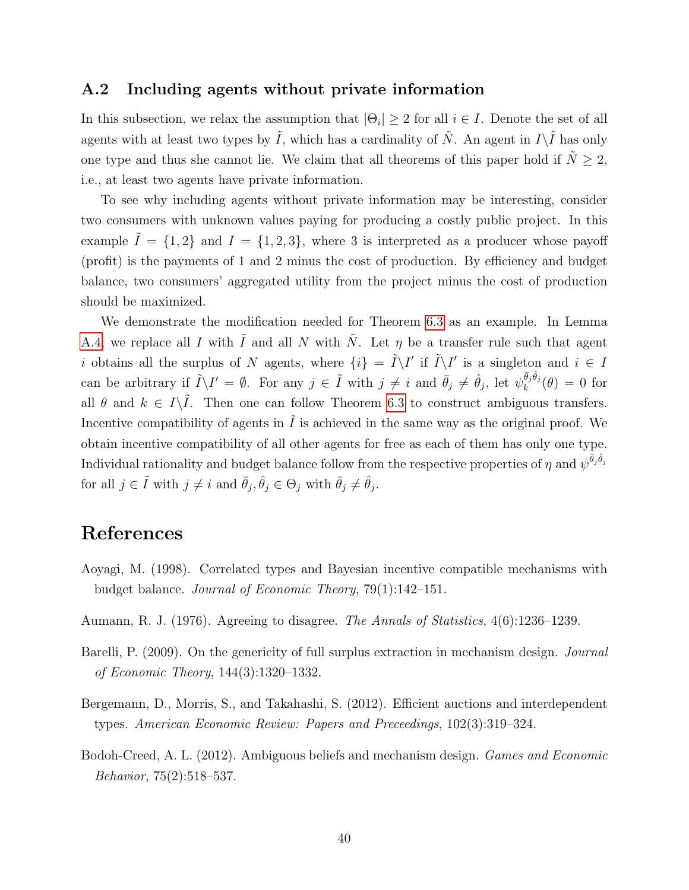### <span id="page-39-3"></span>A.2 Including agents without private information

In this subsection, we relax the assumption that  $|\Theta_i| \geq 2$  for all  $i \in I$ . Denote the set of all agents with at least two types by  $\tilde{I}$ , which has a cardinality of  $\tilde{N}$ . An agent in  $I\setminus\tilde{I}$  has only one type and thus she cannot lie. We claim that all theorems of this paper hold if  $\tilde{N} \geq 2$ , i.e., at least two agents have private information.

To see why including agents without private information may be interesting, consider two consumers with unknown values paying for producing a costly public project. In this example  $I = \{1, 2\}$  and  $I = \{1, 2, 3\}$ , where 3 is interpreted as a producer whose payoff (profit) is the payments of 1 and 2 minus the cost of production. By efficiency and budget balance, two consumers' aggregated utility from the project minus the cost of production should be maximized.

We demonstrate the modification needed for Theorem [6.3](#page-20-0) as an example. In Lemma [A.4,](#page-33-0) we replace all I with  $\tilde{I}$  and all N with  $\tilde{N}$ . Let  $\eta$  be a transfer rule such that agent i obtains all the surplus of N agents, where  $\{i\} = \tilde{I}\setminus I'$  if  $\tilde{I}\setminus I'$  is a singleton and  $i \in I$ can be arbitrary if  $\tilde{I}\setminus I' = \emptyset$ . For any  $j \in \tilde{I}$  with  $j \neq i$  and  $\bar{\theta}_j \neq \hat{\theta}_j$ , let  $\psi_k^{\bar{\theta}_j\hat{\theta}_j}(\theta) = 0$  for all  $\theta$  and  $k \in I\backslash \tilde{I}$ . Then one can follow Theorem [6.3](#page-20-0) to construct ambiguous transfers. Incentive compatibility of agents in  $\tilde{I}$  is achieved in the same way as the original proof. We obtain incentive compatibility of all other agents for free as each of them has only one type. Individual rationality and budget balance follow from the respective properties of  $\eta$  and  $\psi^{\bar{\theta}_j\hat{\theta}_j}$ for all  $j \in \tilde{I}$  with  $j \neq i$  and  $\bar{\theta}_j, \hat{\theta}_j \in \Theta_j$  with  $\bar{\theta}_j \neq \hat{\theta}_j$ .

# References

- <span id="page-39-1"></span>Aoyagi, M. (1998). Correlated types and Bayesian incentive compatible mechanisms with budget balance. Journal of Economic Theory, 79(1):142–151.
- <span id="page-39-4"></span>Aumann, R. J. (1976). Agreeing to disagree. The Annals of Statistics, 4(6):1236–1239.
- <span id="page-39-0"></span>Barelli, P. (2009). On the genericity of full surplus extraction in mechanism design. *Journal* of Economic Theory, 144(3):1320–1332.
- <span id="page-39-5"></span>Bergemann, D., Morris, S., and Takahashi, S. (2012). Efficient auctions and interdependent types. American Economic Review: Papers and Preceedings, 102(3):319–324.
- <span id="page-39-2"></span>Bodoh-Creed, A. L. (2012). Ambiguous beliefs and mechanism design. Games and Economic Behavior, 75(2):518–537.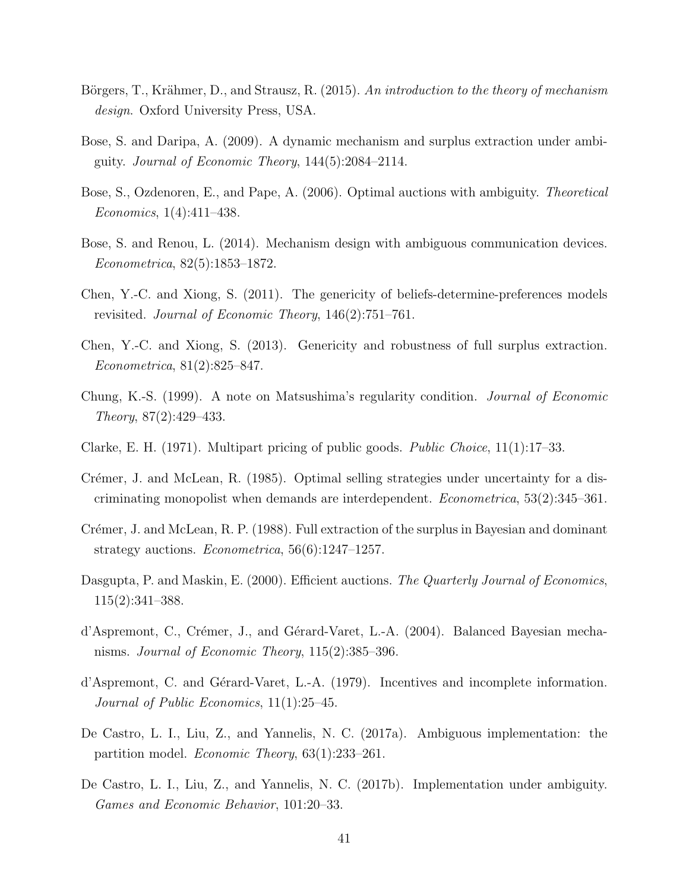- <span id="page-40-14"></span>Börgers, T., Krähmer, D., and Strausz, R. (2015). An introduction to the theory of mechanism design. Oxford University Press, USA.
- <span id="page-40-10"></span>Bose, S. and Daripa, A. (2009). A dynamic mechanism and surplus extraction under ambiguity. Journal of Economic Theory, 144(5):2084–2114.
- <span id="page-40-9"></span>Bose, S., Ozdenoren, E., and Pape, A. (2006). Optimal auctions with ambiguity. Theoretical Economics, 1(4):411–438.
- <span id="page-40-13"></span>Bose, S. and Renou, L. (2014). Mechanism design with ambiguous communication devices. Econometrica, 82(5):1853–1872.
- <span id="page-40-1"></span>Chen, Y.-C. and Xiong, S. (2011). The genericity of beliefs-determine-preferences models revisited. Journal of Economic Theory, 146(2):751–761.
- <span id="page-40-6"></span>Chen, Y.-C. and Xiong, S. (2013). Genericity and robustness of full surplus extraction. Econometrica, 81(2):825–847.
- <span id="page-40-7"></span>Chung, K.-S. (1999). A note on Matsushima's regularity condition. Journal of Economic Theory, 87(2):429–433.
- <span id="page-40-2"></span>Clarke, E. H. (1971). Multipart pricing of public goods. Public Choice, 11(1):17–33.
- <span id="page-40-5"></span>Crémer, J. and McLean, R. (1985). Optimal selling strategies under uncertainty for a discriminating monopolist when demands are interdependent. Econometrica, 53(2):345–361.
- <span id="page-40-0"></span>Crémer, J. and McLean, R. P. (1988). Full extraction of the surplus in Bayesian and dominant strategy auctions. Econometrica, 56(6):1247–1257.
- <span id="page-40-4"></span>Dasgupta, P. and Maskin, E. (2000). Efficient auctions. The Quarterly Journal of Economics, 115(2):341–388.
- <span id="page-40-8"></span>d'Aspremont, C., Crémer, J., and Gérard-Varet, L.-A. (2004). Balanced Bayesian mechanisms. Journal of Economic Theory, 115(2):385–396.
- <span id="page-40-3"></span>d'Aspremont, C. and Gérard-Varet, L.-A. (1979). Incentives and incomplete information. Journal of Public Economics, 11(1):25–45.
- <span id="page-40-11"></span>De Castro, L. I., Liu, Z., and Yannelis, N. C. (2017a). Ambiguous implementation: the partition model. Economic Theory, 63(1):233–261.
- <span id="page-40-12"></span>De Castro, L. I., Liu, Z., and Yannelis, N. C. (2017b). Implementation under ambiguity. Games and Economic Behavior, 101:20–33.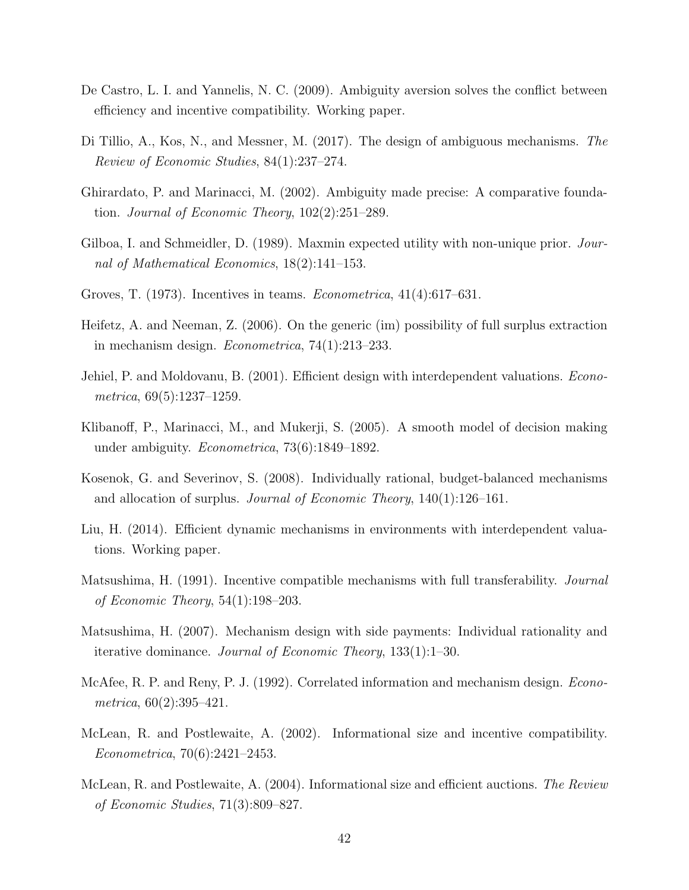- <span id="page-41-11"></span>De Castro, L. I. and Yannelis, N. C. (2009). Ambiguity aversion solves the conflict between efficiency and incentive compatibility. Working paper.
- <span id="page-41-1"></span>Di Tillio, A., Kos, N., and Messner, M. (2017). The design of ambiguous mechanisms. The Review of Economic Studies, 84(1):237–274.
- <span id="page-41-13"></span>Ghirardato, P. and Marinacci, M. (2002). Ambiguity made precise: A comparative foundation. Journal of Economic Theory, 102(2):251–289.
- <span id="page-41-12"></span>Gilboa, I. and Schmeidler, D. (1989). Maxmin expected utility with non-unique prior. Journal of Mathematical Economics, 18(2):141–153.
- <span id="page-41-3"></span>Groves, T. (1973). Incentives in teams. Econometrica, 41(4):617–631.
- <span id="page-41-5"></span>Heifetz, A. and Neeman, Z. (2006). On the generic (im) possibility of full surplus extraction in mechanism design. Econometrica, 74(1):213–233.
- <span id="page-41-4"></span>Jehiel, P. and Moldovanu, B. (2001). Efficient design with interdependent valuations. *Econo*metrica, 69(5):1237–1259.
- <span id="page-41-14"></span>Klibanoff, P., Marinacci, M., and Mukerji, S. (2005). A smooth model of decision making under ambiguity. Econometrica, 73(6):1849–1892.
- <span id="page-41-0"></span>Kosenok, G. and Severinov, S. (2008). Individually rational, budget-balanced mechanisms and allocation of surplus. *Journal of Economic Theory*,  $140(1):126-161$ .
- <span id="page-41-7"></span>Liu, H. (2014). Efficient dynamic mechanisms in environments with interdependent valuations. Working paper.
- <span id="page-41-10"></span>Matsushima, H. (1991). Incentive compatible mechanisms with full transferability. Journal of Economic Theory, 54(1):198–203.
- <span id="page-41-2"></span>Matsushima, H. (2007). Mechanism design with side payments: Individual rationality and iterative dominance. Journal of Economic Theory, 133(1):1–30.
- <span id="page-41-6"></span>McAfee, R. P. and Reny, P. J. (1992). Correlated information and mechanism design. *Econo* $metrica, 60(2):395-421.$
- <span id="page-41-8"></span>McLean, R. and Postlewaite, A. (2002). Informational size and incentive compatibility. Econometrica, 70(6):2421–2453.
- <span id="page-41-9"></span>McLean, R. and Postlewaite, A. (2004). Informational size and efficient auctions. The Review of Economic Studies, 71(3):809–827.